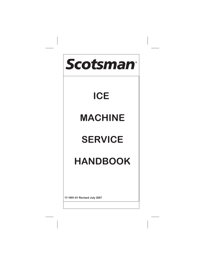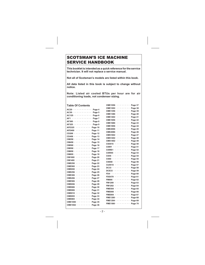### SCOTSMAN'S ICE MACHINE SERVICE HANDBOOK

**This booklet is intended as a quick reference for the service technician. It will not replace a service manual.**

**Not all of Scotsman's models are listed within this book.**

**All data listed in this book is subject to change without notice.**

**Note: Listed air cooled BTUs per hour are for air conditioning loads, not condenser sizing.**

#### **Table Of Contents**

|                                                                                               |  |         |         |         |         |                                           |                             |         |                  | CMI             |
|-----------------------------------------------------------------------------------------------|--|---------|---------|---------|---------|-------------------------------------------|-----------------------------|---------|------------------|-----------------|
| $AC30 \cdot \cdot \cdot \cdot \cdot \cdot \cdot \cdot \cdot \cdot$                            |  |         |         |         |         |                                           |                             |         | $\cdot$ Page 5   | CMI             |
| $AC125 \cdot \cdot \cdot \cdot \cdot \cdot \cdot \cdot$                                       |  |         |         |         |         |                                           |                             |         |                  | CMI             |
| AF1                                                                                           |  |         |         |         |         |                                           |                             |         | $·$ Page 6       | CMI             |
| $AF300 \cdot \cdot \cdot \cdot \cdot \cdot \cdot \cdot \cdot \cdot \cdot \cdot \text{Page 8}$ |  |         |         |         |         |                                           |                             |         | $\cdot$ Page 7   | CMI             |
|                                                                                               |  |         |         |         |         |                                           |                             |         |                  | CMI             |
| $AF325$ Page 9                                                                                |  |         |         |         |         |                                           |                             |         |                  | CMI             |
| AFE325 Page 10                                                                                |  |         |         |         |         |                                           |                             |         |                  | CMI             |
| AFE400                                                                                        |  |         | $\cdot$ | $\cdot$ |         |                                           |                             |         | $\cdots$ Page 11 | CMI             |
| CD200 $\cdots$ Page 12                                                                        |  |         |         |         |         |                                           |                             |         |                  | CM:             |
| CD450 $\cdots$ $\cdots$ $\cdots$ Page 13                                                      |  |         |         |         |         |                                           |                             |         |                  | CM:             |
| $CM250$ $\cdots$ $\cdots$ $\cdots$                                                            |  |         |         |         |         |                                           |                             |         | Page 14          | CM:             |
| $CM450 \cdot \cdot \cdot$                                                                     |  | ٠.      |         |         |         | $\alpha$ , $\alpha$ , $\alpha$ , $\alpha$ |                             |         | $\cdot$ Page 15  | <b>CSO</b>      |
| $CM500 \cdot \cdot \cdot \cdot \cdot \cdot \cdot \cdot$                                       |  |         |         |         |         |                                           |                             |         | Page 16          | <b>CSI</b>      |
| $CM550 \cdot \cdot \cdot \cdot \cdot \cdot \cdot \cdot$                                       |  |         |         |         |         |                                           |                             |         | Page 17          | <b>CSI</b>      |
| $CM650 \cdot \cdot \cdot \cdot \cdot$                                                         |  |         |         |         | $\cdot$ |                                           | $\sim$ $\sim$               | $\cdot$ | Page 18          | <b>CSI</b>      |
| CM855                                                                                         |  | ٠.      | $\cdot$ | $\cdot$ | $\cdot$ |                                           | $\sim$                      | $\sim$  | Page 19          | CS5             |
| $CM1000$                                                                                      |  |         |         |         |         |                                           |                             |         | Page 20          | CSE             |
| $CM1400 \cdot \cdot \cdot \cdot \cdot \cdot \cdot \cdot$                                      |  |         |         |         |         |                                           |                             |         | Page 21          | CSE             |
| $CME250 \cdot \cdot \cdot \cdot$                                                              |  |         |         |         |         | $\sim$ $\sim$ $\sim$                      |                             | $\sim$  | Page 22          | <b>CU</b>       |
| $CME500 \cdot \cdot \cdot \cdot$                                                              |  |         |         |         |         |                                           |                             |         | $\cdots$ Page 23 | DC3             |
| $CME650$                                                                                      |  |         |         |         |         |                                           |                             |         | Page 24          | DCI             |
| $CME256 \cdot \cdot \cdot$                                                                    |  |         |         | $\cdot$ | $\cdot$ |                                           | $\sim$ $\sim$ $\sim$        |         | Page 25          | FD <sub>4</sub> |
| $CME306 \cdot \cdot \cdot$                                                                    |  |         | ٠.      | $\cdot$ |         |                                           | $\ddot{\phantom{0}}$        | $\sim$  | Page 26          | <b>FDE</b>      |
| $CME456 \cdot \cdot \cdot$                                                                    |  |         |         |         |         |                                           | the state of the            |         | Page 27          | <b>FM</b>       |
| $CME506$ $\cdots$ $\cdots$ $\cdots$                                                           |  |         |         |         |         |                                           |                             |         | Page 28          | FM <sup>1</sup> |
| $CME656 \cdot \cdot \cdot$                                                                    |  |         |         | $\cdot$ |         |                                           | $\sim$ $\sim$ $\sim$ $\sim$ |         | Page 29          | FM1             |
| $CME686 \cdot \cdot$                                                                          |  | $\cdot$ | .,      | ٠.      | $\cdot$ | $\cdot$ .                                 |                             |         | $\cdot$ Page 30  | <b>FMI</b>      |
| $CME806$                                                                                      |  |         |         |         |         |                                           |                             |         | Page 31          | <b>FMI</b>      |
| $CME810 \cdot \cdot \cdot \cdot \cdot \cdot \cdot \cdot$                                      |  |         |         |         |         |                                           |                             |         | Page 32          | <b>FMI</b>      |
| CME855                                                                                        |  |         | $\cdot$ |         | $\cdot$ |                                           | $\cdot$ .                   | $\sim$  | Page 33          | <b>FMI</b>      |
| CME865 · ·                                                                                    |  | $\cdot$ | .,      | ٠.      | $\cdot$ | $\cdot$ .                                 |                             | $\sim$  | Page 34          | <b>FMI</b>      |
|                                                                                               |  |         |         |         |         |                                           |                             |         |                  | <b>FMI</b>      |
| $CME1002 \cdot \cdot \cdot \cdot \cdot \cdot \cdot \cdot$                                     |  |         |         |         |         |                                           |                             |         | Page 36          |                 |

| CME1056-         |   |   |   |   |   | ٠. | ٠. |   | Page 37 |
|------------------|---|---|---|---|---|----|----|---|---------|
| CME1202.         |   |   |   |   |   |    |    |   | Page 38 |
| CME1356 ·        |   |   |   |   |   |    | ٠  | , | Page 39 |
| CME1386.         |   |   | ł |   | , |    |    | , | Page 40 |
| CMF1402.         |   |   | ï |   |   | ï  |    |   | Page 41 |
| CMF1656.         |   |   |   |   |   |    |    |   | Page 42 |
| CME1686.         |   |   |   |   |   |    |    |   | Page 43 |
| CME1856.         |   |   |   |   | ï | ï  | ï  | ï | Page 44 |
| CMF2006          |   |   |   |   |   |    | ,  | ł | Page 45 |
| CME2086-         |   |   |   |   |   |    |    | ï | Page 46 |
| CMS1002.         |   |   | ï | ï |   |    |    |   | Page 47 |
| CMS1202.         |   |   |   |   |   |    |    |   | Page 48 |
| CMS1402.         |   |   |   |   |   |    |    |   | Page 49 |
| CS0415.          |   |   |   |   |   |    |    |   | Page 50 |
| CSW1 ·           |   |   | ï |   |   |    |    |   | Page 51 |
| CSWE1 ·          |   |   |   |   |   |    | ,  | , | Page 52 |
| CSW45.           |   |   | ï |   |   |    |    |   | Page 53 |
| CS55.<br>٠       |   |   |   |   |   |    |    |   | Page 54 |
| $CS60 -$<br>٠    |   |   | , | ï |   |    |    |   | Page 55 |
| CSE60<br>٠.      |   | , | ï |   | , | ï  |    | ï | Page 56 |
| CU0515-          |   |   |   |   |   |    |    | ï | Page 57 |
| DC33.            |   |   | , |   |   |    |    | ï | Page 58 |
| $DCE33$ .        |   |   | ï |   |   |    |    |   | Page 59 |
| $FD4 -$<br>. .   |   |   | , |   |   |    |    | , | Page 60 |
| FDE470.          |   | ï | ï | ï | ï | ï  | ï  | ï | Page 61 |
| <b>FM800 ·</b>   |   |   |   |   |   |    |    |   | Page 62 |
| FM1200-          |   | , | ï |   |   |    | ,  |   | Page 63 |
| FM1202-          |   |   |   |   |   |    |    |   | Page 64 |
| <b>FME504</b>    |   | , |   |   |   | ï  |    |   | Page 65 |
| <b>FME800</b>    | ï | ï |   | ï | ï | ï  | ï  | ï | Page 66 |
| <b>FMF804</b>    |   |   |   |   |   |    | ,  | ï | Page 67 |
| <b>FME1200 ·</b> |   | , |   | ï |   |    | ,  | ï | Page 68 |
| <b>FME1204 ·</b> |   |   |   | ï | ï |    |    | ï | Page 69 |
| FME1500 ·        |   |   |   |   |   | ٠  |    | ٠ | Page 70 |
|                  |   |   |   |   |   |    |    |   |         |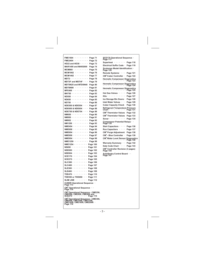| FME1504 ·<br>ï<br>٠.<br>ï<br>ï<br>ï<br>ï<br>ï<br>Page 71                                                 |
|----------------------------------------------------------------------------------------------------------|
| FME2404<br>×.<br>ï<br>×,<br>ï<br>Page 72                                                                 |
| HD22 and HD30 ·<br>ï<br>Page 73<br>ł,<br>í,                                                              |
| <b>MAR1400 and MAR2000</b><br>Page 74                                                                    |
| <b>MCM860 ·</b><br>ï<br>,<br>ï<br>ċ.<br>ï<br>ï<br>ï<br>Page 75                                           |
| <b>MCM1062</b><br>¥.<br>ï<br>ï<br>٠<br>ï<br>ï<br>ï<br>Page 76                                            |
| MCM1462<br>ï<br>$\cdot$<br>ï<br>ï<br>ï<br>ï<br>Page 77                                                   |
| $MDT2 \cdot \cdot \cdot$<br>ï<br>ï<br>ï<br>ï<br>ï<br>ï<br>Page 78                                        |
| <b>MDT3F and MDT4F</b><br>,<br>ł,<br>Page 79<br>ï                                                        |
| MDT5N25 and MTD5N40<br>Page 80                                                                           |
| MDT6N90<br>ï<br>ï<br>ï<br>ï<br>ł,<br>ï<br>ï<br>ł,<br>Page 81                                             |
| <b>MFE400</b><br>÷,<br>ï<br>ï<br>ï<br>ï<br>ï<br>ï<br>Page 82                                             |
| <b>MH750</b><br>$\cdot$<br>ï<br>ï<br>ï<br>ï<br>ï<br>ï<br>ï<br>Page 83<br>í,<br>,                         |
| <b>ND550</b><br>ï<br>ï<br>ï<br>ï<br>ï<br>ï<br>Page 84<br>ï<br>ï<br>í,<br>ł,                              |
| ï<br>ï<br><b>ND650</b><br>ï<br>ï<br>ï<br>ï<br>ï<br>ł,<br>ï<br>ł,<br>Page 85                              |
| <b>ND750</b><br>٠.<br>ï<br>ï<br>Page 86<br>ł.<br>í,<br>ä,<br>ł,                                          |
| <b>NDE550 &amp; NDE554</b><br>Page 87<br>ł,<br>í,                                                        |
| <b>NDE650 &amp; NDE654</b><br>,<br>Page 88                                                               |
| <b>NDE750 &amp; NDE754</b><br>,<br>Page 89<br>ï<br>ï                                                     |
| <b>NM650</b><br>$\cdot$<br>ï<br>ï<br>,<br>Page 90                                                        |
| <b>NM950</b><br>$\cdot$<br>ï<br>Page 91                                                                  |
| <b>NM952</b><br>ï<br>ï<br>Page 92<br>ï<br>,                                                              |
| NM1250<br>ï<br>Page 93                                                                                   |
| <b>NME454</b><br>ï<br>ï<br>ï<br>ï<br>ï<br>Page 94<br>í,                                                  |
| <b>NME650</b><br>,<br>Page 95                                                                            |
| <b>NME654</b><br>ï<br>ï<br>ï<br>ï<br>ï<br>ï<br>ï<br>Page 96<br>ï                                         |
| <b>NME950</b><br>ï<br>ï<br>ï<br>ï<br>ï<br>ï<br>ï<br>Page 97                                              |
| ï<br>ï<br>ï<br><b>NME954</b><br>ï<br>í<br>ï<br>ï<br>í<br>ï<br>Page 98                                    |
| NME1250-<br>ï<br>ï<br>ï<br>ï<br>ï<br>ï<br>ï<br>ï<br>Page 99                                              |
| ï<br>NME1254 ·<br>l<br>l<br>ï<br>Page 100                                                                |
| Page 101<br>NS650.<br>ï<br>ï<br>ï<br>í<br>ï<br>ï<br>í,<br>ï                                              |
| <b>NSE650 ·</b><br>l<br>ï<br>Page 102<br>í<br>ï<br>l,<br>í<br>í<br>í,                                    |
| <b>NSE654 ·</b><br>ï<br>ï<br>ï<br>ï<br>ï<br>Page 103<br>ï<br>ï<br>ï                                      |
| SCE170.<br>ï<br>ï<br>ï<br>ï<br>Page 104<br>ï<br>ï<br>ï                                                   |
| SCE275.<br>ï<br>ï<br>ï<br>ï<br><b>Page 105</b><br>,<br>ï<br>ï                                            |
| SLC300<br>ï<br>ï<br>ï<br>ï<br>ï<br><b>Page 106</b><br>ï<br>ï                                             |
| <b>SLC400 ·</b><br>ï<br>ï<br>ï<br>ï<br>ï<br>ï<br><b>Page 107</b><br>ï                                    |
| $SLE300$ .<br>,<br>ï<br>ï<br>ï<br>Page 108<br>ï                                                          |
| SLE400.<br>ï<br>ï<br>ï<br>Page 109<br>ï                                                                  |
| TDE470 ·<br>ï<br>ï<br>ï<br>,<br>Page 110<br>ï                                                            |
| TDE550 or TDE650 ·<br>Page 111<br>ï                                                                      |
| <b>SLIM LINE</b><br>×,<br>ï<br>×,<br>,<br>Page 112<br>ï                                                  |
| CUBER Operational Sequence<br>Page 113                                                                   |
| CM <sup>3</sup> Operational Sequence .<br>Page 114                                                       |
|                                                                                                          |
| CM <sup>3</sup> Operational Sequence - CME256,<br>CME506, CME656, CME806 and<br>SCE275                   |
| CM <sup>3</sup> Operational Sequence - CME306,<br>CME456, CME1056, CME1356,<br>CME1656, CME1856, CME2006 |
| Page 116                                                                                                 |

| SCE170 Operational Sequence .<br>Page 117                                |
|--------------------------------------------------------------------------|
| Page 118<br>Superheat containing                                         |
| <b>Electrical Suffix Code ·</b><br>Page 119                              |
| Scotsman Model Identification: .<br>Page 120                             |
| Remote Systems · · · ·<br>Page 121                                       |
| CM <sup>3</sup> Cuber Controller ·<br>Page 122                           |
| <b>Hermetic Compressor Diagnostics</b><br>Page 123<br>. :                |
| <b>Hermetic Compressor Diagnostics</b><br>Page 124<br>. :                |
| Hermetic Compressor Diagnostics<br>Page 125                              |
| Hot Gas Valves · · ·<br>Page 126                                         |
| Kits ·<br>Page 127                                                       |
| Ice Storage Bin Doors .<br>Page 128                                      |
| Inlet Water Valves · ·<br>Page 129                                       |
| <b>Cuber Capacity Check</b><br>Page 130                                  |
| <b>Refrigerant Temperature-Pressure</b><br>Chart<br>Page 131<br>.        |
| <b>CM<sup>3</sup> Thermistor Values</b><br>Page 132                      |
| <b>CM<sup>3</sup> Thermistor Values</b><br>Page 133                      |
| Sonar $\cdot$ $\cdot$<br>Page 134                                        |
| Compressor Potential Relays · ·<br>Page 135                              |
| Start Capacitors ·<br>Page 136                                           |
| <b>Run Capacitors</b><br>Page 137                                        |
| CM <sup>3</sup> Purge Adjustment<br>Page 138                             |
| CM <sup>3</sup> - Blue Controller<br>Page 139                            |
| <b>CM<sup>3</sup> Water Level Sensor</b><br>Diagnostics<br>Page 140<br>. |
| Warranty Summary · ·<br>Page 142                                         |
| Date Code Chart · · · ·<br>Page 143                                      |
| CM <sup>3</sup> Controller Revision (3 pages)<br>Page 144                |
| <b>AutoSentry Control Board</b><br>Page 147                              |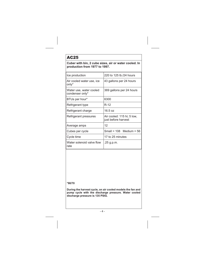# <span id="page-3-0"></span>AC25

**Cuber with bin, 2 cube sizes, air or water cooled. In production from 1977 to 1997.**

| Ice production                             | 220 to 125 lb./24 hours                           |  |  |  |  |
|--------------------------------------------|---------------------------------------------------|--|--|--|--|
| Air cooled water use, ice<br>only*         | 43 gallons per 24 hours                           |  |  |  |  |
| Water use, water cooled<br>condenser only* | 369 gallons per 24 hours                          |  |  |  |  |
| BTUs per hour*                             | 6300                                              |  |  |  |  |
| Refrigerant type                           | R-12                                              |  |  |  |  |
| Refrigerant charge                         | 16.5 oz                                           |  |  |  |  |
| Refrigerant pressures                      | Air cooled: 115 hi; 5 low,<br>just before harvest |  |  |  |  |
| Average amps                               | 12                                                |  |  |  |  |
| Cubes per cycle                            | Small = $108$ Medium = $56$                       |  |  |  |  |
| Cycle time                                 | 17 to 25 minutes                                  |  |  |  |  |
| Water solenoid valve flow<br>rate          | .25 g.p.m.                                        |  |  |  |  |

**\*90/70**

**During the harvest cycle, on air cooled models the fan and pump cycle with the discharge pressure. Water cooled discharge pressure is 135 PSIG.**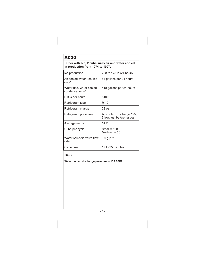# <span id="page-4-0"></span>AC30

**Cuber with bin, 2 cube sizes air and water cooled. In production from 1974 to 1997.**

| Ice production                             | 258 to 173 lb./24 hours                                  |
|--------------------------------------------|----------------------------------------------------------|
| Air cooled water use, ice<br>only*         | 84 gallons per 24 hours                                  |
| Water use, water cooled<br>condenser only* | 418 gallons per 24 hours                                 |
| BTUs per hour*                             | 8100                                                     |
| Refrigerant type                           | $R-12$                                                   |
| Refrigerant charge                         | 72 פ                                                     |
| Refrigerant pressures                      | Air cooled: discharge:125;<br>5 low, just before harvest |
| Average amps                               | 14.2                                                     |
| Cube per cycle                             | Small = 198,<br>Medium = $56$                            |
| Water solenoid valve flow<br>rate          | .50 g.p.m.                                               |
| Cycle time                                 | 17 to 25 minutes                                         |

### **\*90/70**

**Water cooled discharge pressure is 135 PSIG.**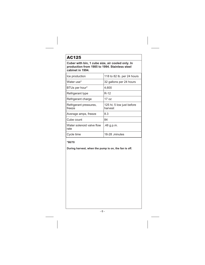# <span id="page-5-0"></span>AC125

**Cuber with bin, 1 cube size, air cooled only. In production from 1985 to 1994. Stainless steel cabinet in 1994.**

| Ice production                    | 118 to 82 lb. per 24 hours           |
|-----------------------------------|--------------------------------------|
| Water use*                        | 32 gallons per 24 hours              |
| BTUs per hour*                    | 4,600                                |
| Refrigerant type                  | R-12                                 |
| Refrigerant charge                | 17 oz                                |
| Refrigerant pressures,<br>freeze  | 125 hi; 5 low just before<br>harvest |
| Average amps, freeze              | 8.3                                  |
| Cube count                        | 84                                   |
| Water solenoid valve flow<br>rate | .48 g.p.m.                           |
| Cycle time                        | 18-28 minutes                        |

### **\*90/70**

**During harvest, when the pump is on, the fan is off.**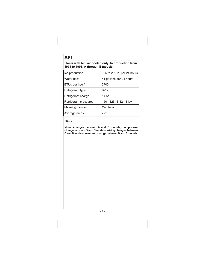# <span id="page-6-0"></span>AF1

**Flaker with bin, air cooled only. In production from 1974 to 1993, A through E models.**

| Ice production        | 335 to 209 lb. per 24 hours |
|-----------------------|-----------------------------|
| Water use*            | 41 gallons per 24 hours     |
| BTUs per hour*        | 3700                        |
| Refrigerant type      | $R-12$                      |
| Refrigerant charge    | 14 $pz$                     |
| Refrigerant pressures | 150 - 125 hi; 12-13 low     |
| Metering device       | Cap tube                    |
| Average amps          | 7.8                         |

#### **\*90/70**

**Minor changes between A and B models; compressor change between B and C models; wiring changes between C and D models; reservoir change between D and E models.**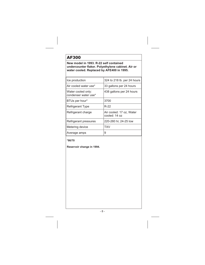# <span id="page-7-0"></span>**AF300**

**New model in 1993. R-22 self contained undercounter flaker. Polyethylene cabinet. Air or water cooled. Replaced by AFE400 in 1995.**

| Ice production                             | 324 to 218 lb. per 24 hours                 |
|--------------------------------------------|---------------------------------------------|
| Air cooled water use*                      | 33 gallons per 24 hours                     |
| Water cooled only:<br>condenser water use* | 438 gallons per 24 hours                    |
| BTUs per hour*                             | 3700                                        |
| <b>Refrigerant Type</b>                    | R-22                                        |
| Refrigerant charge                         | Air cooled: 17 oz, Water<br>cooled: $14$ oz |
| Refrigerant pressures                      | 220-260 hi; 24-25 low                       |
| Metering device                            | TXV                                         |
| Average amps                               | 9                                           |

### **\*90/70**

**Reservoir change in 1994.**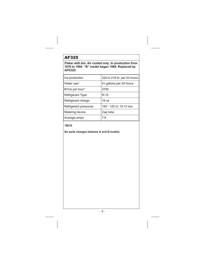### <span id="page-8-0"></span>AF325

**Flaker with bin. Air cooled only. In production from 1978 to 1994. "B" model began 1988. Replaced by AFE325.**

| Ice production        | 324 to 218 lb. per 24 hours |
|-----------------------|-----------------------------|
| Water use*            | 41 gallons per 24 hours     |
| BTUs per hour*        | 3700                        |
| Refrigerant Type      | $R-12$                      |
| Refrigerant charge    | 14 $pz$                     |
| Refrigerant pressures | 150 - 125 hi; 12-13 low     |
| Metering device       | Cap tube                    |
| Average amps          | 7.8                         |

#### **\*90/70**

**No parts changes between A and B models.**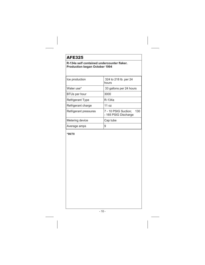# <span id="page-9-0"></span>**AFE325**

### **R-134a self contained undercounter flaker. Production began October 1994**

| Ice production          | 324 to 218 lb. per 24<br>hours                      |
|-------------------------|-----------------------------------------------------|
| Water use*              | 33 gallons per 24 hours                             |
| <b>BTUs per hour</b>    | 3000                                                |
| <b>Refrigerant Type</b> | R-134a                                              |
| Refrigerant charge      | 11 $oz$                                             |
| Refrigerant pressures   | 7 - 10 PSIG Suction:<br>130<br>- 165 PSIG Discharge |
| Metering device         | Cap tube                                            |
| Average amps            | 9                                                   |

**\*90/70**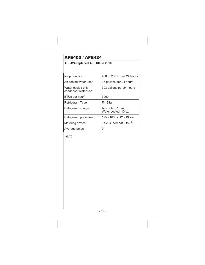## <span id="page-10-0"></span>**AFE400 / AFE424**

### **AFE424 replaced AFE400 in 2010.**

| 400 to 250 lb. per 24 hours               |
|-------------------------------------------|
| 36 gallons per 24 hours                   |
| 393 gallons per 24 hours                  |
| 3000                                      |
| R-134a                                    |
| Air cooled: 15 oz.<br>Water cooled: 10 oz |
| 125 - 160 hi; 12 - 13 low                 |
| TXV, superheat 6 to 8 <sup>o</sup> F.     |
| 9                                         |
|                                           |

**\*90/70**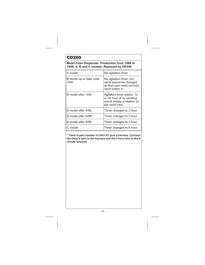# <span id="page-11-0"></span>CD200

**Motel Cube Dispenser. Production from 1988 to 1998. A, B and C models. Replaced by HD356.**

| A model                         | No agitation timer                                                                                       |
|---------------------------------|----------------------------------------------------------------------------------------------------------|
| B model up to date code<br>-04K | No agitation timer, but<br>vend sequence changed<br>so that user need not hold<br>vend button in         |
| B model after -04K              | Agitation timer added. 12<br>or 24 hour of no vending<br>would initiate a rotation of<br>the vend rotor. |
| B model after 9/96              | Timer changed to 2 hour                                                                                  |
| B model after 4/98*             | Timer changed to 3 hour                                                                                  |
| B model after 6/98              | Timer changed to 2 hour                                                                                  |
| C model                         | Timer changed to 6 hour                                                                                  |

**\* Timer is part number 12-2431-01 plus a harness. Connect the timer's wire to the harness and the 3 hour wire to the 6 minute terminal.**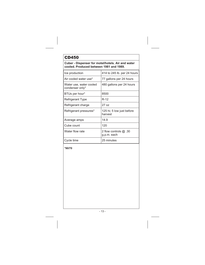### <span id="page-12-0"></span>CD450

**Cuber - Dispenser for motel/hotels. Air and water cooled. Produced between 1981 and 1989.**

| Ice production                             | 414 to 245 lb. per 24 hours           |
|--------------------------------------------|---------------------------------------|
| Air cooled water use*                      | 77 gallons per 24 hours               |
| Water use, water cooled<br>condenser only* | 480 gallons per 24 hours              |
| BTUs per hour*                             | 8500                                  |
| Refrigerant Type                           | R-12                                  |
| Refrigerant charge                         | 77 פר                                 |
| Refrigerant pressures*                     | 125 hi; 5 low just before<br>harvest  |
| Average amps                               | 14.9                                  |
| Cube count                                 | 120                                   |
| Water flow rate                            | 2 flow controls $@.30$<br>g.p.m. each |
| Cycle time                                 | 25 minutes                            |

**\*90/70**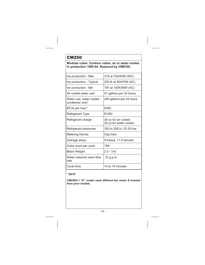#### <span id="page-13-0"></span>**Modular cuber. Contour cubes, air or water cooled. In production 1985-94. Replaced by CME250.**

| Ice production - Max                       | 318 at 70A/50W (WC)                             |
|--------------------------------------------|-------------------------------------------------|
| Ice production - Typical                   | 230 lb at 90A70W (AC)                           |
| Ice production - Min                       | 187 at 100A/90W (AC)                            |
| Air cooled water use*                      | 41 gallons per 24 hours                         |
| Water use, water cooled<br>condenser only* | 454 gallons per 24 hours                        |
| BTUs per hour*                             | 6300                                            |
| <b>Refrigerant Type</b>                    | R-502                                           |
| Refrigerant charge                         | 34 oz for air cooled,<br>30 oz for water cooled |
| Refrigerant pressures                      | 350 to 200 hi; 22-30 low                        |
| <b>Metering Device</b>                     | Cap tube                                        |
| Average amps                               | 9 freeze, 11.8 harvest                          |
| Cube count per cycle                       | 199                                             |
| Batch Weight                               | $2.5 - 3 lb$                                    |
| Water solenoid valve flow<br>rate          | .33 g.p.m.                                      |
| Cycle time                                 | 14 to 18 minutes                                |

#### **\* 90/70**

**CM250A-1 "E" model used different fan motor & bracket from prior models.**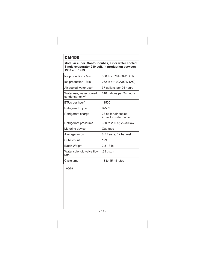<span id="page-14-0"></span>**Modular cuber. Contour cubes, air or water cooled. Single evaporator 230 volt. In production between 1983 and 1993.**

| Ice production - Max                       | 368 lb at 70A/50W (AC)                          |
|--------------------------------------------|-------------------------------------------------|
| Ice production - Min                       | 262 lb at 100A/90W (AC)                         |
| Air cooled water use*                      | 37 gallons per 24 hours                         |
| Water use, water cooled<br>condenser only* | 610 gallons per 24 hours                        |
| BTUs per hour*                             | 11500                                           |
| Refrigerant Type                           | R-502                                           |
| Refrigerant charge                         | 28 oz for air cooled,<br>26 oz for water cooled |
| Refrigerant pressures                      | 350 to 200 hi; 22-30 low                        |
| Metering device                            | Cap tube                                        |
| Average amps                               | 8.5 freeze, 12 harvest                          |
| Cube count                                 | 199                                             |
| <b>Batch Weight</b>                        | $2.5 - 3$ lb                                    |
| Water solenoid valve flow<br>rate          | .33 g.p.m.                                      |
| Cycle time                                 | 13 to 15 minutes                                |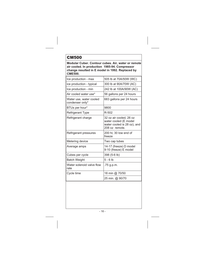<span id="page-15-0"></span>**Modular Cuber. Contour cubes. Air, water or remote air cooled. In production 1985-94. Compressor change resulted in E model in 1992. Replaced by CME500.**

| Ice production - max                       | 505 lb at 70A/50W (WC)                                                                            |
|--------------------------------------------|---------------------------------------------------------------------------------------------------|
| ice production - typical                   | 300 lb at 90A/70W (AC)                                                                            |
| Ice production - min                       | 242 lb at 100A/90W (AC)                                                                           |
| Air cooled water use*                      | 56 gallons per 24 hours                                                                           |
| Water use, water cooled<br>condenser only* | 683 gallons per 24 hours                                                                          |
| BTUs per hour*                             | 9800                                                                                              |
| <b>Refrigerant Type</b>                    | R-502                                                                                             |
| Refrigerant charge                         | 32 oz air cooled, 26 oz<br>water cooled (E model<br>water cooled is 28 oz), and<br>208 oz remote. |
| Refrigerant pressures                      | 200 hi; 30 low end of<br>freeze                                                                   |
| Metering device                            | Two cap tubes                                                                                     |
| Average amps                               | 14-17 (freeze) D model<br>9-10 (freeze) E model                                                   |
| Cubes per cycle                            | 398 (5-6 lb)                                                                                      |
| <b>Batch Weight</b>                        | $5 - 6$ lb                                                                                        |
| Water solenoid valve flow<br>rate          | .75 g.p.m.                                                                                        |
| Cycle time                                 | 18 min @ 70/50                                                                                    |
|                                            | 25 min. @ 90/70                                                                                   |
|                                            |                                                                                                   |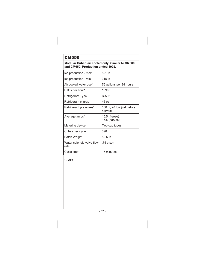#### <span id="page-16-0"></span>**Modular Cuber, air cooled only. Similar to CM500 and CM650. Production ended 1992.**

| Ice production - max              | 521 lb                                |
|-----------------------------------|---------------------------------------|
| Ice production - min              | 315 lb                                |
| Air cooled water use*             | 76 gallons per 24 hours               |
| BTUs per hour*                    | 10900                                 |
| Refrigerant Type                  | R-502                                 |
| Refrigerant charge                | 46 იz                                 |
| Refrigerant pressures*            | 180 hi; 28 low just before<br>harvest |
| Average amps*                     | 15.5 (freeze)<br>17.5 (harvest)       |
| Metering device                   | Two cap tubes                         |
| Cubes per cycle                   | 398                                   |
| Batch Weight                      | $5 - 6$ lb                            |
| Water solenoid valve flow<br>rate | .75 g.p.m.                            |
| Cycle time*                       | 17 minutes                            |

**\* 70/50**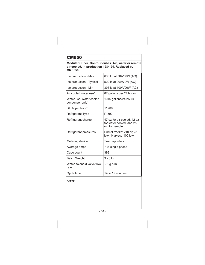<span id="page-17-0"></span>**Modular Cuber. Contour cubes. Air, water or remote air cooled. In production 1984-94. Replaced by CME650.**

| Ice production - Max                       | 630 lb. at 70A/50W (AC)                                                    |
|--------------------------------------------|----------------------------------------------------------------------------|
| Ice production - Typical                   | 502 lb at 90A/70W (AC)                                                     |
| Ice production - Min                       | 396 lb at 100A/90W (AC)                                                    |
| Air cooled water use*                      | 87 gallons per 24 hours                                                    |
| Water use, water cooled<br>condenser only* | 1016 gallons/24 hours                                                      |
| BTUs per hour*                             | 11700                                                                      |
| <b>Refrigerant Type</b>                    | R-502                                                                      |
| Refrigerant charge                         | 47 oz for air cooled, 42 oz<br>for water cooled, and 256<br>oz for remote. |
| Refrigerant pressures                      | End of freeze: 210 hi: 23<br>low. Harvest: 100 low.                        |
| Metering device                            | Two cap tubes                                                              |
| Average amps                               | 7-9, single phase                                                          |
| Cube count                                 | 398                                                                        |
| <b>Batch Weight</b>                        | $3 - 6$ lb                                                                 |
| Water solenoid valve flow<br>rate          | .75 g.p.m.                                                                 |
| Cycle time                                 | 14 to 19 minutes                                                           |

**\*90/70**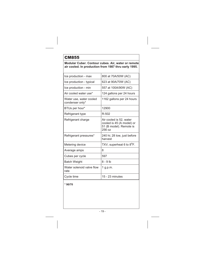### <span id="page-18-0"></span>**Modular Cuber. Contour cubes. Air, water or remote air cooled. In production from 1987 thru early 1995.**

| Ice production - max                       | 800 at 70A/50W (AC)                                                                       |
|--------------------------------------------|-------------------------------------------------------------------------------------------|
| Ice production - typical                   | 623 at 90A/70W (AC)                                                                       |
| Ice production - min                       | 557 at 100A/90W (AC)                                                                      |
| Air cooled water use*                      | 124 gallons per 24 hours                                                                  |
| Water use, water cooled<br>condenser only* | 1162 gallons per 24 hours                                                                 |
| BTUs per hour*                             | 12900                                                                                     |
| Refrigerant type                           | R-502                                                                                     |
| Refrigerant charge                         | Air cooled is 52, water<br>cooled is 45 (A model) or<br>51 (B model). Remote is<br>256 oz |
| Refrigerant pressures*                     | 240 hi; 28 low, just before<br>harvest                                                    |
| Metering device                            | TXV, superheat 6 to 8 <sup>o</sup> F.                                                     |
| Average amps                               | 8                                                                                         |
| Cubes per cycle                            | 597                                                                                       |
| <b>Batch Weight</b>                        | $8 - 9$ lb                                                                                |
| Water solenoid valve flow<br>rate          | 1 g.p.m.                                                                                  |
| Cycle time                                 | 15 - 23 minutes                                                                           |
|                                            |                                                                                           |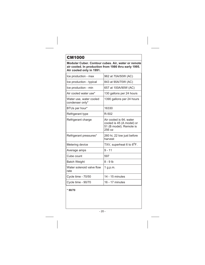<span id="page-19-0"></span>**Modular Cuber. Contour cubes. Air, water or remote air cooled. In production from 1986 thru early 1995. Air cooled only in 1991.**

| Ice production - max                       | 962 at 70A/50W (AC)                                                                       |
|--------------------------------------------|-------------------------------------------------------------------------------------------|
| Ice production - typical                   | 843 at 90A/70W (AC)                                                                       |
| Ice production - min                       | 657 at 100A/90W (AC)                                                                      |
| Air cooled water use*                      | 130 gallons per 24 hours                                                                  |
| Water use, water cooled<br>condenser only* | 1390 gallons per 24 hours                                                                 |
| BTUs per hour*                             | 16330                                                                                     |
| Refrigerant type                           | R-502                                                                                     |
| Refrigerant charge                         | Air cooled is 64, water<br>cooled is 45 (A model) or<br>51 (B model). Remote is<br>256 oz |
| Refrigerant pressures*                     | 260 hi, 22 low just before<br>harvest                                                     |
| Metering device                            | TXV, superheat 6 to 8 <sup>o</sup> F.                                                     |
| Average amps                               | $9 - 11$                                                                                  |
| Cube count                                 | 597                                                                                       |
| <b>Batch Weight</b>                        | $8 - 9$ lb                                                                                |
| Water solenoid valve flow<br>rate          | $1$ g.p.m.                                                                                |
| Cycle time - 70/50                         | $14 - 15$ minutes                                                                         |
| Cycle time - 90/70                         | 16 - 17 minutes                                                                           |
|                                            |                                                                                           |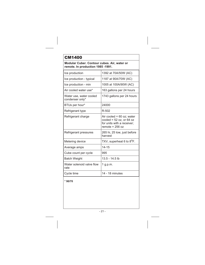### <span id="page-20-0"></span>**Modular Cuber. Contour cubes. Air, water or remote. In production 1985 -1991.**

| Ice production                             | 1392 at 70A/50W (AC)                                                                                         |
|--------------------------------------------|--------------------------------------------------------------------------------------------------------------|
| Ice production - typical                   | 1187 at 90A/70W (AC)                                                                                         |
| Ice production - min                       | 1005 at 100A/90W (AC)                                                                                        |
| Air cooled water use*                      | 163 gallons per 24 hours                                                                                     |
| Water use, water cooled<br>condenser only* | 1743 gallons per 24 hours                                                                                    |
| BTUs per hour*                             | 24000                                                                                                        |
| Refrigerant type                           | R-502                                                                                                        |
| Refrigerant charge                         | Air cooled = $60$ oz; water<br>cooled = $52$ oz, or $64$ oz<br>for units with a receiver:<br>remote = 256 oz |
| Refrigerant pressures                      | 265 hi, 25 low, just before<br>harvest                                                                       |
| Metering device                            | TXV, superheat 6 to 8 <sup>o</sup> F.                                                                        |
| Average amps                               | $14 - 15$                                                                                                    |
| Cube count per cycle                       | 995                                                                                                          |
| <b>Batch Weight</b>                        | 13.5 - 14.5 lb                                                                                               |
| Water solenoid valve flow<br>rate          | 1 g.p.m.                                                                                                     |
| Cycle time                                 | 14 - 18 minutes                                                                                              |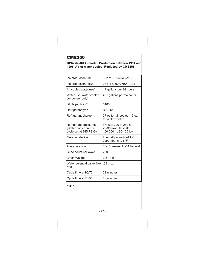#### <span id="page-21-0"></span>**HP62 (R-404A) model. Production between 1994 and 1996. Air or water cooled. Replaced by CME256.**

| 302 at 70A/50W (AC)                                                      |
|--------------------------------------------------------------------------|
| 234 lb at 90A/70W (AC)                                                   |
| 47 gallons per 24 hours                                                  |
| 431 gallons per 24 hours                                                 |
| 5100                                                                     |
| R-404A                                                                   |
| 27 oz for air cooled, 17 oz<br>for water cooled                          |
| Freeze: 220 to 280 hi;<br>28-35 low. Harvest:<br>160-200 hi, 86-100 low. |
| Internally equalized TXV,<br>superheat 6 to 8 <sup>o</sup> F.            |
| 10-13 freeze, 11-14 harvest                                              |
| 200                                                                      |
| $2.5 - 3$ lb                                                             |
| .33 g.p.m.                                                               |
| 21 minutes                                                               |
| 16 minutes                                                               |
|                                                                          |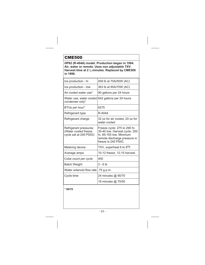<span id="page-22-0"></span>**HP62 (R-404A) model. Production began in 1994. Air, water or remote. Uses non adjustable TXV. Harvest time at 2 <sup>2</sup> <sup>3</sup> minutes. Replaced by CME506 in 1996.**

| Ice production - hi                                                     | 459 lb at 70A/50W (AC)                                                                                                                          |
|-------------------------------------------------------------------------|-------------------------------------------------------------------------------------------------------------------------------------------------|
| Ice production - low                                                    | 363 lb at 90A/70W (AC)                                                                                                                          |
| Air cooled water use*                                                   | 90 gallons per 24 hours                                                                                                                         |
| condenser only*                                                         | Water use, water cooled 642 gallons per 24 hours                                                                                                |
| BTUs per hour*                                                          | 6275                                                                                                                                            |
| Refrigerant type                                                        | R-404A                                                                                                                                          |
| Refrigerant charge                                                      | 32 oz for air cooled, 20 oz for<br>water cooled                                                                                                 |
| Refrigerant pressures<br>(Water cooled freeze<br>cycle set at 245 PSIG) | Freeze cycle: 275 to 290 hi;<br>35-40 low. Harvest cycle: 200<br>hi, 85-105 low. Minimum<br>remote discharge pressure in<br>freeze is 240 PSIG. |
| Metering device                                                         | TXV, superheat 6 to 8 <sup>o</sup> F.                                                                                                           |
| Average amps                                                            | 10-12 freeze, 12-15 harvest                                                                                                                     |
| Cube count per cycle                                                    | 400                                                                                                                                             |
| <b>Batch Weight</b>                                                     | $3 - 6$ lb                                                                                                                                      |
| Water solenoid flow rate                                                | .75 g.p.m.                                                                                                                                      |
| Cycle time                                                              | 24 minutes @ 90/70                                                                                                                              |
|                                                                         | 19 minutes @ 70/50                                                                                                                              |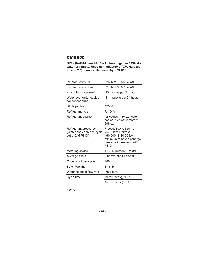<span id="page-23-0"></span>**HP62 (R-404A) model. Production began in 1994. Air water or remote. Uses non adjustable TXV. Harvest time at 2 <sup>2</sup> <sup>3</sup> minutes. Replaced by CME656.**

| Ice production - hi                                                     | 626 lb at 70A/50W (AC)                                                                                                                    |
|-------------------------------------------------------------------------|-------------------------------------------------------------------------------------------------------------------------------------------|
| Ice production - low                                                    | 527 lb at 90A/70W (AC)                                                                                                                    |
| Air cooled water use*                                                   | 93 gallons per 24 hours                                                                                                                   |
| Water use, water cooled<br>condenser only*                              | 811 gallons per 24 hours                                                                                                                  |
| BTUs per hour*                                                          | 12500                                                                                                                                     |
| Refrigerant type                                                        | R-404A                                                                                                                                    |
| Refrigerant charge                                                      | Air cooled = 36 oz; water<br>cooled = $27$ oz; remote =<br>208 oz                                                                         |
| Refrigerant pressures<br>(Water cooled freeze cycle<br>set at 245 PSIG) | Freeze: 300 to 350 hi;<br>25-30 low. Harvest:<br>160-200 hi, 80-90 low.<br>Minimum remote discharge<br>pressure in freeze is 240<br>PSIG. |
| Metering device                                                         | TXV, superheat 6 to 8 <sup>o</sup> F.                                                                                                     |
| Average amps                                                            | 8 freeze, 9-11 harvest                                                                                                                    |
| Cube count per cycle                                                    | 400                                                                                                                                       |
| <b>Batch Weight</b>                                                     | $3 - 6$ lb                                                                                                                                |
| Water solenoid flow rate                                                | .75 g.p.m.                                                                                                                                |
| Cycle time                                                              | 19 minutes @ 90/70                                                                                                                        |
|                                                                         | 15 minutes @ 70/50                                                                                                                        |
|                                                                         |                                                                                                                                           |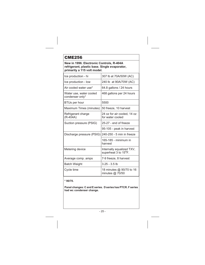<span id="page-24-0"></span>**New in 1996. Electronic Controls, R-404A refrigerant, plastic base. Single evaporator, primarily a 115 volt model.**

| Ice production - hi                        | 307 lb at 70A/50W (AC)                                         |
|--------------------------------------------|----------------------------------------------------------------|
| Ice production - low                       | 240 lb at 90A/70W (AC)                                         |
| Air cooled water use*                      | 64.8 gallons / 24 hours                                        |
| Water use, water cooled<br>condenser only* | 468 gallons per 24 hours                                       |
| BTUs per hour                              | 5500                                                           |
| Maximum Times (minutes)                    | 50 freeze, 10 harvest                                          |
| Refrigerant charge<br>(R-404A)             | 24 oz for air cooled, 14 oz<br>for water cooled                |
| Suction pressure (PSIG)                    | 25-27 - end of freeze                                          |
|                                            | 95-105 - peak in harvest                                       |
| Discharge pressure (PSIG)                  | 240-250 - 5 min in freeze                                      |
|                                            | 165-185 - minimum in<br>harvest                                |
| Metering device                            | Internally equalized TXV,<br>superheat 3 to 15 <sup>o</sup> F. |
| Average comp. amps                         | 7-9 freeze, 8 harvest                                          |
| <b>Batch Weight</b>                        | $3.25 - 3.5$ lb                                                |
| Cycle time                                 | 18 minutes @ 90/70 to 16<br>minutes @ 70/50                    |

**\* 90/70.**

**Panel changes: C and E series. D series has PTCR. F series had wc condenser change.**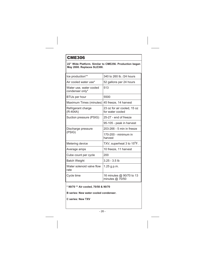#### <span id="page-25-0"></span>**22" Wide Platform. Similar to CME256. Production began May 2000. Replaces SLE300.**

| Ice production**                           | 340 to 260 lb. /24 hours                        |
|--------------------------------------------|-------------------------------------------------|
| Air cooled water use*                      | 52 gallons per 24 hours                         |
| Water use, water cooled<br>condenser only* | 513                                             |
| BTUs per hour                              | 5500                                            |
| Maximum Times (minutes)                    | 45 freeze, 14 harvest                           |
| Refrigerant charge<br>$(R-404A)$           | 23 oz for air cooled, 15 oz<br>for water cooled |
| Suction pressure (PSIG)                    | 25-27 - end of freeze                           |
|                                            | 95-105 - peak in harvest                        |
| Discharge pressure<br>(PSIG)               | 203-266 - 5 min in freeze                       |
|                                            | $170-200$ - minimum in<br>harvest               |
| Metering device                            | TXV, superheat 3 to 15 <sup>o</sup> F.          |
| Average amps                               | 10 freeze, 11 harvest                           |
| Cube count per cycle                       | 200                                             |
| Batch Weight                               | $3.25 - 3.5$ lb                                 |
| Water solenoid valve flow<br>rate          | $1.25$ g.p.m.                                   |
| Cycle time                                 | 16 minutes @ 90/70 to 13<br>minutes $@$ 70/50   |

**\* 90/70 \*\* Air cooled, 70/50 & 90/70**

**B series: New water cooled condenser.**

**C series: New TXV**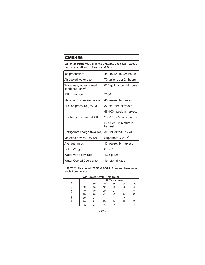<span id="page-26-0"></span>**22" Wide Platform. Similar to CME506. Uses two TXVs. C series has different TXVs from A & B.**

| Ice production**                           | 480 to 420 lb. /24 hours          |
|--------------------------------------------|-----------------------------------|
| Air cooled water use*                      | 70 gallons per 24 hours           |
| Water use, water cooled<br>condenser only* | 634 gallons per 24 hours          |
| BTUs per hour                              | 7000                              |
| Maximum Times (minutes)                    | 45 freeze, 14 harvest             |
| Suction pressure (PSIG)                    | 32-36 - end of freeze             |
|                                            | 88-100 - peak in harvest          |
| Discharge pressure (PSIG)                  | 236-293 - 5 min in freeze         |
|                                            | 204-224 - minimum in<br>harvest   |
| Refrigerant charge (R-404A)                | AC: 24 oz WC: 17 oz               |
| Metering device TXV (2)                    | Superheat 3 to 15 <sup>o</sup> F. |
| Average amps                               | 13 freeze, 14 harvest             |
| <b>Batch Weight</b>                        | $6.5 - 7$ lb                      |
| Water valve flow rate                      | 1.25 g.p.m.                       |
| Water Cooled Cycle time                    | 19 - 20 minutes                   |

**\* 90/70 \*\* Air cooled, 70/50 & 90/70. B series: New water cooled condenser.**

| Air Cooled Cycle Time Detail |     |                 |    |    |    |     |
|------------------------------|-----|-----------------|----|----|----|-----|
|                              |     | Air Temperature |    |    |    |     |
|                              |     | 50              | 70 | 80 | 90 | 100 |
| Water Temperature            | 40  | 18              | 19 | 20 | 22 | 23  |
|                              | 50  | 19              | 20 | 21 | 23 | 24  |
|                              | 70  | 20              | 21 | 22 | 24 | 26  |
|                              | 80  | 21              | 22 | 23 | 25 | 27  |
|                              | 90  | 22              | 23 | 24 | 26 | 28  |
|                              | 100 | 23              | 24 | 25 | 27 | 29  |
|                              |     |                 |    |    |    |     |

#### **Air Cooled Cycle Time Detail**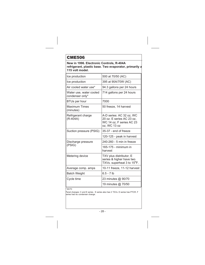<span id="page-27-0"></span>**New in 1996. Electronic Controls, R-404A refrigerant, plastic base. Two evaporator, primarily a 115 volt model.**

| 500 at 70/50 (AC)                                                                                 |
|---------------------------------------------------------------------------------------------------|
| 395 at 90A/70W (AC)                                                                               |
| 94.3 gallons per 24 hours                                                                         |
| 714 gallons per 24 hours                                                                          |
| 7000                                                                                              |
| 50 freeze, 14 harvest                                                                             |
| A-D series: AC 32 oz, WC<br>20 oz. E series AC 23 oz,<br>WC 14 oz, F series AC 23<br>oz, WC 13 oz |
| 35-37 - end of freeze                                                                             |
| 120-125 - peak in harvest                                                                         |
| 240-260 - 5 min in freeze                                                                         |
| 165-175 - minimum in<br>harvest                                                                   |
| TXV plus distributor, E<br>series & higher have two<br>TXVs. superheat 3 to 15°F.                 |
| 10-11 freeze, 11-12 harvest                                                                       |
| $6.5 - 7$ lb                                                                                      |
| 23 minutes @ 90/70                                                                                |
| 19 minutes @ 70/50                                                                                |
|                                                                                                   |

\* 90/70

Panel changes: C and E series. E series also has 2 TXVs. D series has PTCR. F series had wc condenser change.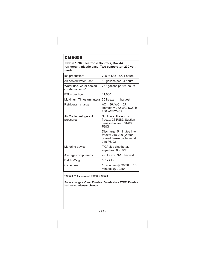<span id="page-28-0"></span>**New in 1996. Electronic Controls, R-404A refrigerant, plastic base. Two evaporator, 230 volt model.**

| Ice production**                           | 705 to 585 lb./24 hours                                                                        |
|--------------------------------------------|------------------------------------------------------------------------------------------------|
| Air cooled water use*                      | 88 gallons per 24 hours                                                                        |
| Water use, water cooled<br>condenser only* | 767 gallons per 24 hours                                                                       |
| <b>BTUs per hour</b>                       | 11,000                                                                                         |
| Maximum Times (minutes)                    | 50 freeze, 14 harvest                                                                          |
| Refrigerant charge                         | $AC = 36$ ; WC = 27;<br>Remote = 232 w/ERC201:<br>280 w/FRC402                                 |
| Air Cooled refrigerant<br>pressures        | Suction at the end of<br>freeze: 26 PSIG; Suction<br>peak in harvest: 84-88<br>PSIG            |
|                                            | Discharge, 5 minutes into<br>freeze: 215-290 (Water<br>cooled freeze cycle set at<br>245 PSIG) |
| Metering device                            | TXV plus distributor,<br>superheat 6 to 8 <sup>o</sup> F.                                      |
| Average comp. amps                         | 7-8 freeze, 9-10 harvest                                                                       |
| <b>Batch Weight</b>                        | $6.5 - 7$ lb                                                                                   |
| Cycle time                                 | 16 minutes @ 90/70 to 15<br>minutes @ 70/50                                                    |

**\* 90/70 \*\* Air cooled, 70/50 & 90/70**

**Panel changes: C and E series. D series has PTCR. F series had wc condenser change.**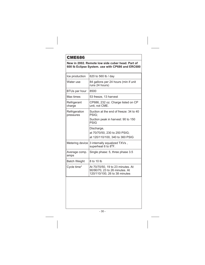### <span id="page-29-0"></span>**New in 2002. Remote low side cuber head. Part of 600 lb Eclipse System. use with CP686 and ERC680**

| Ice production             | 620 to 560 lb / day                                                                                  |
|----------------------------|------------------------------------------------------------------------------------------------------|
| Water use                  | 84 gallons per 24 hours (min if unit<br>runs 24 hours)                                               |
| BTUs per hour              | 8500                                                                                                 |
| Max times                  | 53 freeze, 13 harvest                                                                                |
| Refrigerant<br>charge      | CP686, 232 oz. Charge listed on CP<br>unit, not CME.                                                 |
| Refrigeration<br>pressures | Suction at the end of freeze: 34 to 40<br>PSIG:                                                      |
|                            | Suction peak in harvest: 90 to 150<br>PSIG                                                           |
|                            | Discharge,                                                                                           |
|                            | at 70/70/50, 230 to 250 PSIG;                                                                        |
|                            | at 120/110/100, 340 to 360 PSIG                                                                      |
| Metering device            | 3 internally equalized TXVs,<br>superheat 6 to 8 <sup>o</sup> F.                                     |
| Average comp.<br>amps      | Single phase: 5, three phase 3.5                                                                     |
| <b>Batch Weight</b>        | 8 to 10 lb                                                                                           |
| Cycle time*                | At 70/70/50, 19 to 23 minutes. At<br>90/90/70, 23 to 26 minutes. At<br>120/110/100, 26 to 38 minutes |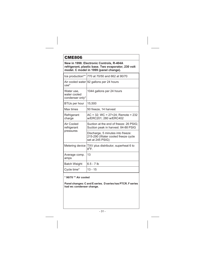<span id="page-30-0"></span>

| New in 1998. Electronic Controls, R-404A<br>refrigerant, plastic base. Two evaporator, 230 volt<br>model. C model in 1999 (panel change). |                                                                                             |  |  |  |
|-------------------------------------------------------------------------------------------------------------------------------------------|---------------------------------------------------------------------------------------------|--|--|--|
|                                                                                                                                           | Ice production** 770 at 70/50 and 662 at 90/70                                              |  |  |  |
| $use*$                                                                                                                                    | Air cooled water 92 gallons per 24 hours                                                    |  |  |  |
| Water use,<br>water cooled<br>condenser only*                                                                                             | 1044 gallons per 24 hours                                                                   |  |  |  |
| <b>BTUs per hour</b>                                                                                                                      | 15,500                                                                                      |  |  |  |
| Max times                                                                                                                                 | 50 freeze, 14 harvest                                                                       |  |  |  |
| Refrigerant<br>charge                                                                                                                     | $AC = 32$ ; WC = 27=24; Remote = 232<br>w/ERC201; 280 w/ERC402                              |  |  |  |
| Air Cooled<br>refrigerant<br>pressures                                                                                                    | Suction at the end of freeze: 26 PSIG;<br>Suction peak in harvest: 84-88 PSIG               |  |  |  |
|                                                                                                                                           | Discharge, 5 minutes into freeze:<br>215-290 (Water cooled freeze cycle<br>set at 245 PSIG) |  |  |  |
| Metering device                                                                                                                           | TXV plus distributor, superheat 6 to<br>$8^{\sf o}$ F.                                      |  |  |  |
| Average comp.<br>amps                                                                                                                     | 13                                                                                          |  |  |  |
| <b>Batch Weight</b>                                                                                                                       | $6.5 - 7$ lb                                                                                |  |  |  |
| Cycle time*                                                                                                                               | 13 - 15                                                                                     |  |  |  |

**\* 90/70 \*\* Air cooled**

**Panel changes: C and E series. D series has PTCR. F series had wc condenser change.**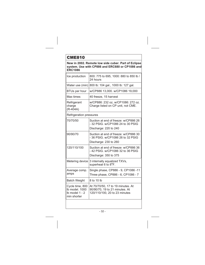<span id="page-31-0"></span>**New in 2002. Remote low side cuber. Part of Eclipse system. Use with CP886 and ERC680 or CP1086 and ERC1086**

| Ice production                                                     | 800: 775 to 695, 1000: 880 to 850 lb /<br>24 hours                                                   |  |
|--------------------------------------------------------------------|------------------------------------------------------------------------------------------------------|--|
| Water use (min)                                                    | 800 lb: 104 gal., 1000 lb: 127 gal.                                                                  |  |
| BTUs per hour                                                      | w/CP886 13,000. w/CP1086 19,000                                                                      |  |
| Max times                                                          | 40 freeze, 15 harvest                                                                                |  |
| Refrigerant<br>charge<br>$(R-404A)$                                | w/CP886: 232 oz. w/CP1086: 272 oz.<br>Charge listed on CP unit, not CME.                             |  |
| Refrigeration pressures                                            |                                                                                                      |  |
| 70/70/50                                                           | Suction at end of freeze: w/CP886 26<br>- 32 PSIG. w/CP1086 24 to 30 PSIG                            |  |
|                                                                    | Discharge: 220 to 240                                                                                |  |
| 90/90/70                                                           | Suction at end of freeze: w/CP886 30<br>- 36 PSIG. w/CP1086 26 to 32 PSIG<br>Discharge: 230 to 260   |  |
| 120/110/100                                                        | Suction at end of freeze: w/CP886 36<br>-42 PSIG, w/CP1086 32 to 36 PSIG<br>Discharge: 350 to 375    |  |
| Metering device                                                    | 3 internally equalized TXVs,<br>superheat 6 to 8 <sup>o</sup> F.                                     |  |
| Average comp.<br>amps                                              | Single phase, CP886 - 9, CP1086 -11<br>Three phase, CP886 - 6, CP1086 - 7                            |  |
| <b>Batch Weight</b>                                                | 8 to 10 lb                                                                                           |  |
| Cycle time, 800<br>Ib model, 1000<br>Ib model 1 - 2<br>min shorter | At 70/70/50, 17 to 19 minutes. At<br>90/90/70, 19 to 21 minutes. At<br>120/110/100, 20 to 23 minutes |  |
|                                                                    |                                                                                                      |  |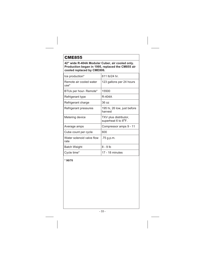<span id="page-32-0"></span>**42" wide R-404A Modular Cuber, air cooled only. Production began in 1995, replaced the CM855 air cooled replaced by CME806.**

| Ice production*                   | 611 lb/24 hr.                                          |
|-----------------------------------|--------------------------------------------------------|
| Remote air cooled water<br>$use*$ | 123 gallons per 24 hours                               |
| BTUs per hour- Remote*            | 15500                                                  |
| Refrigerant type                  | R-404A                                                 |
| Refrigerant charge                | 36 oz                                                  |
| Refrigerant pressures             | 195 hi, 26 low, just before<br>harvest                 |
| Metering device                   | TXV plus distributor,<br>superheat 6 to $8^{\circ}$ F. |
| Average amps                      | Compressor amps 9 - 11                                 |
| Cube count per cycle              | 600                                                    |
| Water solenoid valve flow<br>rate | .75 g.p.m.                                             |
| Batch Weight                      | $8 - 9$ lb                                             |
| Cycle time*                       | 17 - 18 minutes                                        |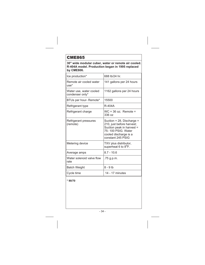<span id="page-33-0"></span>**30" wide modular cuber, water or remote air cooled. R-404A model. Production began in 1995 replaced by CME806.**

| Ice production*                            | 688 lb/24 hr.                                                                                                                                           |
|--------------------------------------------|---------------------------------------------------------------------------------------------------------------------------------------------------------|
| Remote air cooled water<br>$use*$          | 141 gallons per 24 hours                                                                                                                                |
| Water use, water cooled<br>condenser only* | 1162 gallons per 24 hours                                                                                                                               |
| BTUs per hour- Remote*                     | 15500                                                                                                                                                   |
| Refrigerant type                           | R-404A                                                                                                                                                  |
| Refrigerant charge                         | $WC = 36$ oz; Remote =<br>336 oz                                                                                                                        |
| Refrigerant pressures<br>(remote)          | Suction = 28, Discharge =<br>210, just before harvest;<br>Suction peak in harvest =<br>75-100 PSIG. Water<br>cooled discharge is a<br>constant 245 PSIG |
| Metering device                            | TXV plus distributor,<br>superheat 6 to 8 <sup>o</sup> F.                                                                                               |
| Average amps                               | $8.7 - 10.6$                                                                                                                                            |
| Water solenoid valve flow<br>rate          | .75 g.p.m.                                                                                                                                              |
| <b>Batch Weight</b>                        | $8 - 9$ lb                                                                                                                                              |
| Cycle time                                 | 14 - 17 minutes                                                                                                                                         |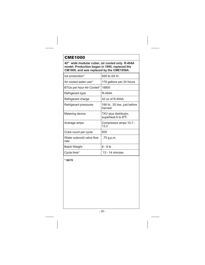<span id="page-34-0"></span>**42" wide modular cuber, air cooled only. R-404A model. Production began in 1995, replaced the CM1000, and was replaced by the CME1056A.**

| Ice production*                   | 826 lb./24 hr.                                            |
|-----------------------------------|-----------------------------------------------------------|
| Air cooled water use*             | 170 gallons per 24 hours                                  |
| BTUs per hour-Air Cooled*         | 18800                                                     |
| Refrigerant type                  | R-404A                                                    |
| Refrigerant charge                | 42 oz of R-404A                                           |
| Refrigerant pressures             | 190 hi, 25 low, just before<br>harvest                    |
| Metering device                   | TXV plus distributor,<br>superheat 6 to 8 <sup>o</sup> F. |
| Average amps                      | Compressor amps 10.7 -<br>13.3                            |
| Cube count per cycle              | 600                                                       |
| Water solenoid valve flow<br>rate | .75 g.p.m.                                                |
| Batch Weight                      | $8 - 9$ lb                                                |
| Cycle time*                       | 13 - 14 minutes                                           |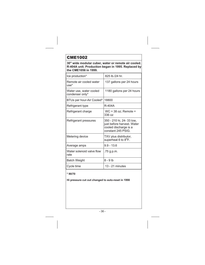<span id="page-35-0"></span>**30" wide modular cuber, water or remote air cooled. R-404A unit. Production began in 1995. Replaced by the CME1056 in 1999.**

| Ice production*                            | 825 lb./24 hr.                                                                                         |
|--------------------------------------------|--------------------------------------------------------------------------------------------------------|
| Remote air cooled water<br>$use*$          | 137 gallons per 24 hours                                                                               |
| Water use, water cooled<br>condenser only* | 1180 gallons per 24 hours                                                                              |
| BTUs per hour-Air Cooled*                  | 18800                                                                                                  |
| Refrigerant type                           | R-404A                                                                                                 |
| Refrigerant charge                         | $WC = 38$ oz; Remote =<br>336oz                                                                        |
| Refrigerant pressures                      | 350 - 210 hi, 24- 33 low,<br>just before harvest. Water<br>cooled discharge is a<br>constant 245 PSIG. |
| Metering device                            | TXV plus distributor,<br>superheat 6 to 8 <sup>o</sup> F.                                              |
| Average amps                               | $9.9 - 13.6$                                                                                           |
| Water solenoid valve flow<br>rate          | .75 g.p.m.                                                                                             |
| <b>Batch Weight</b>                        | 8 - 9 lb                                                                                               |
| Cycle time                                 | 13 - 21 minutes                                                                                        |

### **\* 90/70**

**Hi pressure cut out changed to auto-reset in 1998**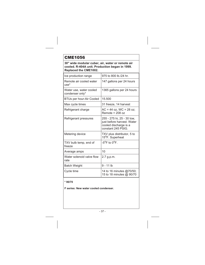**30" wide modular cuber, air, water or remote air cooled. R-404A unit. Production began in 1999. Replaced the CME1002.**

| Ice production range                       | 975 to 800 lb./24 hr.                                                                                   |
|--------------------------------------------|---------------------------------------------------------------------------------------------------------|
| Remote air cooled water<br>$use*$          | 147 gallons per 24 hours                                                                                |
| Water use, water cooled<br>condenser only* | 1365 gallons per 24 hours                                                                               |
| BTUs per hour-Air Cooled                   | 15.500                                                                                                  |
| Max cycle times                            | 31 freeze, 14 harvest                                                                                   |
| Refrigerant charge                         | $AC = 44$ oz, $WC = 28$ oz;<br>Remote = $208 oz$                                                        |
| Refrigerant pressures                      | 255 - 275 hi, 25 - 30 low,<br>just before harvest. Water<br>cooled discharge is a<br>constant 245 PSIG. |
| Metering device                            | TXV plus distributor, 5 to<br>15°F. Superheat                                                           |
| TXV bulb temp, end of<br>freeze            | $-5^{\circ}$ F to $0^{\circ}$ F.                                                                        |
| Average amps                               | 10                                                                                                      |
| Water solenoid valve flow<br>rate          | 2.7 g.p.m.                                                                                              |
| <b>Batch Weight</b>                        | 9 - 11 lb                                                                                               |
| Cycle time                                 | 14 to 16 minutes @70/50;<br>15 to 18 minutes @ 90/70                                                    |

### **\* 90/70**

**F series: New water cooled condenser.**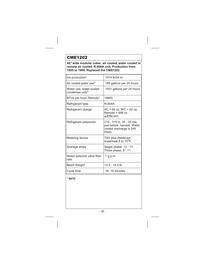**48" wide modular cuber, air cooled, water cooled or remote air cooled. R-404A unit. Production from 1995 to 1998. Replaced the CMS1202.**

| Ice production*                            | 1014 lb/24 hr.                                                                               |
|--------------------------------------------|----------------------------------------------------------------------------------------------|
| Air cooled water use*                      | 189 gallons per 24 hours                                                                     |
| Water use, water cooled<br>condenser only* | 1501 gallons per 24 hours                                                                    |
| BTUs per hour- Remote*                     | 18800                                                                                        |
| Refrigerant type                           | R-404A                                                                                       |
| Refrigerant charge                         | $AC = 64$ oz. WC = 62 oz.<br>Remote = $448 oz$<br>w/FRC401                                   |
| Refrigerant pressures                      | 210 - 315 hi, 30 - 35 low,<br>just before harvest. Water<br>cooled discharge is 245<br>PSIG. |
| Metering device                            | TXV plus distributor,<br>superheat 8 to 10 <sup>o</sup> F.                                   |
| Average amps                               | Single phase: 13 - 17;<br>Three phase: 8 - 11                                                |
| Water solenoid valve flow<br>rate          | 1 g.p.m.                                                                                     |
| <b>Batch Weight</b>                        | 13.5 - 14.5 lb                                                                               |
| Cycle time                                 | 14-19 minutes                                                                                |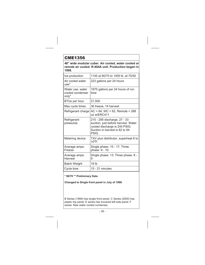**48" wide modular cuber. Air cooled, water cooled or remote air cooled. R-404A unit. Production began in 1998.**

| Ice production                                | 1145 at 90/70 to 1400 lb. at 70/50                                                                                                              |
|-----------------------------------------------|-------------------------------------------------------------------------------------------------------------------------------------------------|
| Air cooled water<br>$use*$                    | 223 gallons per 24 hours                                                                                                                        |
| Water use, water<br>cooled condenser<br>only* | 1875 gallons per 24 hours of run<br>time                                                                                                        |
| BTUs per hour                                 | 21,500                                                                                                                                          |
| Max cycle times                               | 36 freeze, 14 harvest                                                                                                                           |
| Refrigerant charge                            | $AC = 64$ , $WC = 62$ , Remote = 288<br>oz w/ERC411                                                                                             |
| Refrigerant<br>pressures                      | 215 - 295 discharge, 27 - 33<br>suction, just before harvest. Water<br>cooled discharge is 245 PSIG.<br>Suction in harvest is 82 to 94<br>PSIG. |
| Metering device                               | TXV plus distributor, superheat 8 to<br>$10^{\circ}$ F.                                                                                         |
| Average amps:<br>Freeze                       | Single phase: 15 - 17; Three<br>phase: 9 - 10.                                                                                                  |
| Average amps:<br>Harvest                      | Single phase: 13: Three phase: 8 -<br>9                                                                                                         |
| <b>Batch Weight</b>                           | 16 <sub>1b</sub>                                                                                                                                |
| Cycle time                                    | 15 - 21 minutes                                                                                                                                 |

### **\* 90/70 \*\* Preliminary Data**

**Changed to Single front panel in July of 1999.**

B Series (1999) has single front panel. C Series (2000) has plastic top panel. E series has louvered left side panel. F series: New water cooled condenser.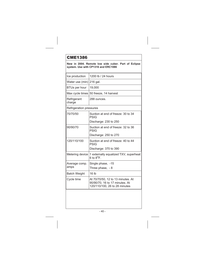| .                                                                                          |                                                                                                      |  |
|--------------------------------------------------------------------------------------------|------------------------------------------------------------------------------------------------------|--|
| New in 2004. Remote low side cuber. Part of Eclipse<br>system. Use with CP1316 and ERC1086 |                                                                                                      |  |
| Ice production                                                                             | 1200 lb / 24 hours                                                                                   |  |
| Water use (min)                                                                            | 216 gal.                                                                                             |  |
| <b>BTUs per hour</b>                                                                       | 19,000                                                                                               |  |
| Max cycle times                                                                            | 50 freeze, 14 harvest                                                                                |  |
| Refrigerant<br>charge                                                                      | 288 ounces.                                                                                          |  |
| Refrigeration pressures                                                                    |                                                                                                      |  |
| 70/70/50                                                                                   | Suction at end of freeze: 30 to 34<br><b>PSIG</b>                                                    |  |
|                                                                                            | Discharge: 230 to 250                                                                                |  |
| 90/90/70                                                                                   | Suction at end of freeze: 32 to 36<br><b>PSIG</b>                                                    |  |
|                                                                                            | Discharge: 250 to 270                                                                                |  |
| 120/110/100                                                                                | Suction at end of freeze: 40 to 44<br><b>PSIG</b>                                                    |  |
|                                                                                            | Discharge: 370 to 390                                                                                |  |
| Metering device                                                                            | 1 externally equalized TXV, superheat<br>6 to $8^{\circ}$ F.                                         |  |
| Average comp.<br>amps                                                                      | Single phase, -15<br>Three phase, - 8                                                                |  |
| <b>Batch Weight</b>                                                                        | 16 lb                                                                                                |  |
| Cycle time                                                                                 | At 70/70/50, 12 to 13 minutes. At<br>90/90/70, 16 to 17 minutes. At<br>120/110/100, 26 to 28 minutes |  |
|                                                                                            |                                                                                                      |  |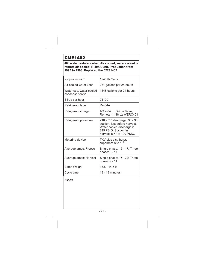**48" wide modular cuber. Air cooled, water cooled or remote air cooled. R-404A unit. Production from 1995 to 1998. Replaced the CMS1402.**

| 1240 lb./24 hr.                                                                                                                                  |
|--------------------------------------------------------------------------------------------------------------------------------------------------|
| 231 gallons per 24 hours                                                                                                                         |
| 1648 gallons per 24 hours                                                                                                                        |
| 21100                                                                                                                                            |
| R-404A                                                                                                                                           |
| $AC = 64$ oz. WC = 62 oz.<br>Remote = $448$ oz w/FRC401                                                                                          |
| 210 - 315 discharge, 30 - 36<br>suction, just before harvest.<br>Water cooled discharge is<br>245 PSIG. Suction in<br>harvest is 77 to 100 PSIG. |
| TXV plus distributor,<br>superheat 8 to 10 <sup>o</sup> F.                                                                                       |
| Single phase: 15 - 17; Three<br>phase: 9 - 11.                                                                                                   |
| Single phase: 15 - 22: Three<br>phase: 9 - 14                                                                                                    |
| 13.5 - 14.5 lb                                                                                                                                   |
| 13 - 18 minutes                                                                                                                                  |
|                                                                                                                                                  |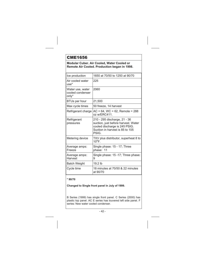### **Modular Cuber. Air Cooled, Water Cooled or Remote Air Cooled. Production began in 1998.**

| Ice production                                | 1650 at 70/50 to 1250 at 90/70                                                                                                                   |
|-----------------------------------------------|--------------------------------------------------------------------------------------------------------------------------------------------------|
| Air cooled water<br>$use*$                    | 225                                                                                                                                              |
| Water use, water<br>cooled condenser<br>only* | 2060                                                                                                                                             |
| <b>BTUs per hour</b>                          | 21.500                                                                                                                                           |
| Max cycle times                               | 50 freeze, 14 harvest                                                                                                                            |
| Refrigerant charge                            | $AC = 64$ , $WC = 62$ , Remote = 288<br>oz w/ERC411.                                                                                             |
| Refrigerant<br>pressures                      | 210 - 295 discharge, 21 - 36<br>suction, just before harvest. Water<br>cooled discharge is 245 PSIG.<br>Suction in harvest is 85 to 105<br>PSIG. |
| Metering device                               | TXV plus distributor, superheat 8 to<br>$10^{\circ}$ F.                                                                                          |
| Average amps:<br>Freeze                       | Single phase: 15 - 17; Three<br>phase: 11                                                                                                        |
| Average amps:<br>Harvest                      | Single phase: 15 -17; Three phase:<br>9                                                                                                          |
| <b>Batch Weight</b>                           | $19.2$ lb                                                                                                                                        |
| Cycle time                                    | 18 minutes at 70/50 & 22 minutes<br>at 90/70                                                                                                     |

### **\* 90/70**

**Changed to Single front panel in July of 1999.**

B Series (1999) has single front panel. C Series (2000) has plastic top panel. AC E series has louvered left side panel. F series: New water cooled condenser.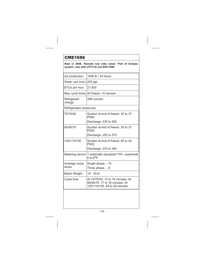### **New in 2004. Remote low side cuber. Part of Eclipse system. Use with CP1316 and ERC1086**

| Ice production                 | 1400 lb / 24 hours                                                                                   |  |
|--------------------------------|------------------------------------------------------------------------------------------------------|--|
| Water use (min)                | 252 gal.                                                                                             |  |
| <b>BTUs per hour</b>           | 21,500                                                                                               |  |
| Max cycle times                | 50 freeze, 14 harvest                                                                                |  |
| Refrigerant<br>charge          | 288 ounces.                                                                                          |  |
| <b>Refrigeration pressures</b> |                                                                                                      |  |
| 70/70/50                       | Suction at end of freeze: 35 to 37<br><b>PSIG</b>                                                    |  |
|                                | Discharge: 230 to 250                                                                                |  |
| 90/90/70                       | Suction at end of freeze: 35 to 37<br><b>PSIG</b>                                                    |  |
|                                | Discharge: 250 to 270                                                                                |  |
| 120/110/100                    | Suction at end of freeze: 40 to 44<br><b>PSIG</b>                                                    |  |
|                                | Discharge: 370 to 390                                                                                |  |
| Metering device                | 1 externally equalized TXV, superheat<br>$6$ to $8^{\circ}$ F.                                       |  |
| Average comp.                  | Single phase, -15                                                                                    |  |
| amps                           | Three phase, - 8                                                                                     |  |
| <b>Batch Weight</b>            | 19 - 20 lb                                                                                           |  |
| Cycle time                     | At 70/70/50, 15 to 16 minutes. At<br>90/90/70, 17 to 18 minutes. At<br>120/110/100, 28 to 29 minutes |  |
|                                |                                                                                                      |  |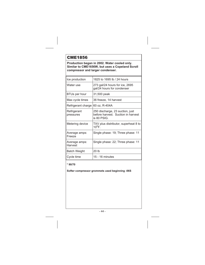**Production began in 2002. Water cooled only. Similar to CME1656W, but uses a Copeland Scroll compressor and larger condenser.**

| Ice production           | 1825 to 1695 lb / 24 hours                                                           |
|--------------------------|--------------------------------------------------------------------------------------|
| Water use                | 273 gal/24 hours for ice, 2695<br>gal/24 hours for condenser                         |
| BTUs per hour            | 31,500 peak                                                                          |
| Max cycle times          | 36 freeze, 14 harvest                                                                |
| Refrigerant charge       | 60 oz. R-404A                                                                        |
| Refrigerant<br>pressures | 250 discharge, 23 suction, just<br>before harvest. Suction in harvest<br>is 80 PSIG. |
| Metering device          | TXV plus distributor, superheat 8 to<br>$10^{\circ}$ F.                              |
| Average amps:<br>Freeze  | Single phase: 19; Three phase: 11                                                    |
| Average amps:<br>Harvest | Single phase: 22; Three phase: 11                                                    |
| <b>Batch Weight</b>      | 20 <sub>1b</sub>                                                                     |
| Cycle time               | $15 - 16$ minutes                                                                    |

### **\* 90/70**

### **Softer compressor grommets used beginning -06S**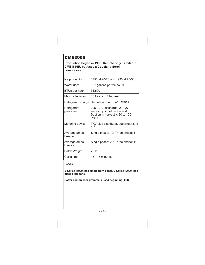**Production began in 1998. Remote only. Similar to CME1656R, but uses a Copeland Scroll compressor.**

| Ice production           | 1750 at 90/70 and 1930 at 70/50                                                                           |
|--------------------------|-----------------------------------------------------------------------------------------------------------|
| Water use*               | 307 gallons per 24 hours                                                                                  |
| <b>BTUs per hour</b>     | 31,500                                                                                                    |
| Max cycle times          | 36 freeze, 14 harvest                                                                                     |
| Refrigerant charge       | Remote = $334$ oz w/ERC611                                                                                |
| Refrigerant<br>pressures | 225 - 270 discharge, 23 - 27<br>suction, just before harvest.<br>Suction in harvest is 80 to 100<br>PSIG. |
| Metering device          | TXV plus distributor, superheat 8 to<br>$10^{\circ}$ F.                                                   |
| Average amps:<br>Freeze  | Single phase: 19; Three phase: 11                                                                         |
| Average amps:<br>Harvest | Single phase: 22; Three phase: 11                                                                         |
| <b>Batch Weight</b>      | 20 lb                                                                                                     |
| Cycle time               | 15 - 16 minutes                                                                                           |

### **\* 90/70**

**B Series (1999) has single front panel. C Series (2000) has plastic top panel.**

**Softer compressor grommets used beginning -06S**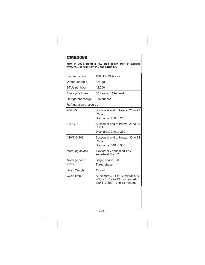### **New in 2004. Remote low side cuber. Part of Eclipse system. Use with CP1316 and ERC1086**

| Ice production                 | 1800 lb / 24 hours                                                                                   |
|--------------------------------|------------------------------------------------------------------------------------------------------|
| Water use (min)                | 324 gal.                                                                                             |
| BTUs per hour                  | 42.000                                                                                               |
| Max cycle times.               | 50 freeze, 14 harvest                                                                                |
| Refrigerant charge             | 336 ounces.                                                                                          |
| <b>Refrigeration pressures</b> |                                                                                                      |
| 70/70/50                       | Suction at end of freeze: 25 to 29<br><b>PSIG</b>                                                    |
|                                | Discharge: 230 to 250                                                                                |
| 90/90/70                       | Suction at end of freeze: 26 to 30<br><b>PSIG</b>                                                    |
|                                | Discharge: 240 to 260                                                                                |
| 120/110/100                    | Suction at end of freeze: 30 to 34<br><b>PSIG</b>                                                    |
|                                | Discharge: 340 to 360                                                                                |
| Metering device                | 1 externally equalized TXV,<br>superheat 6 to 8 <sup>o</sup> F.                                      |
| Average comp.                  | Single phase, 20                                                                                     |
| amps                           | Three phase, 14                                                                                      |
| <b>Batch Weight</b>            | 19 - 20 lb                                                                                           |
| Cycle time                     | At 70/70/50, 11 to 12 minutes. At<br>90/90/70, 12 to 13 minutes. At<br>120/110/100, 17 to 18 minutes |
|                                |                                                                                                      |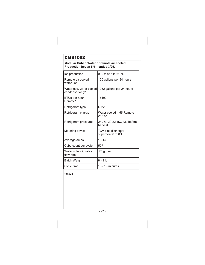# CMS1002

**Modular Cuber, Water or remote air cooled. Production began 5/91, ended 3/95.**

| Ice production                             | 932 to 646 lb/24 hr.                                      |
|--------------------------------------------|-----------------------------------------------------------|
| Remote air cooled<br>water use*            | 120 gallons per 24 hours                                  |
| Water use, water cooled<br>condenser only* | 1032 gallons per 24 hours                                 |
| BTUs per hour-<br>Remote*                  | 16100                                                     |
| Refrigerant type                           | $R-22$                                                    |
| Refrigerant charge                         | Water cooled = 55 Remote =<br>256 oz                      |
| Refrigerant pressures                      | 240 hi, 20-22 low, just before<br>harvest                 |
| Metering device                            | TXV plus distributor,<br>superheat 6 to 8 <sup>o</sup> F. |
| Average amps                               | $13 - 14$                                                 |
| Cube count per cycle                       | 597                                                       |
| Water solenoid valve<br>flow rate          | .75 g.p.m.                                                |
| <b>Batch Weight</b>                        | $8 - 9$ lb                                                |
| Cycle time                                 | 15 - 19 minutes                                           |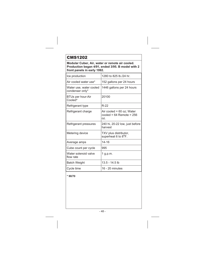# CMS1202

**Modular Cuber, Air, water or remote air cooled. Production began 4/91, ended 3/95. B model with 2 front panels in early 1992.**

| Ice production                             | 1280 to 825 lb./24 hr.                                             |
|--------------------------------------------|--------------------------------------------------------------------|
| Air cooled water use*                      | 152 gallons per 24 hours                                           |
| Water use, water cooled<br>condenser only* | 1446 gallons per 24 hours                                          |
| BTUs per hour-Air<br>Cooled*               | 20100                                                              |
| Refrigerant type                           | R-22                                                               |
| Refrigerant charge                         | Air cooled = $60$ oz; Water<br>cooled = $64$ Remote = $256$<br>OZ. |
| Refrigerant pressures                      | 240 hi, 20-22 low, just before<br>harvest                          |
| Metering device                            | TXV plus distributor,<br>superheat 6 to $8^{\circ}$ F.             |
| Average amps                               | 14-16                                                              |
| Cube count per cycle                       | 995                                                                |
| Water solenoid valve<br>flow rate          | 1 g.p.m.                                                           |
| <b>Batch Weight</b>                        | 13.5 - 14.5 lb                                                     |
| Cycle time                                 | 16 - 20 minutes                                                    |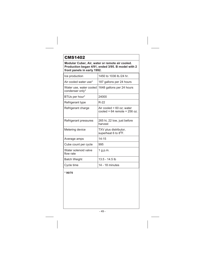# CMS1402

**Modular Cuber, Air, water or remote air cooled. Production began 4/91, ended 3/95. B model with 2 front panels in early 1992.**

| Ice production                             | 1450 to 1036 lb./24 hr.                                         |
|--------------------------------------------|-----------------------------------------------------------------|
| Air cooled water use*                      | 187 gallons per 24 hours                                        |
| Water use, water cooled<br>condenser only* | 1648 gallons per 24 hours                                       |
| BTUs per hour*                             | 24000                                                           |
| Refrigerant type                           | R-22                                                            |
| Refrigerant charge                         | Air cooled = $60$ oz; water<br>cooled = $64$ remote = $256$ oz. |
| Refrigerant pressures                      | 265 hi, 22 low, just before<br>harvest                          |
| Metering device                            | TXV plus distributor,<br>superheat 6 to 8 <sup>o</sup> F.       |
| Average amps                               | $14 - 15$                                                       |
| Cube count per cycle                       | 995                                                             |
| Water solenoid valve<br>flow rate          | 1 g.p.m.                                                        |
| <b>Batch Weight</b>                        | 13.5 - 14.5 lb                                                  |
| Cycle time                                 | 14 - 18 minutes                                                 |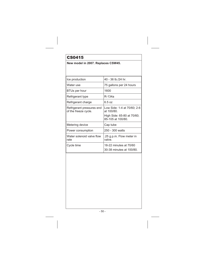## CS0415

**New model in 2007. Replaces CSW45.**

| Ice production                                    | 40 - 36 lb./24 hr.                                 |
|---------------------------------------------------|----------------------------------------------------|
| Water use                                         | 75 gallons per 24 hours                            |
| BTUs per hour                                     | 1600                                               |
| Refrigerant type                                  | R-134a                                             |
| Refrigerant charge                                | 6.5 იz                                             |
| Refrigerant pressures end<br>of the freeze cycle. | Low Side: 1-4 at 70/60; 2-6<br>at 100/80.          |
|                                                   | High Side: 65-80 at 70/60;<br>85-105 at 100/80.    |
| Metering device                                   | Cap tube                                           |
| Power consumption                                 | 250 - 300 watts                                    |
| Water solenoid valve flow<br>rate                 | .25 g.p.m. Flow meter in<br>valve.                 |
| Cycle time                                        | 18-22 minutes at 70/60<br>30-38 minutes at 100/80. |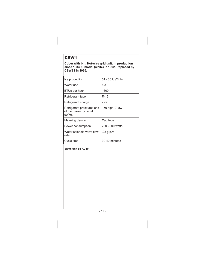## CSW1

**Cuber with bin. Hot-wire grid unit. In production since 1983. C model (white) in 1992. Replaced by CSWE1 in 1995.**

| Ice production                                                | 51 - 35 lb./24 hr. |
|---------------------------------------------------------------|--------------------|
| Water use                                                     | n/a                |
| <b>BTUs per hour</b>                                          | 1600               |
| Refrigerant type                                              | R-12               |
| Refrigerant charge                                            | 7 כמ               |
| Refrigerant pressures end<br>of the freeze cycle, at<br>90/70 | 150 high, 7 low    |
| Metering device                                               | Cap tube           |
| Power consumption                                             | 250 - 300 watts    |
| Water solenoid valve flow<br>rate                             | .25 g.p.m.         |
| Cycle time                                                    | 30-40 minutes      |

**Same unit as AC50.**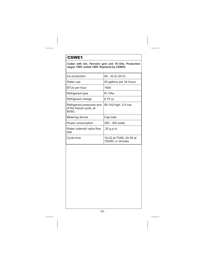## CSWE1

**Cuber with bin. Hot-wire grid unit. R-134a. Production began 1995, ended 1999. Replaced by CSW45.**

| Ice production                                                 | 46 - 32 lb./24 hr.                             |
|----------------------------------------------------------------|------------------------------------------------|
| Water use                                                      | 45 gallons per 24 hours                        |
| <b>BTUs per hour</b>                                           | 1600                                           |
| Refrigerant type                                               | R-134a                                         |
| Refrigerant charge                                             | 6.75 იz                                        |
| Refrigerant pressures end<br>of the freeze cycle, at<br>90/60. | 85-100 high, 2-5 low                           |
| Metering device                                                | Cap tube                                       |
| Power consumption                                              | 250 - 300 watts                                |
| Water solenoid valve flow<br>rate                              | .25 g.p.m.                                     |
| Cycle time                                                     | 18-22 at 70/60; 20-38 at<br>100/80; in minutes |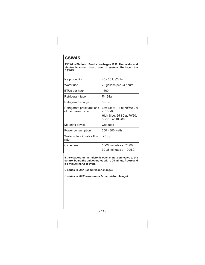### CSW45

**15" Wide Platform. Production began 1999. Thermistor and electronic circuit board control system. Replaced the CSWE1**

| Ice production                                    | 40 - 36 lb./24 hr.                                 |
|---------------------------------------------------|----------------------------------------------------|
| Water use                                         | 75 gallons per 24 hours                            |
| <b>BTUs per hour</b>                              | 1600                                               |
| Refrigerant type                                  | R-134a                                             |
| Refrigerant charge                                | 6.5 oz                                             |
| Refrigerant pressures end<br>of the freeze cycle. | Low Side: 1-4 at 70/60; 2-6<br>at 100/80.          |
|                                                   | High Side: 65-80 at 70/60;<br>85-105 at 100/80.    |
| Metering device                                   | Cap tube                                           |
| Power consumption                                 | 250 - 300 watts                                    |
| Water solenoid valve flow<br>rate                 | .25 g.p.m.                                         |
| Cycle time                                        | 18-22 minutes at 70/60<br>30-38 minutes at 100/80. |

**If the evaporator thermistor is open or not connected to the control board the unit operates with a 20 minute freeze and a 3 minute harvest cycle.**

**B series in 2001 (compressor change)**

**C series in 2002 (evaporator & thermistor change)**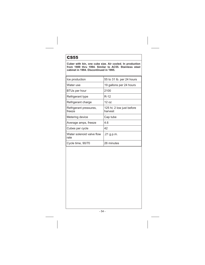### CS55

**Cuber with bin, one cube size. Air cooled. In production from 1989 thru 1994. Similar to AC55. Stainless steel cabinet in 1994. Discontinued in 1995.**

| Ice production                    | 55 to 31 lb. per 24 hours            |
|-----------------------------------|--------------------------------------|
| Water use                         | 19 gallons per 24 hours              |
| BTUs per hour                     | 2100                                 |
| Refrigerant type                  | R-12                                 |
| Refrigerant charge                | 12 oz                                |
| Refrigerant pressures,<br>freeze  | 125 hi; 2 low just before<br>harvest |
| Metering device                   | Cap tube                             |
| Average amps, freeze              | 4.6                                  |
| Cubes per cycle                   | 42                                   |
| Water solenoid valve flow<br>rate | .21 g.p.m.                           |
| Cycle time, 90/70                 | 26 minutes                           |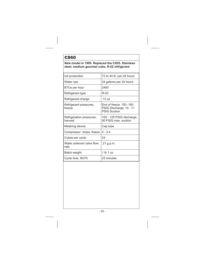## CS60

**New model in 1995. Replaced the CS55. Stainless steel, medium gourmet cube, R-22 refrigerant.**

| Ice production                      | 72 to 44 lb. per 24 hours                                           |
|-------------------------------------|---------------------------------------------------------------------|
| Water use                           | 24 gallons per 24 hours                                             |
| BTUs per hour                       | 2400                                                                |
| Refrigerant type                    | R-22                                                                |
| Refrigerant charge                  | 12 $oz$                                                             |
| Refrigerant pressures,<br>freeze    | End of freeze: 150 -160<br>PSIG Discharge; 10 - 11<br>PSIG Suction. |
| Refrigeration pressures,<br>harvest | 100 - 125 PSIG discharge,<br>90 PSIG max. suction                   |
| Metering device                     | Cap tube                                                            |
| Compressor amps, freeze             | $4 - 3.4$                                                           |
| Cubes per cycle                     | 24                                                                  |
| Water solenoid valve flow<br>rate   | .21 g.p.m.                                                          |
| Batch weight                        | 1 lb 1 oz                                                           |
| Cycle time, 90/70                   | 23 minutes                                                          |
|                                     |                                                                     |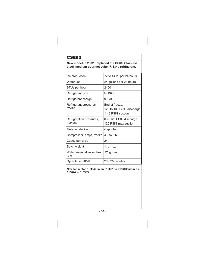## CSE60

**New model in 2002. Replaced the CS60. Stainless steel, medium gourmet cube, R-134a refrigerant.**

| Ice production                      | 72 to 44 lb. per 24 hours                                         |
|-------------------------------------|-------------------------------------------------------------------|
| Water use                           | 24 gallons per 24 hours                                           |
| BTUs per hour                       | 2400                                                              |
| Refrigerant type                    | R-134a                                                            |
| Refrigerant charge                  | 9.5 oz                                                            |
| Refrigerant pressures,<br>freeze    | Fnd of freeze:<br>125 to 130 PSIG discharge<br>1 - 3 PSIG suction |
| Refrigeration pressures,<br>harvest | 83 - 125 PSIG discharge<br>120 PSIG max suction                   |
| Metering device                     | Cap tube                                                          |
| Compressor amps, freeze             | $4.3 \text{ to } 3.6$                                             |
| Cubes per cycle                     | 24                                                                |
| Batch weight                        | $1$ lb $1$ oz                                                     |
| Water solenoid valve flow<br>rate   | .21 g.p.m.                                                        |
| Cycle time, 90/70                   | 20 - 25 minutes                                                   |

**New fan motor & blade in sn 615621 to 615640and in s.n. 615844 to 615983.**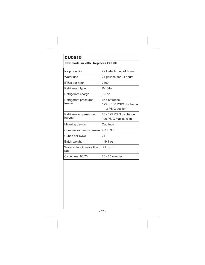# CU0515

### **New model in 2007. Replaces CSE60.**

| Ice production                      | 72 to 44 lb. per 24 hours                                         |
|-------------------------------------|-------------------------------------------------------------------|
| Water use                           | 24 gallons per 24 hours                                           |
| BTUs per hour                       | 2400                                                              |
| Refrigerant type                    | R-134a                                                            |
| Refrigerant charge                  | 9.5 oz                                                            |
| Refrigerant pressures,<br>freeze    | Fnd of freeze:<br>125 to 130 PSIG discharge<br>1 - 3 PSIG suction |
| Refrigeration pressures,<br>harvest | 83 - 125 PSIG discharge<br>120 PSIG max suction                   |
| Metering device                     | Cap tube                                                          |
| Compressor amps, freeze             | 4.3 to 3.6                                                        |
| Cubes per cycle                     | 24                                                                |
| Batch weight                        | $1$ lb $1$ oz                                                     |
| Water solenoid valve flow<br>rate   | .21 g.p.m.                                                        |
| Cycle time, 90/70                   | 20 - 25 minutes                                                   |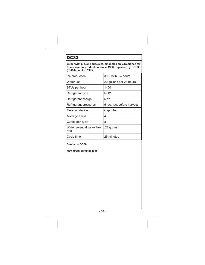# DC33

**Cuber with bin, one cube size, air cooled only. Designed for home use. In production since 1980, replaced by DCE33 (R-134a) unit in 1995.**

| Ice production                    | 30 - 18 lb./24 hours       |
|-----------------------------------|----------------------------|
| Water use                         | 20 gallons per 24 hours    |
| <b>BTUs per hour</b>              | 1400                       |
| Refrigerant type                  | $R-12$                     |
| Refrigerant charge                | 5 oz                       |
| Refrigerant pressures             | 5 low, just before harvest |
| Metering device                   | Cap tube                   |
| Average amps                      | 4                          |
| Cubes per cycle                   | 8                          |
| Water solenoid valve flow<br>rate | .22 g.p.m.                 |
| Cycle time                        | 25 minutes                 |

### **Similar to DC30**

**New drain pump in 1995.**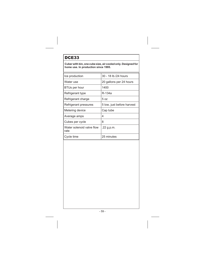## DCE33

**Cuber with bin, one cube size, air cooled only. Designed for home use. In production since 1995.**

| Ice production                    | 30 - 18 lb./24 hours       |
|-----------------------------------|----------------------------|
| Water use                         | 20 gallons per 24 hours    |
| <b>BTUs per hour</b>              | 1400                       |
| Refrigerant type                  | R-134a                     |
| Refrigerant charge                | 5 oz                       |
| Refrigerant pressures             | 5 low, just before harvest |
| Metering device                   | Cap tube                   |
| Average amps                      | 4                          |
| Cubes per cycle                   | 8                          |
| Water solenoid valve flow<br>rate | .22 g.p.m.                 |
| Cycle time                        | 25 minutes                 |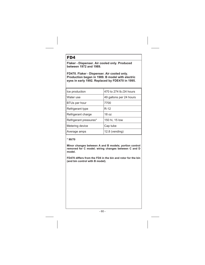### FD4

**Flaker - Dispenser. Air cooled only. Produced between 1972 and 1989.**

**FD470. Flaker - Dispenser. Air cooled only. Production began in 1989. B model with electric eyes in early 1992. Replaced by FDE470 in 1995.**

| 470 to 274 lb./24 hours |
|-------------------------|
| 49 gallons per 24 hours |
| 7700                    |
| $R-12$                  |
| 18 <sub>07</sub>        |
| 150 hi, 15 low          |
| Cap tube                |
| 12.8 (vending)          |
|                         |

### **\* 90/70**

**Minor changes between A and B models; portion control removed for C model; wiring changes between C and D model.**

**FD470 differs from the FD4 in the bin and rotor for the bin (and bin control with B model).**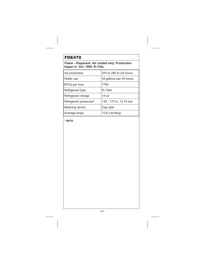## FDE470

**Flaker - Dispenser. Air cooled only. Production began in Oct. 1994. R-134a.**

| Ice production         | 470 to 280 lb./24 hours |
|------------------------|-------------------------|
| Water use              | 49 gallons per 24 hours |
| BTUs per hour          | 7700                    |
| Refrigerant type       | R-134a                  |
| Refrigerant charge     | 14 $pz$                 |
| Refrigerant pressures* | 135 - 175 hi, 13-14 low |
| Metering device        | Cap tube                |
| Average amps           | 12.8 (vending)          |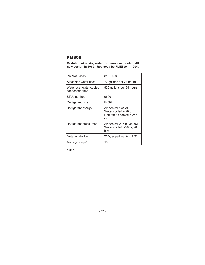## FM800

**Modular flaker. Air, water, or remote air cooled. All new design in 1989. Replaced by FME800 in 1994.**

| Ice production                             | $810 - 480$                                                                      |
|--------------------------------------------|----------------------------------------------------------------------------------|
| Air cooled water use*                      | 77 gallons per 24 hours                                                          |
| Water use, water cooled<br>condenser only* | 920 gallons per 24 hours                                                         |
| BTUs per hour*                             | 9500                                                                             |
| Refrigerant type                           | R-502                                                                            |
| Refrigerant charge                         | Air cooled = $34$ oz;<br>Water cooled = 28 oz;<br>Remote air cooled = 256<br>OZ. |
| Refrigerant pressures*                     | Air cooled: 315 hi, 34 low,<br>Water cooled: 220 hi, 28<br>low.                  |
| Metering device                            | TXV, superheat 6 to 8 <sup>o</sup> F.                                            |
| Average amps*                              | 16                                                                               |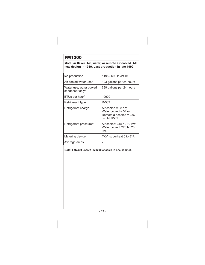## FM1200

**Modular flaker. Air, water, or remote air cooled. All new design in 1989. Last production in late 1992.**

| Ice production                             | 1195 - 690 lb./24 hr.                                                                        |
|--------------------------------------------|----------------------------------------------------------------------------------------------|
| Air cooled water use*                      | 123 gallons per 24 hours                                                                     |
| Water use, water cooled<br>condenser only* | 689 gallons per 24 hours                                                                     |
| BTUs per hour*                             | 10900                                                                                        |
| Refrigerant type                           | R-502                                                                                        |
| Refrigerant charge                         | Air cooled = $38$ oz;<br>Water cooled = $34$ oz;<br>Remote air cooled = 256<br>oz. All R502. |
| Refrigerant pressures*                     | Air cooled: 315 hi, 30 low,<br>Water cooled: 220 hi, 28<br>low.                              |
| Metering device                            | TXV, superheat 6 to 8 <sup>o</sup> F.                                                        |
| Average amps                               | 7                                                                                            |

**Note: FM2400 uses 2 FM1200 chassis in one cabinet.**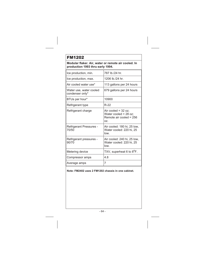# FM1202

**Modular flaker. Air, water or remote air cooled. In production 1993 thru early 1994.**

| Ice production, min.                       | 787 lb /24 hr.                                                                     |
|--------------------------------------------|------------------------------------------------------------------------------------|
| Ice production, max.                       | 1206 lb./24 hr.                                                                    |
| Air cooled water use*                      | 113 gallons per 24 hours                                                           |
| Water use, water cooled<br>condenser only* | 679 gallons per 24 hours                                                           |
| BTUs per hour*                             | 10900                                                                              |
| Refrigerant type                           | R-22                                                                               |
| Refrigerant charge                         | Air cooled = $32$ oz:<br>Water cooled = $28$ oz;<br>Remote air cooled = 256<br>OZ. |
| Refrigerant Pressures -<br>70/50           | Air cooled: 180 hi, 25 low,<br>Water cooled: 220 hi, 25<br>low.                    |
| Refrigerant pressures -<br>90/70           | Air cooled: 240 hi, 25 low,<br>Water cooled: 220 hi, 25<br>low.                    |
| Metering device                            | TXV, superheat 6 to 8 <sup>o</sup> F.                                              |
| Compressor amps                            | 4.8                                                                                |
| Average amps                               | 7                                                                                  |

### **Note: FM2402 uses 2 FM1202 chassis in one cabinet.**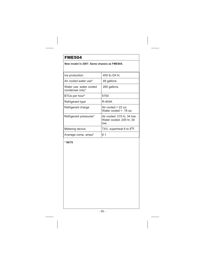**New model in 2007. Same chassis as FME804.**

| Ice production                             | 400 lb /24 hr.                                                  |
|--------------------------------------------|-----------------------------------------------------------------|
| Air cooled water use*                      | 48 gallons                                                      |
| Water use, water cooled<br>condenser only* | 285 gallons                                                     |
| BTUs per hour*                             | 5700                                                            |
| Refrigerant type                           | R-404A                                                          |
| Refrigerant charge                         | Air cooled = $22$ oz;<br>Water cooled = $18$ oz:                |
| Refrigerant pressures*                     | Air cooled: 315 hi, 34 low,<br>Water cooled: 245 hi, 34<br>low. |
| Metering device                            | TXV, superheat 6 to 8 <sup>o</sup> F.                           |
| Average comp. amps*                        | 8.1                                                             |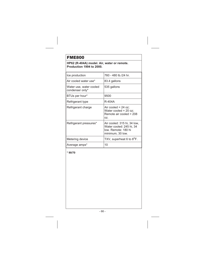### **HP62 (R-404A) model. Air, water or remote. Production 1994 to 2000.**

| Ice production                             | 760 - 480 lb./24 hr.                                                                               |
|--------------------------------------------|----------------------------------------------------------------------------------------------------|
| Air cooled water use*                      | 83.4 gallons                                                                                       |
| Water use, water cooled<br>condenser only* | 535 gallons                                                                                        |
| BTUs per hour*                             | 9500                                                                                               |
| Refrigerant type                           | R-404A                                                                                             |
| Refrigerant charge                         | Air cooled = $24$ oz;<br>Water cooled = $20$ oz;<br>Remote air cooled = 208<br>OZ.                 |
| Refrigerant pressures*                     | Air cooled: 315 hi, 34 low,<br>Water cooled: 245 hi, 34<br>low. Remote: 180 hi<br>minimum, 30 low. |
| Metering device                            | TXV, superheat 6 to 8 <sup>o</sup> F.                                                              |
| Average amps*                              | 10                                                                                                 |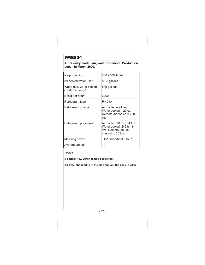**AutoSentry model. Air, water or remote. Production began in March 2000.**

| Ice production                             | 760 - 480 lb./24 hr.                                                                               |
|--------------------------------------------|----------------------------------------------------------------------------------------------------|
| Air cooled water use*                      | 83.4 gallons                                                                                       |
| Water use, water cooled<br>condenser only* | 535 gallons                                                                                        |
| BTUs per hour*                             | 6200                                                                                               |
| Refrigerant type                           | R-404A                                                                                             |
| Refrigerant charge                         | Air cooled = $24$ oz;<br>Water cooled $= 20$ oz;<br>Remote air cooled = 208<br>OZ.                 |
| Refrigerant pressures*                     | Air cooled: 315 hi, 34 low,<br>Water cooled: 245 hi, 34<br>low. Remote: 180 hi<br>minimum, 30 low. |
| Metering device                            | TXV, superheat 6 to 8 <sup>o</sup> F.                                                              |
| Average amps*                              | 10                                                                                                 |

**\* 90/70**

**B series: New water cooled condenser.**

**Air flow changed to in the side and out the back in 2006.**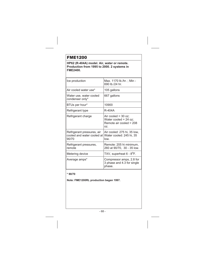**HP62 (R-404A) model. Air, water or remote. Production from 1995 to 2000. 2 systems in FME2400.**

| Ice production                                                    | Max. 1170 lb./hr.; Min -<br>690 lb /24 hr.                                         |
|-------------------------------------------------------------------|------------------------------------------------------------------------------------|
| Air cooled water use*                                             | 105 gallons                                                                        |
| Water use, water cooled<br>condenser only*                        | 667 gallons                                                                        |
| BTUs per hour*                                                    | 10900                                                                              |
| Refrigerant type                                                  | R-404A                                                                             |
| Refrigerant charge                                                | Air cooled = $30$ oz;<br>Water cooled = $24$ oz;<br>Remote air cooled = 208<br>OZ. |
| Refrigerant pressures, air<br>cooled and water cooled at<br>90/70 | Air cooled: 275 hi, 35 low,<br>Water cooled: 245 hi, 35<br>low.                    |
| Refrigerant pressures,<br>remote                                  | Remote: 205 hi minimum,<br>260 at 90/70, 30 - 35 low.                              |
| Metering device                                                   | TXV, superheat 6 - 8 <sup>o</sup> F.                                               |
| Average amps*                                                     | Compressor amps, 2.8 for<br>3 phase and 4.3 for single<br>phase.                   |

### **\* 90/70**

**Note: FME1200RL production began 1997.**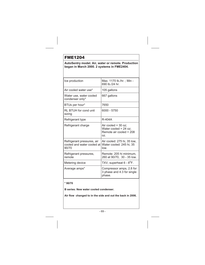**AutoSentry model. Air, water or remote. Production began in March 2000. 2 systems in FME2404.**

| Ice production                                                    | Max. 1170 lb./hr.; Min -<br>690 lb /24 hr.                                         |
|-------------------------------------------------------------------|------------------------------------------------------------------------------------|
| Air cooled water use*                                             | 105 gallons                                                                        |
| Water use, water cooled<br>condenser only*                        | 667 gallons                                                                        |
| BTUs per hour*                                                    | 7650                                                                               |
| RL BTUH for cond unit<br>sizing                                   | 6000 - 5750                                                                        |
| Refrigerant type                                                  | R-404A                                                                             |
| Refrigerant charge                                                | Air cooled $=$ 30 oz;<br>Water cooled = $24$ oz;<br>Remote air cooled = 208<br>OZ. |
| Refrigerant pressures, air<br>cooled and water cooled at<br>90/70 | Air cooled: 275 hi, 35 low,<br>Water cooled: 245 hi, 35<br>low.                    |
| Refrigerant pressures,<br>remote                                  | Remote: 205 hi minimum,<br>260 at 90/70, 30 - 35 low.                              |
| Metering device                                                   | TXV, superheat 6 - 8 <sup>o</sup> F.                                               |
| Average amps*                                                     | Compressor amps, 2.8 for<br>3 phase and 4.3 for single<br>phase.                   |

**\* 90/70**

**B series: New water cooled condenser.**

**Air flow changed to in the side and out the back in 2006.**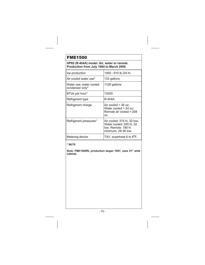### **HP62 (R-404A) model. Air, water or remote. Production from July 1994 to March 2000.**

| Ice production                             | 1460 - 910 lb./24 hr.                                                                                 |
|--------------------------------------------|-------------------------------------------------------------------------------------------------------|
| Air cooled water use*                      | 133 gallons                                                                                           |
| Water use, water cooled<br>condenser only* | 1126 gallons                                                                                          |
| BTUs per hour*                             | 13200                                                                                                 |
| Refrigerant type                           | R-404A                                                                                                |
| Refrigerant charge                         | Air cooled = $36$ oz:<br>Water cooled = 24 oz;<br>Remote air cooled = 208<br>OZ.                      |
| Refrigerant pressures*                     | Air cooled: 315 hi, 32 low,<br>Water cooled: 245 hi, 32<br>low. Remote: 180 hi<br>minimum, 28-38 low. |
| Metering device                            | TXV, superheat 6 to 8 <sup>o</sup> F.                                                                 |

### **\* 90/70**

**Note: FME1500RL production began 1997, uses 21" wide cabinet.**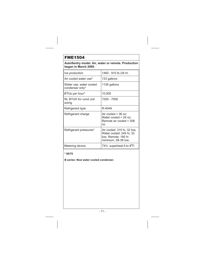**AutoSentry model. Air, water or remote. Production began in March 2000.**

| Ice production                             | 1460 - 910 lb./24 hr.                                                                                 |
|--------------------------------------------|-------------------------------------------------------------------------------------------------------|
| Air cooled water use*                      | 133 gallons                                                                                           |
| Water use, water cooled<br>condenser only* | 1126 gallons                                                                                          |
| BTUs per hour*                             | 10,000                                                                                                |
| RL BTUH for cond unit<br>sizing            | 7250 - 7000                                                                                           |
| Refrigerant type                           | R-404A                                                                                                |
| Refrigerant charge                         | Air cooled = $36$ oz;<br>Water cooled = $24$ oz;<br>Remote air cooled = 208<br>OZ.                    |
| Refrigerant pressures*                     | Air cooled: 315 hi, 32 low,<br>Water cooled: 245 hi, 32<br>low. Remote: 180 hi<br>minimum, 28-38 low. |
| Metering device                            | TXV, superheat 6 to 8 <sup>o</sup> F.                                                                 |

### **\* 90/70**

**B series: New water cooled condenser.**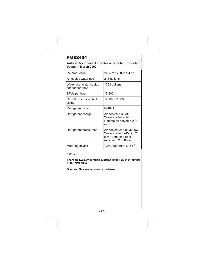**AutoSentry model. Air, water or remote. Production began in March 2000.**

| Ice production                             | 2455 to 1780 lb /24 hr.                                                                               |
|--------------------------------------------|-------------------------------------------------------------------------------------------------------|
| Air cooled water use*                      | 216 gallons                                                                                           |
| Water use, water cooled<br>condenser only* | 1333 gallons                                                                                          |
| BTUs per hour*                             | 15,800                                                                                                |
| RL BTUH for cond unit<br>sizing            | 12000 - 11800                                                                                         |
| Refrigerant type                           | R-404A                                                                                                |
| Refrigerant charge                         | Air cooled = $36$ oz;<br>Water cooled = $24$ oz;<br>Remote air cooled = 208<br>OZ.                    |
| Refrigerant pressures*                     | Air cooled: 315 hi, 32 low,<br>Water cooled: 245 hi, 32<br>low. Remote: 180 hi<br>minimum, 28-38 low. |
| Metering device                            | TXV, superheat 6 to 8 <sup>o</sup> F.                                                                 |

#### **\* 90/70**

**There are two refrigeration systems in the FME2404, similar to the NME1854.**

**B series: New water cooled condenser.**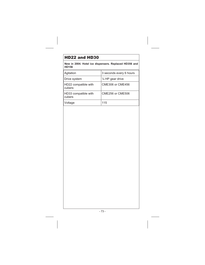# HD22 and HD30

**New in 2004. Hotel ice dispensers. Replaced HD356 and HD156**

| Agitation                       | 3 seconds every 6 hours     |
|---------------------------------|-----------------------------|
| Drive system                    | $\frac{1}{4}$ HP gear drive |
| HD22 compatible with<br>cubers: | CME306 or CME456            |
| HD33 compatible with<br>cubers  | <b>CME256 or CME506</b>     |
| Voltage                         | 115                         |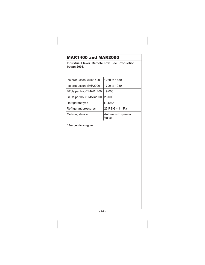# MAR1400 and MAR2000

**Industrial Flaker. Remote Low Side. Production began 2001.**

| 1260 to 1430                        |
|-------------------------------------|
| 1700 to 1980                        |
| 19.000                              |
| 26,000                              |
| R-404A                              |
| 23 PSIG (-11 <sup>o</sup> F.)       |
| <b>Automatic Expansion</b><br>Valve |
|                                     |

**\* For condensing unit**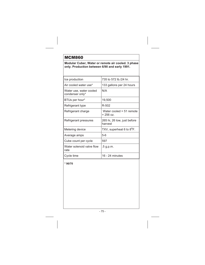## MCM860

### **Modular Cuber, Water or remote air cooled. 3 phase only. Production between 6/90 and early 1991.**

| Ice production                             | 735 to 572 lb./24 hr.                   |
|--------------------------------------------|-----------------------------------------|
| Air cooled water use*                      | 133 gallons per 24 hours                |
| Water use, water cooled<br>condenser only* | N/A                                     |
| BTUs per hour*                             | 19,500                                  |
| Refrigerant type                           | R-502                                   |
| Refrigerant charge                         | Water cooled = 51 remote<br>$= 256$ oz. |
| Refrigerant pressures                      | 265 hi, 26 low, just before<br>harvest  |
| Metering device                            | TXV, superheat 6 to 8 <sup>o</sup> F.   |
| Average amps                               | 5-6                                     |
| Cube count per cycle                       | 597                                     |
| Water solenoid valve flow<br>rate          | $.5$ g.p.m.                             |
| Cycle time                                 | 16 - 24 minutes                         |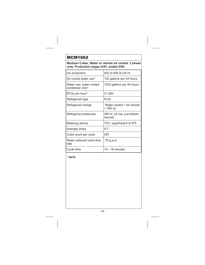## MCM1062

**Modular Cuber, Water or remote air cooled. 3 phase only. Production began 6/91, ended 3/95.**

| Ice production                             | 932 to 646 lb./24 hr.                     |
|--------------------------------------------|-------------------------------------------|
| Air cooled water use*                      | 120 gallons per 24 hours                  |
| Water use, water cooled<br>condenser only* | 1032 gallons per 24 hours                 |
| BTUs per hour*                             | 21,900                                    |
| Refrigerant type                           | R-22                                      |
| Refrigerant charge                         | Water cooled $= 55$ remote<br>$= 256$ oz. |
| Refrigerant pressures                      | 265 hi, 22 low, just before<br>harvest    |
| Metering device                            | TXV, superheat 6 to 8 <sup>o</sup> F.     |
| Average amps                               | $6 - 7$                                   |
| Cube count per cycle                       | 597                                       |
| Water solenoid valve flow<br>rate          | .75 g.p.m.                                |
| Cycle time                                 | 14 - 18 minutes                           |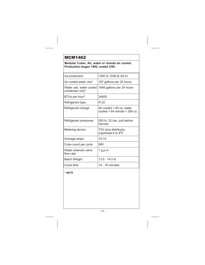# MCM1462

**Modular Cuber, Air, water or remote air cooled. Production began 1992, ended 3/95.**

| Ice production                             | 1450 to 1036 lb./24 hr.                                         |
|--------------------------------------------|-----------------------------------------------------------------|
| Air cooled water use*                      | 187 gallons per 24 hours                                        |
| Water use, water cooled<br>condenser only* | 1648 gallons per 24 hours                                       |
| BTUs per hour*                             | 24000                                                           |
| Refrigerant type                           | R-22                                                            |
| Refrigerant charge                         | Air cooled = $60$ oz; water<br>cooled = $64$ remote = $256$ oz. |
| Refrigerant pressures                      | 265 hi, 22 low, just before<br>harvest                          |
| Metering device                            | TXV plus distributor,<br>superheat 6 to 8 <sup>o</sup> F.       |
| Average amps                               | $14 - 15$                                                       |
| Cube count per cycle                       | 995                                                             |
| Water solenoid valve<br>flow rate          | 1 g.p.m.                                                        |
| <b>Batch Weight</b>                        | 13.5 - 14.5 lb                                                  |
| Cycle time                                 | 14 - 18 minutes                                                 |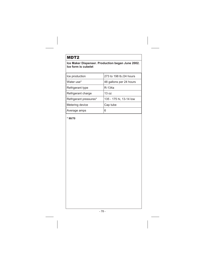## MDT2

### **Ice Maker Dispenser. Production began June 2002. Ice form is cubelet**

| Ice production         | 273 to 198 lb./24 hours |
|------------------------|-------------------------|
| Water use*             | 48 gallons per 24 hours |
| Refrigerant type       | R-134a                  |
| Refrigerant charge     | 130z                    |
| Refrigerant pressures* | 135 - 175 hi, 13-14 low |
| Metering device        | Cap tube                |
| Average amps           | 6                       |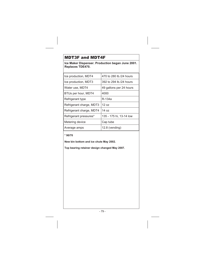## MDT3F and MDT4F

**Ice Maker Dispenser. Production began June 2001. Replaces TDE470.**

| Ice production, MDT4     | 470 to 280 lb /24 hours |
|--------------------------|-------------------------|
| Ice production, MDT3     | 392 to 294 lb./24 hours |
| Water use, MDT4          | 49 gallons per 24 hours |
| BTUs per hour, MDT4      | 4000                    |
| Refrigerant type         | R-134a                  |
| Refrigerant charge, MDT3 | 12 $pz$                 |
| Refrigerant charge, MDT4 | 14 $pz$                 |
| Refrigerant pressures*   | 135 - 175 hi, 13-14 low |
| Metering device          | Cap tube                |
| Average amps             | $12.8$ (vending)        |

### **\* 90/70**

**New bin bottom and ice chute May 2002.**

**Top bearing retainer design changed May 2007.**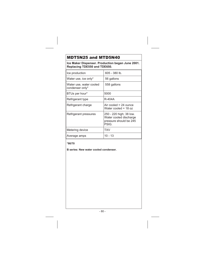# MDT5N25 and MTD5N40

**Ice Maker Dispenser. Production began June 2001. Replacing TDE550 and TDE650.**

| Ice production                             | 605 - 380 lb.                                                                        |
|--------------------------------------------|--------------------------------------------------------------------------------------|
| Water use, ice only*                       | 56 gallons                                                                           |
| Water use, water cooled<br>condenser only* | 558 gallons                                                                          |
| BTUs per hour*                             | 5000                                                                                 |
| Refrigerant type                           | R-404A                                                                               |
| Refrigerant charge                         | Air cooled $= 24$ ounce<br>Water cooled = $18 oz$                                    |
| Refrigerant pressures                      | 250 - 220 high; 38 low.<br>Water cooled discharge<br>pressure should be 245<br>PSIG. |
| Metering device                            | TXV                                                                                  |
| Average amps                               | 10 - 13                                                                              |

#### **\*90/70**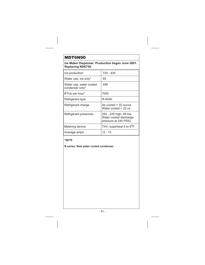## MDT6N90

**Ice Maker Dispenser. Production began June 2001. Replacing NDE750.**

| Ice production                             | 720 - 435                                                                 |
|--------------------------------------------|---------------------------------------------------------------------------|
| Water use, ice only*                       | 65                                                                        |
| Water use, water cooled<br>condenser only* | 599                                                                       |
| BTUs per hour*                             | 7000                                                                      |
| Refrigerant type                           | R-404A                                                                    |
| Refrigerant charge                         | Air cooled $=$ 32 ounce<br>Water cooled = $22$ oz                         |
| Refrigerant pressures                      | 250 - 220 high; 38 low<br>Water cooled discharge<br>pressure at 245 PSIG. |
| Metering device                            | TXV, superheat 6 to 8 <sup>o</sup> F.                                     |
| Average amps                               | $12 - 13$                                                                 |

**\*90/70**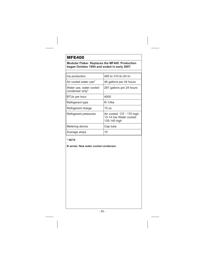# MFE400

**Modular Flaker. Replaces the MF400. Production began October 1994 and ended in early 2007.**

| Ice production                             | 480 to 310 lb./24 hr.                                                  |
|--------------------------------------------|------------------------------------------------------------------------|
| Air cooled water use*                      | 46 gallons per 24 hours                                                |
| Water use, water cooled<br>condenser only* | 287 gallons per 24 hours                                               |
| <b>BTUs per hour</b>                       | 4000                                                                   |
| Refrigerant type                           | R-134a                                                                 |
| Refrigerant charge                         | $15 \text{ oz}$                                                        |
| Refrigerant pressures                      | Air cooled: 137 - 170 high,<br>13-14 low Water cooled:<br>135-140 high |
| Metering device                            | Cap tube                                                               |
| Average amps                               | 10                                                                     |

### **\* 90/70**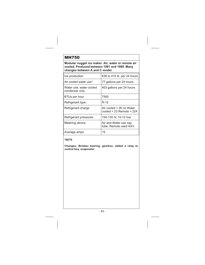## MH750

**Modular nugget ice maker. Air, water or remote air cooled. Produced between 1981 and 1989. Many changes between A and C model.**

| Ice production                            | 636 to 415 lb. per 24 hours                                |
|-------------------------------------------|------------------------------------------------------------|
| Air cooled water use*                     | 77 gallons per 24 hours                                    |
| Water use, water cooled<br>condenser only | 403 gallons per 24 hours                                   |
| BTUs per hour                             | 7500                                                       |
| Refrigerant type                          | R-12                                                       |
| Refrigerant charge                        | Air cooled = $26$ oz Water<br>cooled = $23$ Remote = $224$ |
| Refrigerant pressures                     | 150-135 hi; 10-12 low.                                     |
| Metering device                           | Air and Water use cap<br>tube, Remote used AXV.            |
| Average amps                              | 15                                                         |

**\*90/70**

**Changes: Breaker bearing, gearbox, added a relay to control box, evaporator.**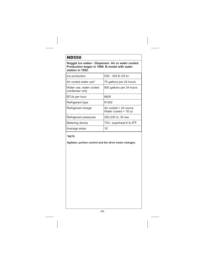# ND550

**Nugget ice maker - Dispenser. Air or water cooled. Production began in 1989. B model with water station in 1992.**

| Ice production                            | 535 - 335 lb./24 hr.                              |
|-------------------------------------------|---------------------------------------------------|
| Air cooled water use*                     | 70 gallons per 24 hours                           |
| Water use, water cooled<br>condenser only | 800 gallons per 24 hours                          |
| <b>BTUs per hour</b>                      | 8600                                              |
| Refrigerant type                          | R-502                                             |
| Refrigerant charge                        | Air cooled $= 24$ ounce<br>Water cooled = $18 oz$ |
| Refrigerant pressures                     | 250-230 hi; 30 low                                |
| Metering device                           | TXV, superheat 6 to 8 <sup>°</sup> F.             |
| Average amps                              | 16                                                |

### **\*90/70**

**Agitator, portion control and bin drive motor changes.**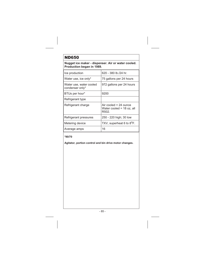## ND650

**Nugget ice maker - dispenser. Air or water cooled. Production began in 1989.**

| Ice production                             | 620 - 380 lb./24 hr.                                        |
|--------------------------------------------|-------------------------------------------------------------|
| Water use, ice only*                       | 75 gallons per 24 hours                                     |
| Water use, water cooled<br>condenser only* | 972 gallons per 24 hours                                    |
| BTUs per hour*                             | 9200                                                        |
| Refrigerant type                           |                                                             |
| Refrigerant charge                         | Air cooled = 24 ounce<br>Water cooled = 18 oz, all<br>R502. |
| Refrigerant pressures                      | 250 - 220 high; 30 low                                      |
| Metering device                            | TXV, superheat 6 to 8 <sup>o</sup> F.                       |
| Average amps                               | 16                                                          |

#### **\*90/70**

**Agitator, portion control and bin drive motor changes.**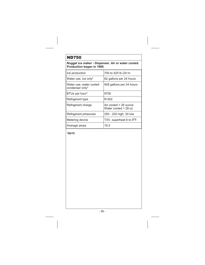# ND750

**Nugget ice maker - Dispenser. Air or water cooled. Production began in 1989.**

| Ice production                             | 700 to 425 lb./24 hr.                           |
|--------------------------------------------|-------------------------------------------------|
| Water use, ice only*                       | 82 gallons per 24 hours                         |
| Water use, water cooled<br>condenser only* | 928 gallons per 24 hours                        |
| BTUs per hour*                             | 9700                                            |
| Refrigerant type                           | R-502                                           |
| Refrigerant charge                         | Air cooled = 26 ounce<br>Water cooled = $28$ oz |
| Refrigerant pressures                      | 250 - 220 high; 30 low                          |
| Metering device                            | TXV, superheat 6 to 8 <sup>o</sup> F.           |
| Average amps                               | 16.5                                            |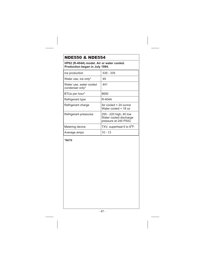# NDE550 & NDE554

**HP62 (R-404A) model. Air or water cooled. Production began in July 1994.**

| Ice production                             | 535 - 335                                                                 |
|--------------------------------------------|---------------------------------------------------------------------------|
| Water use, ice only*                       | 49                                                                        |
| Water use, water cooled<br>condenser only* | 441                                                                       |
| BTUs per hour*                             | 8600                                                                      |
| Refrigerant type                           | R-404A                                                                    |
| Refrigerant charge                         | Air cooled $= 24$ ounce<br>Water cooled = 18 oz                           |
| Refrigerant pressures                      | 250 - 220 high; 40 low<br>Water cooled discharge<br>pressure at 245 PSIG. |
| Metering device                            | TXV, superheat 6 to 8 <sup>o</sup> F.                                     |
| Average amps                               | 10 - 13                                                                   |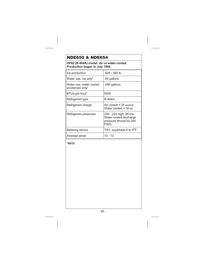# NDE650 & NDE654

## **HP62 (R-404A) model. Air or water cooled. Production began in July 1994.**

| Ice production                             | 605 - 380 lb.                                                                        |
|--------------------------------------------|--------------------------------------------------------------------------------------|
| Water use, ice only*                       | 56 gallons                                                                           |
| Water use, water cooled<br>condenser only* | 558 gallons                                                                          |
| BTUs per hour*                             | 9200                                                                                 |
| Refrigerant type                           | R-404A                                                                               |
| Refrigerant charge                         | Air cooled = 24 ounce<br>Water cooled = 18 oz                                        |
| Refrigerant pressures                      | 250 - 220 high; 38 low.<br>Water cooled discharge<br>pressure should be 245<br>PSIG. |
| Metering device                            | TXV, superheat 6 to 8 <sup>o</sup> F.                                                |
| Average amps                               | 10 - 13                                                                              |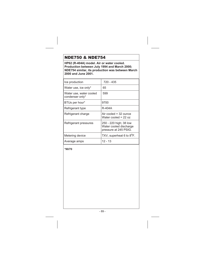# NDE750 & NDE754

**HP62 (R-404A) model. Air or water cooled. Production between July 1994 and March 2000; NDE754 similar, its production was between March 2000 and June 2001.**

| Ice production                             | 720 - 435                                                                 |
|--------------------------------------------|---------------------------------------------------------------------------|
| Water use, ice only*                       | 65                                                                        |
| Water use, water cooled<br>condenser only* | 599                                                                       |
| BTUs per hour*                             | 9700                                                                      |
| Refrigerant type                           | R-404A                                                                    |
| Refrigerant charge                         | Air cooled = 32 ounce<br>Water cooled = $22$ oz                           |
| Refrigerant pressures                      | 250 - 220 high; 38 low<br>Water cooled discharge<br>pressure at 245 PSIG. |
| Metering device                            | TXV, superheat 6 to 8 <sup>°</sup> F.                                     |
| Average amps                               | 12 - 13                                                                   |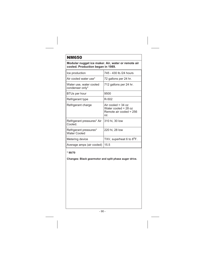**Modular nugget ice maker. Air, water or remote air cooled. Production began in 1989.**

| Ice production                             | 745 - 430 lb./24 hours                                                           |
|--------------------------------------------|----------------------------------------------------------------------------------|
| Air cooled water use*                      | 72 gallons per 24 hr.                                                            |
| Water use, water cooled<br>condenser only* | 712 gallons per 24 hr.                                                           |
| BTUs per hour                              | 9500                                                                             |
| Refrigerant type                           | R-502                                                                            |
| Refrigerant charge                         | Air cooled = $34$ oz<br>Water cooled = $28$ oz<br>Remote air cooled = 256<br>OZ. |
| Refrigerant pressures* Air<br>Cooled.      | 310 hi, 30 low                                                                   |
| Refrigerant pressures*<br>Water Cooled     | 220 hi, 28 low                                                                   |
| Metering device                            | TXV, superheat 6 to 8 <sup>o</sup> F.                                            |
| Average amps (air cooled)                  | 15.5                                                                             |

#### **\* 90/70**

**Changes: Black gearmotor and split phase auger drive.**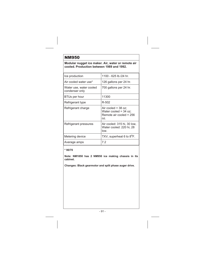### **Modular nugget ice maker. Air, water or remote air cooled. Production between 1989 and 1992.**

| Ice production                            | 1100 - 625 lb./24 hr.                                                              |
|-------------------------------------------|------------------------------------------------------------------------------------|
| Air cooled water use*                     | 126 gallons per 24 hr.                                                             |
| Water use, water cooled<br>condenser only | 700 gallons per 24 hr.                                                             |
| BTUs per hour                             | 11300                                                                              |
| Refrigerant type                          | R-502                                                                              |
| Refrigerant charge                        | Air cooled = $38$ oz;<br>Water cooled = $34$ oz;<br>Remote air cooled = 256<br>OZ. |
| Refrigerant pressures                     | Air cooled: 315 hi, 30 low,<br>Water cooled: 220 hi, 28<br>low.                    |
| Metering device                           | TXV, superheat 6 to 8 <sup>o</sup> F.                                              |
| Average amps                              | 7.2                                                                                |

**\* 90/70**

**Note: NM1850 has 2 NM950 ice making chassis in its cabinet.**

**Changes: Black gearmotor and split phase auger drive.**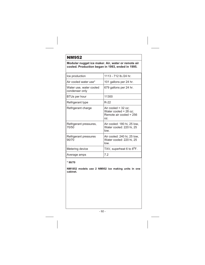### **Modular nugget ice maker. Air, water or remote air cooled. Production began in 1993, ended in 1995.**

| Ice production                            | 1113 - 712 lb./24 hr.                                                              |
|-------------------------------------------|------------------------------------------------------------------------------------|
| Air cooled water use*                     | 101 gallons per 24 hr.                                                             |
| Water use, water cooled<br>condenser only | 679 gallons per 24 hr.                                                             |
| BTUs per hour                             | 11300                                                                              |
| Refrigerant type                          | R-22                                                                               |
| Refrigerant charge                        | Air cooled = $32$ oz;<br>Water cooled $= 28$ oz;<br>Remote air cooled = 256<br>OZ. |
| Refrigerant pressures,<br>70/50           | Air cooled: 180 hi, 25 low,<br>Water cooled: 220 hi, 25<br>low.                    |
| Refrigerant pressures<br>90/70            | Air cooled: 240 hi, 25 low,<br>Water cooled: 220 hi, 25<br>low.                    |
| Metering device                           | TXV, superheat 6 to 8 <sup>o</sup> F.                                              |
| Average amps                              | 7.2                                                                                |

### **\* 90/70**

**NM1852 models use 2 NM952 ice making units in one cabinet.**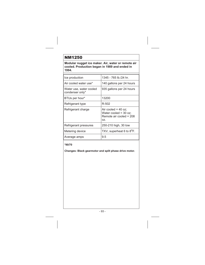**Modular nugget ice maker. Air, water or remote air cooled. Production began in 1989 and ended in 1994.**

| Ice production                             | 1345 - 765 lb./24 hr.                                                              |
|--------------------------------------------|------------------------------------------------------------------------------------|
| Air cooled water use*                      | 140 gallons per 24 hours                                                           |
| Water use, water cooled<br>condenser only* | 935 gallons per 24 hours                                                           |
| BTUs per hour*                             | 13200                                                                              |
| Refrigerant type                           | R-502                                                                              |
| Refrigerant charge                         | Air cooled = $40$ oz;<br>Water cooled $=$ 30 oz:<br>Remote air cooled = 208<br>OZ. |
| Refrigerant pressures                      | 250-210 high, 30 low                                                               |
| Metering device                            | TXV, superheat 6 to 8 <sup>o</sup> F.                                              |
| Average amps                               | 9.5                                                                                |

#### **\*90/70**

**Changes: Black gearmotor and split phase drive motor.**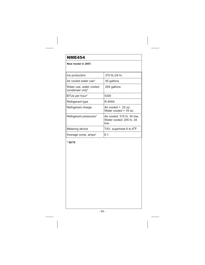**New model in 2007.**

| Ice production                             | 370 lb./24 hr.                                                  |
|--------------------------------------------|-----------------------------------------------------------------|
| Air cooled water use*                      | 45 gallons                                                      |
| Water use, water cooled<br>condenser only* | 264 gallons                                                     |
| BTUs per hour*                             | 5300                                                            |
| Refrigerant type                           | R-404A                                                          |
| Refrigerant charge                         | Air cooled = $22$ oz;<br>Water cooled = $18$ oz:                |
| Refrigerant pressures*                     | Air cooled: 315 hi, 34 low,<br>Water cooled: 245 hi, 34<br>low. |
| Metering device                            | TXV, superheat 6 to 8 <sup>o</sup> F.                           |
| Average comp. amps*                        | 8.1                                                             |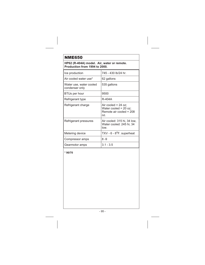**HP62 (R-404A) model. Air, water or remote. Production from 1994 to 2000.**

| Ice production                            | 745 - 430 lb/24 hr.                                                                |
|-------------------------------------------|------------------------------------------------------------------------------------|
| Air cooled water use*                     | 62 gallons                                                                         |
| Water use, water cooled<br>condenser only | 535 gallons                                                                        |
| BTUs per hour                             | 9500                                                                               |
| Refrigerant type                          | R-404A                                                                             |
| Refrigerant charge                        | Air cooled = $24$ oz;<br>Water cooled = $20$ oz;<br>Remote air cooled = 208<br>OZ. |
| Refrigerant pressures                     | Air cooled: 315 hi, 34 low,<br>Water cooled: 245 hi, 34<br>low.                    |
| Metering device                           | $TXV - 6 - 8^{\circ}F$ . superheat                                                 |
| Compressor amps                           | $8 - 9$                                                                            |
| Gearmotor amps                            | $3.1 - 3.5$                                                                        |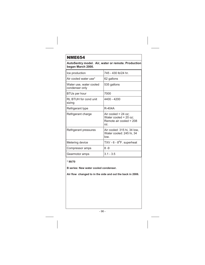**AutoSentry model. Air, water or remote. Production began March 2000.**

| Ice production                            | 745 - 430 lb/24 hr.                                                              |
|-------------------------------------------|----------------------------------------------------------------------------------|
| Air cooled water use*                     | 62 gallons                                                                       |
| Water use, water cooled<br>condenser only | 535 gallons                                                                      |
| BTUs per hour                             | 7000                                                                             |
| RL BTUH for cond unit<br>sizing           | 4400 - 4200                                                                      |
| Refrigerant type                          | R-404A                                                                           |
| Refrigerant charge                        | Air cooled = $24$ oz;<br>Water cooled = 20 oz;<br>Remote air cooled = 208<br>OZ. |
| Refrigerant pressures                     | Air cooled: 315 hi, 34 low,<br>Water cooled: 245 hi, 34<br>low.                  |
| Metering device                           | TXV - $6 - 8^{\circ}$ F. superheat                                               |
| Compressor amps                           | 8 - 9                                                                            |
| Gearmotor amps                            | $3.1 - 3.5$                                                                      |

#### **\* 90/70**

**B series: New water cooled condenser.**

**Air flow changed to in the side and out the back in 2006.**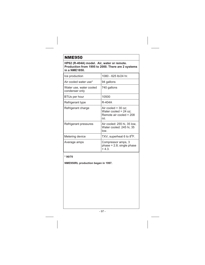**HP62 (R-404A) model. Air, water or remote. Production from 1995 to 2000. There are 2 systems in a NME1850.**

| Ice production                            | 1080 - 625 lb/24 hr.                                                               |
|-------------------------------------------|------------------------------------------------------------------------------------|
| Air cooled water use*                     | 94 gallons                                                                         |
| Water use, water cooled<br>condenser only | 740 gallons                                                                        |
| <b>BTUs per hour</b>                      | 10500                                                                              |
| Refrigerant type                          | R-404A                                                                             |
| Refrigerant charge                        | Air cooled = $30$ oz;<br>Water cooled = $24$ oz;<br>Remote air cooled = 208<br>OZ. |
| Refrigerant pressures                     | Air cooled: 255 hi, 35 low,<br>Water cooled: 245 hi, 35<br>low.                    |
| Metering device                           | TXV, superheat 6 to 8 <sup>o</sup> F.                                              |
| Average amps                              | Compressor amps, 3<br>$phase = 2.8$ ; single $phase$<br>$= 4.3.$                   |

**\* 90/70**

**NME950RL production began in 1997.**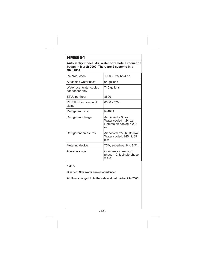**AutoSentry model. Air, water or remote. Production began in March 2000. There are 2 systems in a NME1854.**

| Ice production                            | 1080 - 625 lb/24 hr.                                                               |
|-------------------------------------------|------------------------------------------------------------------------------------|
| Air cooled water use*                     | 94 gallons                                                                         |
| Water use, water cooled<br>condenser only | 740 gallons                                                                        |
| <b>BTUs per hour</b>                      | 8500                                                                               |
| RL BTUH for cond unit<br>sizing           | 6000 - 5700                                                                        |
| Refrigerant type                          | R-404A                                                                             |
| Refrigerant charge                        | Air cooled $=$ 30 oz;<br>Water cooled = $24$ oz;<br>Remote air cooled = 208<br>OZ. |
| Refrigerant pressures                     | Air cooled: 255 hi, 35 low,<br>Water cooled: 245 hi, 35<br>low.                    |
| Metering device                           | TXV, superheat 6 to 8 <sup>o</sup> F.                                              |
| Average amps                              | Compressor amps, 3<br>phase = $2.8$ ; single phase<br>$= 4.3.$                     |

#### **\* 90/70**

**B series: New water cooled condenser.**

**Air flow changed to in the side and out the back in 2006.**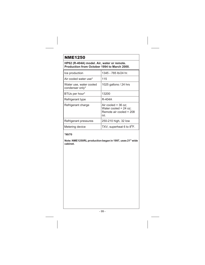**HP62 (R-404A) model. Air, water or remote. Production from October 1994 to March 2000.**

| Ice production                             | 1345 - 785 lb/24 hr.                                                               |
|--------------------------------------------|------------------------------------------------------------------------------------|
| Air cooled water use*                      | 115                                                                                |
| Water use, water cooled<br>condenser only* | 1025 gallons / 24 hrs                                                              |
| BTUs per hour*                             | 13200                                                                              |
| Refrigerant type                           | R-404A                                                                             |
| Refrigerant charge                         | Air cooled = $36$ oz:<br>Water cooled = $24$ oz;<br>Remote air cooled = 208<br>OZ. |
| Refrigerant pressures                      | 250-210 high, 32 low                                                               |
| Metering device                            | TXV, superheat 6 to 8 <sup>o</sup> F.                                              |

#### **\*90/70**

**Note: NME1250RL production began in 1997, uses 21" wide cabinet.**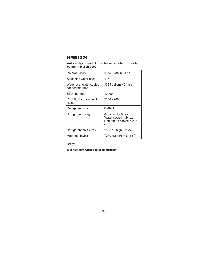**AutoSentry model. Air, water or remote. Production began in March 2000.**

| Ice production                             | 1345 - 785 lb/24 hr.                                                               |
|--------------------------------------------|------------------------------------------------------------------------------------|
| Air cooled water use*                      | 115                                                                                |
| Water use, water cooled<br>condenser only* | 1025 gallons / 24 hrs                                                              |
| BTUs per hour*                             | 10000                                                                              |
| RL BTUH for cond unit<br>sizing            | 7250 - 7000                                                                        |
| Refrigerant type                           | R-404A                                                                             |
| Refrigerant charge                         | Air cooled = $36$ oz:<br>Water cooled = $24$ oz;<br>Remote air cooled = 208<br>OZ. |
| Refrigerant pressures                      | 250-210 high, 32 low                                                               |
| Metering device                            | TXV, superheat 6 to 8 <sup>o</sup> F.                                              |

#### **\*90/70**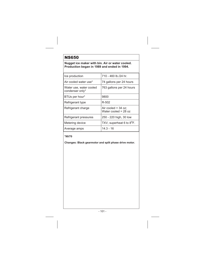# NS650

**Nugget ice maker with bin. Air or water cooled. Production began in 1989 and ended in 1994.**

| Ice production                             | 710 - 460 lb./24 hr.                            |
|--------------------------------------------|-------------------------------------------------|
| Air cooled water use*                      | 74 gallons per 24 hours                         |
| Water use, water cooled<br>condenser only* | 763 gallons per 24 hours                        |
| BTUs per hour*                             | 9800                                            |
| Refrigerant type                           | R-502                                           |
| Refrigerant charge                         | Air cooled = $34$ oz;<br>Water cooled = $28$ oz |
| Refrigerant pressures                      | 250 - 220 high, 30 low                          |
| Metering device                            | TXV, superheat 6 to 8 <sup>o</sup> F.           |
| Average amps                               | 14.3 - 16                                       |

## **\*90/70**

**Changes: Black gearmotor and split phase drive motor.**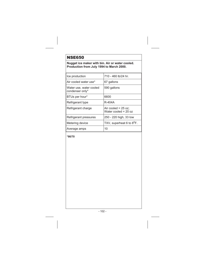# NSE650

### **Nugget ice maker with bin. Air or water cooled. Production from July 1994 to March 2000.**

| Ice production                             | 710 - 460 lb/24 hr.                             |
|--------------------------------------------|-------------------------------------------------|
| Air cooled water use*                      | 67 gallons                                      |
| Water use, water cooled<br>condenser only* | 590 gallons                                     |
| BTUs per hour*                             | 6600                                            |
| Refrigerant type                           | R-404A                                          |
| Refrigerant charge                         | Air cooled = $25$ oz:<br>Water cooled = $20 oz$ |
| Refrigerant pressures                      | 250 - 220 high, 33 low                          |
| Metering device                            | TXV, superheat 6 to 8 <sup>°</sup> F.           |
| Average amps                               | 10                                              |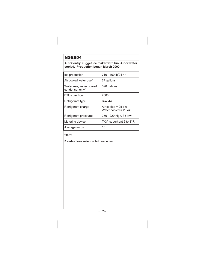## NSE654

### **AutoSentry Nugget ice maker with bin. Air or water cooled. Production began March 2000.**

| Ice production                             | 710 - 460 lb/24 hr.                             |
|--------------------------------------------|-------------------------------------------------|
| Air cooled water use*                      | 67 gallons                                      |
| Water use, water cooled<br>condenser only* | 590 gallons                                     |
| <b>BTUs per hour</b>                       | 7000                                            |
| Refrigerant type                           | R-404A                                          |
| Refrigerant charge                         | Air cooled = $25$ oz;<br>Water cooled = $20 oz$ |
| Refrigerant pressures                      | 250 - 220 high, 33 low                          |
| Metering device                            | TXV, superheat 6 to 8 <sup>o</sup> F.           |
| Average amps                               | 10                                              |

### **\*90/70**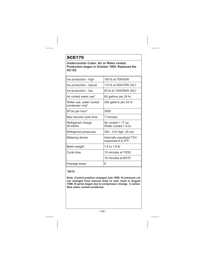# SCE170

**Undercounter Cuber. Air or Water cooled. Production began in October 1994. Replaced the AC125.**

| Ice production - high                      | 165 lb at 70A/50W                                             |
|--------------------------------------------|---------------------------------------------------------------|
| Ice production - typical                   | 110 lb at 90A/70W (AC)                                        |
| Ice production - low                       | 83 lb at 100A/90W (AC)                                        |
| Air cooled water use*                      | 60 gallons per 24 hr.                                         |
| Water use, water cooled<br>condenser only* | 284 gallons per 24 hr.                                        |
| BTUs per hour*                             | 3000                                                          |
| Max harvest cycle time                     | 7 minutes                                                     |
| Refrigerant charge<br>(R-404A)             | Air cooled = $17$ oz;<br>Water cooled = $9 oz$                |
| Refrigerant pressures                      | 300 - 210 high, 25 low                                        |
| Metering device                            | Internally equalized TXV,<br>superheat 6 to 8 <sup>o</sup> F. |
| Batch weight                               | 1.6 to 1.8 lb                                                 |
| Cycle time                                 | 15 minutes at 70/50                                           |
|                                            | 18 minutes at 90/70                                           |
| Average amps                               | 9                                                             |

**\*90/70**

**Note: Control position changed July 1998. Hi pressure cut out changed from manual reset to auto reset in August 1998. B series began due to compressor change. C series: New water cooled condenser.**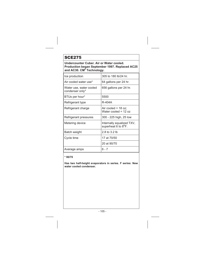# SCE275

**Undercounter Cuber. Air or Water cooled. Production began September 1997. Replaced AC25 and AC30. CM3 Technology.**

| Ice production                             | 305 to 180 lb/24 hr.                                          |
|--------------------------------------------|---------------------------------------------------------------|
| Air cooled water use*                      | 64 gallons per 24 hr.                                         |
| Water use, water cooled<br>condenser only* | 656 gallons per 24 hr.                                        |
| BTUs per hour*                             | 5500                                                          |
| Refrigerant type                           | R-404A                                                        |
| Refrigerant charge                         | Air cooled = $18$ oz;<br>Water cooled = 12 oz                 |
| Refrigerant pressures                      | 300 - 225 high, 25 low                                        |
| Metering device                            | Internally equalized TXV,<br>superheat 6 to 8 <sup>o</sup> F. |
| Batch weight                               | 2.8 to 3.2 lb                                                 |
| Cycle time                                 | 17 at 70/50                                                   |
|                                            | 20 at 90/70                                                   |
| Average amps                               | $6 - 7$                                                       |

#### **\* 90/70**

**Has two half-height evaporators in series. F series: New water cooled condenser.**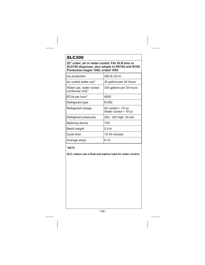# SLC300

**22" cuber, air or water cooled. Fits SLB bins or SLD150 dispenser, also adapts to RS100 and IS100. Production began 1992, ended 1995.**

| Ice production                             | 290 lb./24 hr.                                   |
|--------------------------------------------|--------------------------------------------------|
| Air cooled water use*                      | 30 gallons per 24 hours                          |
| Water use, water cooled<br>condenser only* | 339 gallons per 24 hours                         |
| BTUs per hour*                             | 4500                                             |
| Refrigerant type                           | R-502                                            |
| Refrigerant charge                         | Air cooled = $15 oz$ ;<br>Water cooled = $16 oz$ |
| Refrigerant pressures                      | 250 - 220 high, 20 low                           |
| Metering device                            | TXV                                              |
| Batch weight                               | 2.4 lb                                           |
| Cycle time                                 | 13-16 minutes                                    |
| Average amps                               | 6-10                                             |

**\*90/70**

**SLC cubers use a float and siphon tube for water control.**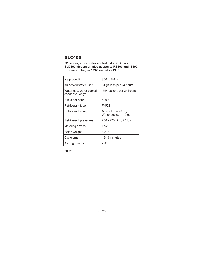# SLC400

**22" cuber, air or water cooled. Fits SLB bins or SLD150 dispenser, also adapts to RS100 and IS100. Production began 1992, ended in 1995.**

| Ice production                             | 350 lb./24 hr.                                  |
|--------------------------------------------|-------------------------------------------------|
| Air cooled water use*                      | 51 gallons per 24 hours                         |
| Water use, water cooled<br>condenser only* | 554 gallons per 24 hours                        |
| BTUs per hour*                             | 6000                                            |
| Refrigerant type                           | R-502                                           |
| Refrigerant charge                         | Air cooled = $20$ oz;<br>Water cooled = $19 oz$ |
| Refrigerant pressures                      | 250 - 220 high, 20 low                          |
| Metering device                            | TXV                                             |
| Batch weight                               | 3.8 <sub>lb</sub>                               |
| Cycle time                                 | 13-16 minutes                                   |
| Average amps                               | 7-11                                            |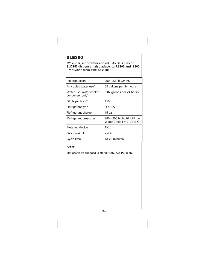# SLE300

**22" cuber, air or water cooled. Fits SLB bins or SLD150 dispenser, also adapts to RS100 and IS100. Production from 1995 to 2000.**

| Ice production                             | 290 - 220 lb./24 hr.                                    |
|--------------------------------------------|---------------------------------------------------------|
| Air cooled water use*                      | 35 gallons per 24 hours                                 |
| Water use, water cooled<br>condenser only* | 307 gallons per 24 hours                                |
| BTUs per hour*                             | 4500                                                    |
| Refrigerant type                           | R-404A                                                  |
| Refrigerant charge                         | 15 oz                                                   |
| Refrigerant pressures                      | 280 - 200 high, 20 - 25 low;<br>Water Cooled = 270 PSIG |
| Metering device                            | TXV                                                     |
| Batch weight                               | 2.4 lb                                                  |
| Cycle time                                 | 18-22 minutes                                           |

**\*90/70**

**Hot gas valve changed in March 1997, see PS-10-97.**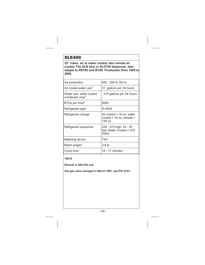### SLE400

**22" cuber, air or water cooled, also remote air cooled. Fits SLB bins or SLD150 dispenser, also adapts to RS100 and IS100. Production from 1995 to 2000.**

| Ice production                             | 400 - 295 lb./24 hr.                                               |
|--------------------------------------------|--------------------------------------------------------------------|
| Air cooled water use*                      | 51 gallons per 24 hours                                            |
| Water use, water cooled<br>condenser only* | 415 gallons per 24 hours                                           |
| BTUs per hour*                             | 6000                                                               |
| Refrigerant type                           | R-404A                                                             |
| Refrigerant charge                         | Air cooled = $19$ oz; water<br>cooled = 18 oz, remote =<br>136 oz. |
| Refrigerant pressures                      | 220 - 370 high, 22 - 30<br>low; Water Cooled = 270<br><b>PSIG</b>  |
| Metering device                            | TXV                                                                |
| Batch weight                               | 3.8 <sub>lb</sub>                                                  |
| Cycle time                                 | 16 - 17 minutes                                                    |

**\*90/70**

**Remote is 208-230 volt.**

**Hot gas valve changed in March 1997, see PS-10-97.**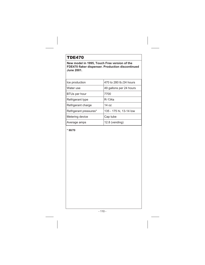### TDE470

**New model in 1995, Touch Free version of the FDE470 flaker dispenser. Production discontinued June 2001.**

| Ice production         | 470 to 280 lb./24 hours |
|------------------------|-------------------------|
| Water use              | 49 gallons per 24 hours |
| BTUs per hour          | 7700                    |
| Refrigerant type       | R-134a                  |
| Refrigerant charge     | 14 oz                   |
| Refrigerant pressures* | 135 - 175 hi, 13-14 low |
| Metering device        | Cap tube                |
| Average amps           | $12.8$ (vending)        |

**\* 90/70**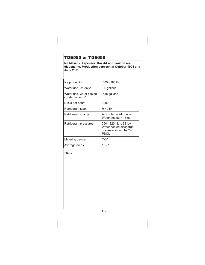### TDE550 or TDE650

**Ice Maker - Dispenser. R-404A and Touch-Free dispensing. Production between in October 1994 and June 2001.**

| Ice production                             | 605 - 380 lb.                                                                        |
|--------------------------------------------|--------------------------------------------------------------------------------------|
| Water use, ice only*                       | 56 gallons                                                                           |
| Water use, water cooled<br>condenser only* | 558 gallons                                                                          |
| BTUs per hour*                             | 9200                                                                                 |
| Refrigerant type                           | R-404A                                                                               |
| Refrigerant charge                         | Air cooled $= 24$ ounce<br>Water cooled = $18 oz$                                    |
| Refrigerant pressures                      | 250 - 220 high; 38 low.<br>Water cooled discharge<br>pressure should be 245<br>PSIG. |
| Metering device                            | TXV                                                                                  |
| Average amps                               | 10 - 13                                                                              |

**\*90/70**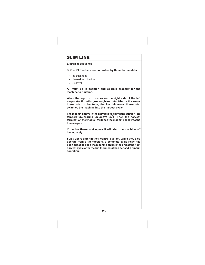### SLIM LINE

#### **Electrical Sequence**

**SLC or SLE cubers are controlled by three thermostats:**

- Ice thickness
- Harvest termination
- Bin level

**All must be in position and operate properly for the machine to function.**

**When the top row of cubes on the right side of the left evaporator fill out large enough to contact the ice thickness thermostat probe tube, the ice thickness thermostat switches the machine into the harvest cycle.**

**The machine stays in the harvest cycle until the suction line temperature warms up above 55**<sup>o</sup> **F. Then the harvest termination thermodisk switches the machine back into the freeze cycle.**

**If the bin thermostat opens it will shut the machine off immediately.**

**SLE Cubers differ in their control system. While they also operate from 3 thermostats, a complete cycle relay has been added to keep the machine on until the end of the next harvest cycle after the bin thermostat has sensed a bin full condition.**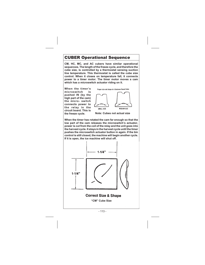### CUBER Operational Sequence

**CM, HC, MC, and AC cubers have similar operational sequences. The length of the freeze cycle, and therefore the cube size, is controlled by a thermostat sensing suction line temperature. This thermostat is called the cube size control. When it closes on temperature fall, it connects power to a timer motor. The timer motor moves a cam which has a microswitch actuator riding on it.**

**When the timer's microswitch is pushed IN (by the high part of the cam) the micro- switch connects power to the relay in the circuit board. This is the freeze cycle.**





**When the timer has rotated the cam far enough so that the low part of the cam releases the microswitch's actuator, power is cut from the coil of the relay and the unit goes into the harvest cycle. It stays in the harvest cycle until the timer pushes the microswitch actuator button in again. If the bin control is still closed, the machine will begin another cycle. If it is open, the ice machine will shut off.**

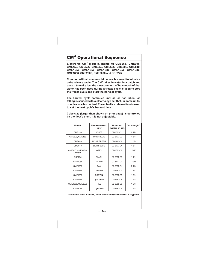# **Operational Sequence**

**Electronic CM<sup>3</sup> Models, including CME256, CME306, CME456, CME506, CME656, CME686, CME806, CME810, CME1056, CME1356, CME1386, CME1656, CME1686, CME1856, CME2006, CME2086 and SCE275.**

**Common with all commercial cubers is a need to initiate a cube release cycle. The CM<sup>3</sup> takes in water in a batch and uses it to make ice; the measurement of how much of that water has been used during a freeze cycle is used to stop the freeze cycle and start the harvest cycle.**

**The harvest cycle continues until all ice has fallen. Ice falling is sensed with a electric eye set that, in some units, doubles as a bin control. The actual ice release time is used to set the next cycle's harvest time.**

**Cube size (larger than shown on prior page) is controlled by the float's stem. It is not adjustable.**

| <b>Models</b>                      | Float stem (stick)<br>color | <b>Float stem</b><br>number on part | Cut in height* |
|------------------------------------|-----------------------------|-------------------------------------|----------------|
| <b>CME256</b>                      | <b>WHITE</b>                | 02-3383-01                          | 21/4           |
| CME306, CME456                     | <b>DARK BLUE</b>            | 02-3777-03                          | 1.3/8          |
| <b>CME686</b>                      | <b>LIGHT GREEN</b>          | 02-3777-02                          | 15/8           |
| <b>CME810</b>                      | LIGHT BLUE                  | 02-3777-04                          | 1.3/4          |
| CME506, CME656 or<br><b>CME806</b> | <b>GREY</b>                 | 02-3383-02                          | 1 7/16         |
| <b>SCE275</b>                      | <b>BLACK</b>                | 02-3383-03                          | 11/4           |
| CME1056                            | <b>SILVER</b>               | 02-3777-01                          | 1 3/16         |
| CME1356                            | <b>TAN</b>                  | 02-3383-04                          | 21/8           |
| CME1386                            | Dark Blue                   | 02-3383-07                          | 13/4           |
| CME1656                            | <b>BROWN</b>                | 02-3383-05                          | 1.3/4          |
| CME1686                            | Light Green                 | 02-3383-08                          | 15/8           |
| CME1856, CME2006                   | <b>RED</b>                  | 02-3383-06                          | 15/8           |
| CME2086                            | Light Blue                  | 02-3383-09                          | 15/8           |

**\* Amount of stem, in inches, above sensor body when harvest is triggered.**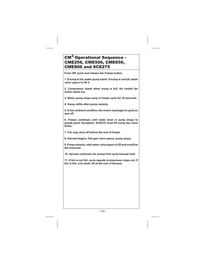### CM<sup>3</sup> Operational Sequence -CME256, CME506, CME656, CME806 and SCE275

**From Off, push and release the Freeze button**

**1. If sump is full, water pump starts. If sump is not full, water valve opens to fill it.**

**2. Compressor starts when sump is full. Air cooled fan motor starts too.**

**3. Water pump stops early in freeze cycle for 30 seconds.**

**4. Sump refills after pump restarts.**

**5. In low ambient condition, fan motor may begin to cycle on and off.**

**6. Freeze continues until water level in sump drops to preset point. Exception: SCE275 must fill sump two more times.**

**7. Fan may shut off before the end of freeze.**

**8. Harvest begins. Hot gas valve opens, pump stops.**

**9. Pump restarts, inlet water valveopens to fill and overflow the reservoir.**

**10. Harvest continues for preset first cycle harvest time.**

**11. If bin is not full, cycle repeats (compressor stays on). If bin is full, unit shuts off at the end of harvest.**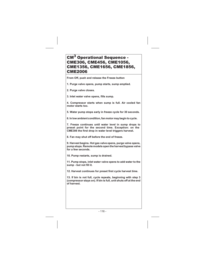### CM<sup>3</sup> Operational Sequence -CME306, CME456, CME1056, CME1356, CME1656, CME1856, CME2006

**From Off, push and release the Freeze button**

**1. Purge valve opens, pump starts, sump emptied.**

**2. Purge valve closes.**

**3. Inlet water valve opens, fills sump.**

**4. Compressor starts when sump is full. Air cooled fan motor starts too.**

**5. Water pump stops early in freeze cycle for 30 seconds.**

**6. In low ambient condition, fan motor may begin to cycle.**

**7. Freeze continues until water level in sump drops to preset point for the second time. Exception: on the CME306 the first drop in water level triggers harvest.**

**8. Fan may shut off before the end of freeze.**

**9. Harvest begins. Hot gas valve opens, purge valve opens, pump stops. Remote models open the harvest bypass valve for a few seconds.**

**10. Pump restarts, sump is drained.**

**11. Pump stops, inlet water valve opens to add water to the sump - but not fill it.**

**12. Harvest continues for preset first cycle harvest time.**

**13. If bin is not full, cycle repeats, beginning with step 3 (compressor stays on). If bin is full, unit shuts off at the end of harvest.**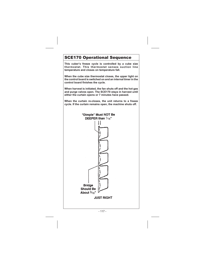## SCE170 Operational Sequence

**This cuber's freeze cycle is controlled by a cube size thermostat. This thermostat senses suction line temperature and closes on temperature fall.**

**When the cube size thermostat closes, the upper light on the control board is switched on and an internal timer in the control board finishes the cycle.**

**When harvest is initiated, the fan shuts off and the hot gas and purge valves open. The SCE170 stays in harvest until either the curtain opens or 7 minutes have passed.**

**When the curtain re-closes, the unit returns to a freeze cycle. If the curtain remains open, the machine shuts off.**

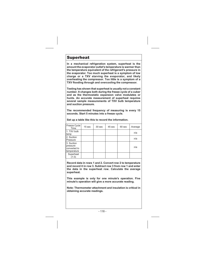### Superheat

**In a mechanical refrigeration system, superheat is the amount the evaporator outlet's temperature is warmer than the temperature equivalent of the refrigerant's pressure in the evaporator. Too much superheat is a symptom of low charge or a TXV starving the evaporator, and likely overheating the compressor. Too little is a symptom of a TXV flooding through and overcooling the compressor.**

**Testing has shown that superheat is usually not a constant number. It changes both during the freeze cycle of a cuber and as the thermostatic expansion valve modulates or hunts. An accurate measurement of superheat requires several sample measurements of TXV bulb temperature and suction pressure.**

**The recommended frequency of measuring is every 15 seconds. Start 5 minutes into a freeze cycle.**

| Freeze Cycle<br>Time                                  | 15 <sub>sec</sub> | 30 sec | 45 sec | $60$ sec | Average |
|-------------------------------------------------------|-------------------|--------|--------|----------|---------|
| 1. TXV bulb<br>temp                                   |                   |        |        |          | n/a     |
| 2. Suction<br>Pressure                                |                   |        |        |          | n/a     |
| 3. Suction<br>pressure<br>converted to<br>temperature |                   |        |        |          | n/a     |
| Superheat<br>$(1-3)$                                  |                   |        |        |          |         |

**Set up a table like this to record the information.**

**Record data in rows 1 and 2. Convert row 2 to temperature and record it in row 3. Subtract row 3 from row 1 and enter the data in the superheat row. Calculate the average superheat.**

**This example is only for one minute's operation. Five minute's operation will give a more accurate reading.**

**Note: Thermometer attachment and insulation is critical in obtaining accurate readings.**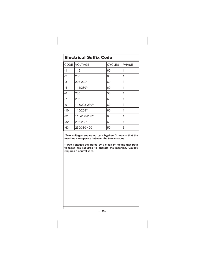| <b>Electrical Suffix Code</b> |                |               |              |  |
|-------------------------------|----------------|---------------|--------------|--|
| CODE                          | <b>VOLTAGE</b> | <b>CYCLES</b> | <b>PHASE</b> |  |
| -1                            | 115            | 60            | 1            |  |
| $-2$                          | 230            | 60            | 1            |  |
| -3                            | 208-230*       | 60            | 3            |  |
| -4                            | 115/230**      | 60            | 1            |  |
| -6                            | 230            | 50            | 1            |  |
| -7                            | 208            | 60            | 1            |  |
| -9                            | 115/208-230**  | 60            | 3            |  |
| $-10$                         | 115/208**      | 60            | 1            |  |
| $-31$                         | 115/208-230**  | 60            | 1            |  |
| -32                           | 208-230*       | 60            | 1            |  |
| -63                           | 230/380-420    | 50            | 3            |  |

**\*Two voltages separated by a hyphen (-) means that the machine can operate between the two voltages.**

**\*\*Two voltages separated by a slash (/) means that both voltages are required to operate the machine. Usually requires a neutral wire.**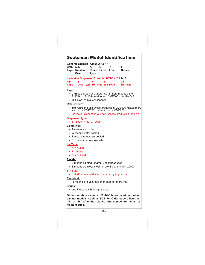| <b>Scotsman Model Identification:</b>                                                                                                                                                                                       |  |  |  |  |
|-----------------------------------------------------------------------------------------------------------------------------------------------------------------------------------------------------------------------------|--|--|--|--|
| General Example: CME506AS-1F<br><b>CME</b><br>F<br>506<br>s<br>A<br>$-1$<br>Cond. Finish Elec.<br><b>Series</b><br>Type<br><b>Relative</b><br>Size<br>Type                                                                  |  |  |  |  |
| Ice Maker Dispenser Example: MTD5N25AS-1B<br>MD<br>25<br>Disp Type Rel Size Ice Type<br><b>Bin Size</b><br><b>Type</b>                                                                                                      |  |  |  |  |
| <u>Type:</u><br>• CME is a Modular Cuber; (the "E" here means either<br>R-404A or R-134a refrigerant. CME506 uses R-404A).<br>• MD is an ice Maker Dispenser                                                                |  |  |  |  |
| <b>Relative Size:</b><br>• 506 ranks the unit by ice production: CME506 makes more<br>ice than a CME256, but less than a CME656.<br>• Ice maker dispenser: a 3 has less ice production than a 4                             |  |  |  |  |
| <b>Dispenser Type</b><br>• T - Touch Free, L - Lever                                                                                                                                                                        |  |  |  |  |
| <u>Cond Type:</u><br>• A means air cooled<br>• W means water cooled<br>• R means remote air cooled<br>• RL means remote low side<br><b>Ice Type</b><br>$\bullet$ N = Nugget<br>$\bullet$ F = Flake<br>$\bullet$ C = Cubelet |  |  |  |  |
| Finish:<br>• E means painted (enamel), no longer used<br>• S means stainless steel (all are S beginning in 2000)                                                                                                            |  |  |  |  |
| <b>Bin Size:</b><br>• Rated/calculated dispenser capacity in pounds<br>Electrical:<br>• -1 means 115 volt, see prior page for more info.                                                                                    |  |  |  |  |
| Series:<br>• and F means 6th design series.                                                                                                                                                                                 |  |  |  |  |
| Other models are similar, "finish" is not used on molded<br>cabinet models, such as SCE170. Older cubers listed an<br>"S" or "M" after the relative size number for Small or<br>Medium cube.                                |  |  |  |  |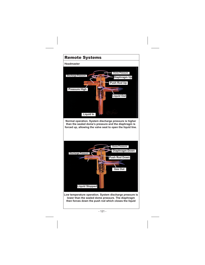### Remote Systems

#### **Headmaster**



**Normal operation. System discharge pressure is higher than the sealed dome's pressure and the diaphragm is forced up, allowing the valve seat to open the liquid line.**



**Low temperature operation. System discharge pressure is lower than the sealed dome pressure. The diaphragm then forces down the push rod which closes the liquid**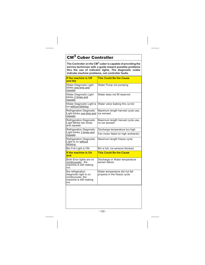# CM<sup>3</sup> Cuber Controller

**The Controller on the CM<sup>3</sup> cuber is capable of providing the service technician with a guide toward possible problems thru the use of indicator lights. The diagnostic codes indicate machine problems, not controller faults.**

| If the machine is Off<br>and the                                                                   | <b>This Could Be the Cause</b>                                 |  |  |
|----------------------------------------------------------------------------------------------------|----------------------------------------------------------------|--|--|
| Water Diagnostic Light<br>blinks one time and<br>repeats                                           | Water Pump not pumping                                         |  |  |
| Water Diagnostic Light<br>blinks 2 times and<br>repeats                                            | Water does not fill reservoir                                  |  |  |
| Water Diagnostic Light is<br>on without blinking                                                   | Water valve leaking thru (a lot)                               |  |  |
| <b>Refrigeration Diagnostic</b><br>Light blinks one time and<br>repeats                            | Maximum length harvest cycle use,<br>ice sensed.               |  |  |
| <b>Refrigeration Diagnostic</b><br>Light Blinks two times<br>and repeats                           | Maximum length harvest cycle use,<br>no ice sensed.            |  |  |
| <b>Refrigeration Diagnostic</b>                                                                    | Discharge temperature too high                                 |  |  |
| Light blinks 3 times and<br>repeats                                                                | Fan motor failed (in high ambients)                            |  |  |
| <b>Refrigeration Diagnostic</b><br>Light is on without<br>blinking                                 | Maximum length freeze cycle                                    |  |  |
| Bin Full Light is ON                                                                               | Bin is full, ice sensors blocked.                              |  |  |
| If the machine is On<br>and                                                                        | <b>This Could Be the Cause</b>                                 |  |  |
| Both Error lights are on<br>continuously, the<br>machine is still making<br>ice.                   | Discharge or Water temperature<br>sensor failure               |  |  |
| the refrigeration<br>diagnostic light is on<br>continuously, the<br>machine is still making<br>ice | Water temperature did not fall<br>properly in the freeze cycle |  |  |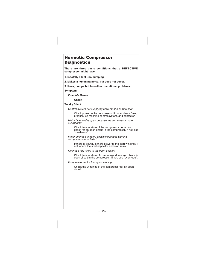#### Hermetic Compressor Diagnostics

**There are three basic conditions that a DEFECTIVE compressor might have.**

**1. Is totally silent - no pumping.**

**2. Makes a humming noise, but does not pump.**

**3. Runs, pumps but has other operational problems.**

#### **Symptom**

*Possible Cause*

**Check**

#### **Totally Silent**

*Control system not supplying power to the compressor*

Check power to the compressor. If none, check fuse, breaker, ice machine control system, and contactor.

*Motor Overload is open because the compressor motor overheated.*

Check temperature of the compressor dome. and check for an open circuit in the compressor. If hot, see "overheats"

*Motor overload is open, possibly because starting components have failed.*

If there is power, is there power to the start winding? If not, check the start capacitor and start relay.

*Overload has failed in the open position*

Check temperature of compressor dome and check for open circuit in the compressor. If hot, see "overheats".

*Compressor motor has open winding*

Check the windings of the compressor for an open circuit.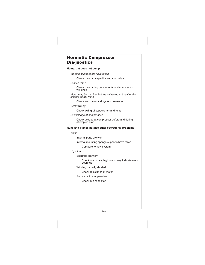#### Hermetic Compressor Diagnostics

#### **Hums, but does not pump**

*Starting components have failed*

Check the start capacitor and start relay

*Locked rotor*

Check the starting components and compressor windings

*Motor may be running, but the valves do not seal or the pistons do not move*

Check amp draw and system pressures

*Wired wrong*

Check wiring of capacitor(s) and relay

*Low voltage at compressor*

Check voltage at compressor before and during attempted start

#### **Runs and pumps but has other operational problems**

*Noise*

Internal parts are worn

Internal mounting springs/supports have failed

Compare to new system

*High Amps*

Bearings are worn

Check amp draw, high amps may indicate worn bearings

Winding partially shorted

Check resistance of motor

Run capacitor inoperative

Check run capacitor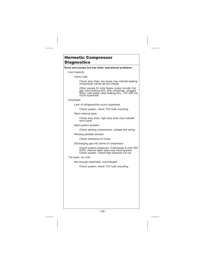#### Hermetic Compressor Diagnostics

#### **Runs and pumps but has other operational problems**

#### *Low Capacity*

Valve Leak

Check amp draw, low amps may indicate leaking compressor valves **or** low charge

Other causes for long freeze cycles include: hot gas valve leaking thrŭ, dirty condenser, plugged<br>filters, inlet water valve leaking thru, TXV with too much superheat.

#### *Overheats*

Lack of refrigerant/too much superheat

Check system, check TXV bulb mounting

Worn internal parts

Check amp draw, high amp draw may indicate worn parts

Start system problem

Check starting components, voltage and wiring

Winding partially shorted

Check resistance of motor

Discharging gas into dome of compressor

Check system pressures, if discharge is over 450 PSIG, internal relief valve may have opened. Check system. Check high pressure cut out.

*Too quiet, too cold*

Not enough superheat, overcharged

Check system, check TXV bulb mounting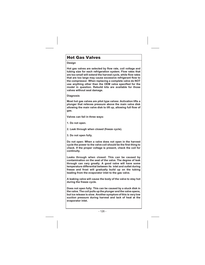### Hot Gas Valves

#### **Design**

**Hot gas valves are selected by flow rate, coil voltage and tubing size for each refrigeration system. Flow rates that are too small will extend the harvest cycle, while flow rates that are too large may cause excessive refrigerant flow to the compressor. When replacing a complete valve do NOT use anything other than the OEM valve specified for the model in question. Rebuild kits are available for those valves without seat damage.**

**Diagnosis**

**Most hot gas valves are pilot type valves: Activation lifts a plunger that relieves pressure above the main valve disk allowing the main valve disk to lift up, allowing full flow of gas.**

**Valves can fail in three ways:**

- **1. Do not open.**
- **2. Leak through when closed (freeze cycle).**
- **3. Do not open fully.**

**Do not open: When a valve does not open in the harvest cycle the power to the valve coil should be the first thing to check. If the proper voltage is present, check the coil for continuity.**

**Leaks through when closed: This can be caused by contamination on the seat of the valve. The degree of leak through can vary greatly. A good valve will have some temperature differential between its inlet and outlet during freeze and frost will gradually build up on the tubing leading from the evaporator inlet to the gas valve.**

**A leaking valve will cause the body of the valve to stay hot during the freeze cycle.**

**Does not open fully: This can be caused by a stuck disk in the valve. The coil pulls up the plunger and the valve opens, but ice release is slow. Another symptom of this is very low suction pressure during harvest and lack of heat at the evaporator inlet.**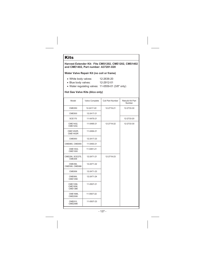### **Kits**

#### **Harvest Extender Kit: Fits CMS1202, CME1202, CMS1402 and CME1402, Part number: A37281-020**

#### **Water Valve Repair Kit (no coil or frame)**

- White body valves: 12-2636-20
- Blue body valves: 12-2912-01
- Water regulating valves: 11-0559-01 (3/8" only)

#### **Hot Gas Valve Kits (Alco only)**

| Model                           | Valve Complete | Coil Part Number         |            |
|---------------------------------|----------------|--------------------------|------------|
| <b>CME250</b>                   | 12-2417-22     | 12-2719-21               | 12-2733-30 |
| <b>CME500</b>                   | 12-2417-21     |                          |            |
| <b>SCE170</b>                   | 11-0475-21     |                          | 12-2733-20 |
| CME1402.<br>CME1202.            | 11-0495-21     | 12-2719-22<br>12-2733-30 |            |
| CME1202R,<br><b>CME1402R</b>    | 11-0494-21     |                          |            |
| <b>CME650</b>                   | 12-2417-23     |                          |            |
| CME865, CME855                  | 11-0493-21     |                          |            |
| CME1002,<br>CME1000             | 11-0491-21     |                          |            |
| CME256, SCE275,<br>CME306       | 12-2471-21     | 12-2719-23               |            |
| CME456.<br>CME506, CME686       | 12-2471-22     |                          |            |
| CME656                          | 12-2471-23     |                          |            |
| CME806.<br>CME1056              | 12-2471-24     |                          |            |
| CME1356,<br>CME1656,<br>CME1386 | 11-0507-21     |                          |            |
| CME1686,<br><b>CME2006</b>      | 11-0507-22     |                          |            |
| CME810,<br><b>CME2086</b>       | 11-0507-23     |                          |            |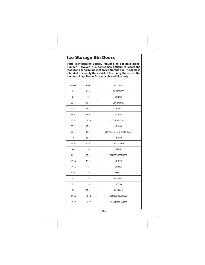### Ice Storage Bin Doors

**Parts identification usually requires an accurate model number. However, it is sometimes difficult to locate the model and serial number of an ice storage bin. This table is intended to identify the model of the bin by the size of the bin door. It applies to Scotsman brand bins only.**

| Length          | Width            | <b>Bin Model</b>               |  |
|-----------------|------------------|--------------------------------|--|
| 21              | $11\frac{1}{4}$  | SLB150/260                     |  |
| 21              | 15               | <b>SLB375</b>                  |  |
| $22\frac{1}{4}$ | $16\frac{1}{4}$  | B90 or BX87                    |  |
| $29\frac{1}{4}$ | $15\frac{1}{4}$  | <b>B350</b>                    |  |
| 29 %            | 19 1/2           | <b>HTB555</b>                  |  |
| $30\frac{1}{4}$ | 11 1/4           | HTB250/350/500                 |  |
| $30\frac{1}{4}$ | 15 <sub>2</sub>  | <b>BH550</b>                   |  |
| $32\frac{1}{2}$ | 19 3/4           | B80 (1 door) or B120 (2 doors) |  |
| 42              | 15 <sub>2</sub>  | <b>BH800</b>                   |  |
| $42\frac{1}{2}$ | $11\frac{1}{4}$  | <b>B40 or B60</b>              |  |
| 44              | 16               | BH1370                         |  |
| 44 1/4          | 15 $\frac{1}{2}$ | BH1351/1352/1360               |  |
| 47 1/2          | $14\frac{3}{4}$  | <b>BH900</b>                   |  |
| 47 1/2          | 15               | <b>BH900C</b>                  |  |
| 49 1/2          | 15               | BH1000                         |  |
| 51              | 15               | <b>BH1000C</b>                 |  |
| 52              | 13               | <b>BH750</b>                   |  |
| 52              | 15 $\frac{1}{2}$ | <b>BH1000A</b>                 |  |
| 31 1/2          | 18 1/2           | BH1100/1300/1600               |  |
| 19 3/4          | 15 3/4           | Ice Express System             |  |
|                 |                  |                                |  |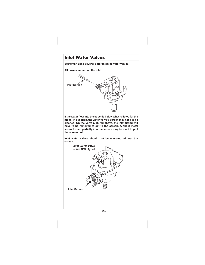### Inlet Water Valves

**Scotsman uses several different inlet water valves.**

**All have a screen on the inlet.**



**If the water flow into the cuber is below what is listed for the model in question, the water valve's screen may need to be cleaned. On the valve pictured above, the inlet fitting will have to be removed to get to the screen. A sheet metal screw turned partially into the screen may be used to pull the screen out.**

**Inlet water valves should not be operated without the screen.**

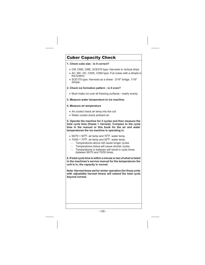### Cuber Capacity Check

#### **1. Check cube size - is it correct?**

- CM, CMS, CME, SCE275 type: Harvests in vertical strips
- AC, MC, HC, CS55, CS60 type: Full cubes with a dimple in the bottom.
- SCE170 type: Harvests as a sheet 3/16" bridge, 1/16" dimple.

#### **2. Check ice formation pattern - is it even?**

- Must make ice over all freezing surfaces - nearly evenly.

#### **3. Measure water temperature to ice machine.**

#### **4. Measure air temperature**

- Air cooled check air temp into the coil
- Water cooled check ambient air

**5. Operate the machine for 2 cycles and then measure the total cycle time (freeze + harvest). Compare to the cycle time in the manual or this book for the air and water temperatures the ice machine is operating in.**

- $\bullet$  90/70 = 90<sup>o</sup>F. air temp and 70<sup>o</sup>F. water temp.
- $\bullet$  70/50 = 70<sup>o</sup>F. air temp and 50<sup>o</sup>F. water temp.
- Temperatures above will cause longer cycles
- Temperatures below will cause shorter cycles
- Temperatures in between will result in cycle times between 90/70 and 70/50 times.

**6. If total cycle time is within a minute or two of what is listed in the machines's service manual for the temperatures the unit is in, the capacity is normal.**

**Note: Harvest times set for winter operation (for those units with adjustable harvest times) will extend the total cycle beyond normal.**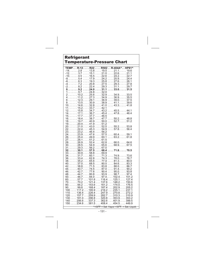#### Refrigerant Temperature-Pressure Chart

|                               |                                                 |               | TEMPR-12R22R502R-404A^HP81^                                                                    |
|-------------------------------|-------------------------------------------------|---------------|------------------------------------------------------------------------------------------------|
|                               |                                                 |               | $-14. \ldots 2.8 \ldots 13.8 \ldots 19.5 \ldots 21.1 \ldots 19.6$                              |
| $-12. \ldots 3.7$             |                                                 |               | $\ldots$ . 15.1 $\ldots$ . 21.0 $\ldots$ . 22.6 $\ldots$ . 21.1                                |
| $-10.$ 4.5                    |                                                 |               | $\ldots$ 16.5 $\ldots$ 22.6 $\ldots$ 24.2 $\ldots$ 22.7                                        |
|                               |                                                 |               | $-8. \ldots 5.4 \ldots 17.9 \ldots 24.2 \ldots 25.9 \ldots 24.4$                               |
| $-6.$ 6.3                     | $\ldots$ 19.3                                   |               | $\ldots$ . 25.8 $\ldots$ . 27.6 $\ldots$ . 26.1                                                |
| $-4.$ 7.220.8                 |                                                 |               | $\ldots$ 27.5 $\ldots$ 29.3 $\ldots$ 27.8                                                      |
|                               |                                                 |               | $-2.$ 8.222.429.331.129.7                                                                      |
|                               |                                                 |               |                                                                                                |
|                               | $\ldots$ . 24.8 $\ldots$ . 32.0                 |               |                                                                                                |
|                               |                                                 |               | $2$ . 10.2 25.6 32.9 34.9 33.5                                                                 |
|                               |                                                 |               | 411.227.334.936.935.5                                                                          |
|                               |                                                 |               | $6$ . 12.3 29.1 36.9 39.0 37.5                                                                 |
|                               |                                                 |               | $813.530.938.941.139.6$                                                                        |
|                               |                                                 |               | $10, \ldots, 14.6, \ldots, 32.8, \ldots, 41.0, \ldots, 43.3, \ldots, 41.8$                     |
|                               | $11. \ldots . 15.2 \ldots . 33.7 \ldots . 42.1$ |               |                                                                                                |
| $12. \ldots 15.8 \ldots 34.7$ |                                                 |               | $\ldots$ 43.2 $\ldots$ 45.5 $\ldots$ 44.1                                                      |
|                               |                                                 |               | 14. 17.1 36.7 45.4 47.8 46.4<br>15. 17.7 37.7 46.5                                             |
|                               |                                                 |               |                                                                                                |
| $16. \ldots 18.4 \ldots 38.7$ |                                                 |               | $\ldots$ . 47.7 $\ldots$ 50.2. $\ldots$ 48.8                                                   |
|                               |                                                 |               | $18. \ldots 19.7 \ldots 40.9 \ldots 50.0 \ldots 52.7 \ldots 51.2$                              |
|                               | $19. \ldots 20.4 \ldots 41.9 \ldots 51.2$       |               | $20. \ldots 21.0 \ldots 43.0 \ldots 52.5 \ldots 55.2 \ldots 53.8$                              |
| $22. \ldots$ 22.4 45.3        |                                                 | $\ldots$ 54.9 | $\ldots$ 57.8. $\ldots$ 56.4                                                                   |
|                               | $23$ 23.2 46.4 56.2                             |               |                                                                                                |
|                               |                                                 |               | $24. \ldots 23.9 \ldots 47.6 \ldots 57.5 \ldots 60.4 \ldots 59.1$                              |
|                               |                                                 |               | $26. \ldots 25.4 \ldots 49.9 \ldots 60.1 \ldots 63.2 \ldots 61.8$                              |
|                               | $27. \ldots 26.1 \ldots 51.2 \ldots 61.5$       |               |                                                                                                |
|                               |                                                 |               | 28. 26.9 52.4 62.8 66.0. 64.6                                                                  |
| $30. \ldots 28.5 \ldots 54.9$ |                                                 |               | $\ldots$ 65.6 $\ldots$ 68.9 $\ldots$ 67.5                                                      |
|                               | $31. \ldots 29.3 \ldots 56.2 \ldots 67.0$       |               |                                                                                                |
|                               |                                                 |               | $32.\dots 30.1 \dots 57.5 \dots 68.4 \dots 71.8\dots 70.5$                                     |
|                               | $33$ 30.9 58.8 69.9                             |               |                                                                                                |
| $34. \ldots 31.7 \ldots 60.1$ |                                                 |               | $\ldots$ . 71.3 $\ldots$ . 74.9 $\ldots$ . 73.6                                                |
| $36. \ldots 33.4 \ldots 62.8$ |                                                 |               | 1.1.74.3.1.78.0.1.1.76.7                                                                       |
|                               |                                                 |               | $38. \ldots$ . 35.2 65.6 77.4 81.3. 80.0                                                       |
|                               |                                                 |               | $40. \ldots 37.0 \ldots 68.5 \ldots 80.5 \ldots 84.6 \ldots 83.3$                              |
|                               |                                                 |               | $42. \ldots 38.8 \ldots 71.5 \ldots 83.8 \ldots 88.0 \ldots 86.7$                              |
|                               |                                                 |               | 44. 40.7 74.5 87.0 91.4. 90.2                                                                  |
|                               |                                                 |               | $46. \ldots 42.7 \ldots 77.6 \ldots 90.4 \ldots 95.0 \ldots 93.8$                              |
|                               |                                                 |               | $48. \ldots 44.7 \ldots 80.8 \ldots 93.9 \ldots 98.7 \ldots 97.4$                              |
| $60. \ldots 57.7$             | $\ldots$ 101.6 $\ldots$ 116.4                   |               | $50. \ldots 46.7 \ldots 84.0 \ldots 97.4 \ldots 102.4 \ldots 101.2$<br>$\ldots$ 125.1<br>127.4 |
| $70. \ldots . 70.2$           | $\ldots$ 121.4 $\ldots$ 137.6                   |               | $\ldots$ 148.2. $\ldots$ 150.6                                                                 |
|                               | $80. \ldots 84.2 \ldots 143.6 \ldots 161.2$     |               | $\ldots$ 174.0. $\ldots$ 176.5                                                                 |
|                               | $90. \ldots 99.8 \ldots 168.4 \ldots 187.4$     |               | $\ldots$ 202.9. $\ldots$ 205.2                                                                 |
|                               | 100117.2195.9216.2                              |               | $\ldots$ 235.1 237.1                                                                           |
|                               |                                                 |               | $110136.4226.4247.9270.8272.2$                                                                 |
|                               |                                                 |               | $120157.7259.9282.7310.3310.9$                                                                 |
| 130                           |                                                 |               | $\ldots$ . 181.0 296.8 320.8 353.9 353.2                                                       |
| 140                           |                                                 |               | $\ldots$ 206.6 $\ldots$ 337.3 $\ldots$ 362.6 $\ldots$ 401.9 $\ldots$ 399.5                     |
| 150                           |                                                 |               | $\ldots$ 234.6 $\ldots$ 381.5 $\ldots$ 408.4 $\ldots$ 454.5 $\ldots$ 449.9                     |
|                               |                                                 |               | $*50^{\circ}$ F = Sat. Vapor >50 $^{\circ}$ F.<br>= Sat. Liguid.                               |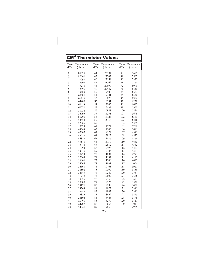#### 0 85325  $\frac{1}{2}$  82661 2 80090 3 77607 4 75210 5 72896 6 70660 7 68501 8 66415 9 64400 10 62453 11 60571 12 58752 13 56995 14 55296 15 53653 16 52065 17 50529 18 49043 19 47607 20 46217 21 44872 22 43571 23 42313 24 41094 25 39915 26 38774 27 37669 28 36600 29 35564 30 34561 31 33590 32 32649 33 31738 34 30855 35 30000 36 29171 37 28368 38 27589 39 26835 40 26104 41 25395 42 24707 43 24041 44 23394 45 22767 46 22159 47 21569 48 20997 49 20442 50 19903 51 19381 52 18873 S3 18381 54 17903 55 17439 56 16988 57 16551 58 16126 59 15714 60 15313 61 14924 62 14546 63 14179 64 13823 65 13476 66 13139 67 12812 68 12494 69 12185 70 11884 71 11592 72 11308 73 11031 74 10763 75 10502 76 10247 77 10000 78 9760 79 9526 80 9299 81 9077 82 8862 83 8652 84 8448 85 8250 86 8056 87 7868 88 7685 89 7507 90 7333 91 7164 92 6999 93 6839 94 6683 95 6530 96 6382 97 6238 98 6097 99 5960 100 5826 101 5696 102 5569 103 5446 104 5325 105 5208 106 5093 107 4981 108 4872 109 4766 110 4663 111 4562 112 4463 113 4367 114 4273 115 4182 116 4093 117 4006 118 3921 119 3838 120 3757 121 3678 122 3601 123 3526 124 3452 125 3381 126 3311 127 3243 128 3176 129 3111 130 3047 131 2985 CM<sup>3</sup> Thermistor Values Temp Resistance  $(F^{\circ})$ ) (ohms) Temp Resistance  $(F^{\circ})$ ) (ohms) Temp Resistance  $(F^{\circ})$ ) (ohms)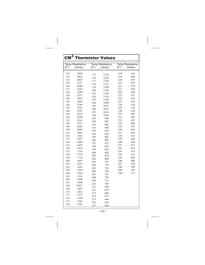| $CM^3$<br><b>Thermistor Values</b>                                                                                                                                                                             |                                                                                                                                                                                                                                              |                                                                                                                                                                                                         |                                                                                                                                                                                                                       |                                                                                                                                                                                                                |                                                                                                                                                                                                                |
|----------------------------------------------------------------------------------------------------------------------------------------------------------------------------------------------------------------|----------------------------------------------------------------------------------------------------------------------------------------------------------------------------------------------------------------------------------------------|---------------------------------------------------------------------------------------------------------------------------------------------------------------------------------------------------------|-----------------------------------------------------------------------------------------------------------------------------------------------------------------------------------------------------------------------|----------------------------------------------------------------------------------------------------------------------------------------------------------------------------------------------------------------|----------------------------------------------------------------------------------------------------------------------------------------------------------------------------------------------------------------|
| $(F^{\circ})$                                                                                                                                                                                                  | <b>Temp Resistance</b><br>(ohms)                                                                                                                                                                                                             | $(F^{\circ})$                                                                                                                                                                                           | <b>Temp Resistance</b><br>(ohms)                                                                                                                                                                                      | $(F^{\circ})$                                                                                                                                                                                                  | <b>Temp Resistance</b><br>(ohms)                                                                                                                                                                               |
| 132<br>133<br>134<br>135<br>136<br>137<br>138<br>139<br>140<br>141<br>142<br>143<br>144<br>145<br>146<br>147<br>148<br>149<br>150<br>151<br>152<br>153<br>154<br>155<br>156<br>157<br>158<br>159<br>160<br>161 | 2924<br>2865<br>2807<br>2751<br>2696<br>2642<br>2589<br>2537<br>2487<br>2438<br>2390<br>2343<br>2297<br>2252<br>2208<br>2165<br>2123<br>2082<br>2042<br>2003<br>1965<br>1927<br>1890<br>1855<br>1819<br>1785<br>1752<br>1719<br>1687<br>1655 | 175<br>176<br>177<br>178<br>179<br>180<br>181<br>182<br>183<br>184<br>185<br>186<br>187<br>188<br>189<br>190<br>191<br>192<br>193<br>194<br>195<br>196<br>197<br>198<br>199<br>200<br>201<br>202<br>203 | 1279<br>1256<br>1234<br>1212<br>1190<br>1169<br>1149<br>1129<br>1109<br>1090<br>1071<br>1052<br>1034<br>1016<br>998<br>981<br>965<br>948<br>932<br>916<br>901<br>885<br>871<br>856<br>842<br>828<br>814<br>800<br>787 | 218<br>219<br>220<br>221<br>222<br>223<br>224<br>225<br>226<br>227<br>228<br>229<br>230<br>231<br>232<br>233<br>234<br>235<br>236<br>237<br>238<br>239<br>240<br>241<br>242<br>243<br>244<br>245<br>246<br>247 | 616<br>606<br>597<br>587<br>578<br>569<br>560<br>551<br>543<br>534<br>526<br>518<br>510<br>502<br>495<br>487<br>480<br>472<br>465<br>458<br>451<br>444<br>438<br>431<br>425<br>419<br>412<br>406<br>400<br>394 |
| 162<br>163<br>164<br>165<br>166<br>167<br>168<br>169<br>170<br>171<br>172<br>173<br>174                                                                                                                        | 1624<br>1594<br>1565<br>1536<br>1508<br>1480<br>1453.<br>1427<br>1401<br>1375<br>1350<br>1326<br>1302                                                                                                                                        | 204<br>205<br>206<br>207<br>208<br>209<br>210<br>211<br>212<br>213<br>214<br>215<br>216<br>217                                                                                                          | 774<br>761<br>749<br>737<br>724<br>713<br>701<br>690<br>679<br>668<br>657<br>646<br>636<br>626                                                                                                                        | 246<br>249<br>250                                                                                                                                                                                              | 389<br>383<br>377                                                                                                                                                                                              |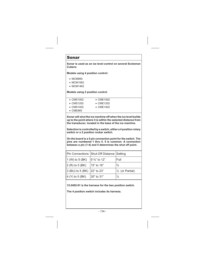#### Sonar

**Sonar is used as an ice level control on several Scotsman Cubers:**

**Models using 4 position control:**

- MCM860
- MCM1062
- MCM1462

**Models using 2 position control**

- CMS1002
- CME1002
- CMS1202 • CMS1402
- CME1202 • CME1402
- 
- CME865

**Sonar will shut the ice machine off when the ice level builds up to the point where it is within the selected distance from the transducer, located in the base of the ice machine.**

**Selection is controlled by a switch, either a 4 position rotary switch or a 2 position rocker switch.**

**On the board is a 5 pin connection point for the switch. The pins are numbered 1 thru 5. 5 is common. A connection between a pin (1-4) and 5 determines the shut off point.**

| Pin Connections Shut-Off Distance Setting |                            |
|-------------------------------------------|----------------------------|
| $ 9 \frac{3}{4}$ " to 12"                 | Full                       |
| 15" to 16"                                | $\frac{3}{4}$              |
| 3 (BU) to 5 (BK) 22" to 23"               | $\frac{1}{2}$ (or Partial) |
| 30" to 31"                                | $\frac{1}{4}$              |
|                                           |                            |

**12-2402-01 is the harness for the two position switch.**

**The 4 position switch includes its harness.**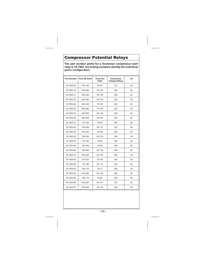### Compressor Potential Relays

**The part number prefix for a Scotsman compressor start relay is 18-1903, the ending numbers identify the individual part's configuration.**

| <b>Part Number</b> | <b>Pick-Up Volts</b> | Drop Out<br>Volts | Continuous<br><b>Voltage Rating</b> | Hz |
|--------------------|----------------------|-------------------|-------------------------------------|----|
| 18-1903-04         | 150-160              | $20 - 55$         | 130                                 | 60 |
| 18-1903-18         | 340-360              | 55-125            | 336                                 | 60 |
| 18-1903-21         | 320-340              | 60-140            | 395                                 | 60 |
| 18-1903-22         | 300-320              | 60-133            | 336                                 | 50 |
| 18-1903-26         | 320-340              | 75-160            | 420                                 | 60 |
| 18-1903-28         | 260-280              | 75-150            | 420                                 | 60 |
| 18-1903-29         | 240-260              | 60-140            | 395                                 | 60 |
| 18-1903-30         | 280-300              | 60-140            | 336                                 | 50 |
| 18-1903-31         | 170-180              | 45-90             | 256                                 | 60 |
| 18-1903-33         | 190-200              | 55-115            | 332                                 | 60 |
| 18-1903-34         | 300-320              | 75-160            | 420                                 | 60 |
| 18-1903-35         | 190-200              | 60-124            | 336                                 | 50 |
| 18-1903-40         | 170-180              | 40-90             | 336                                 | 60 |
| 18-1903-44         | 150-160              | 45-90             | 256                                 | 60 |
| 18-1903-46         | 190-200              | 60-130            | 395                                 | 60 |
| 18-1903-47         | 300-320              | 60-140            | 395                                 | 60 |
| 18-1903-50         | 210-230              | 75-150            | 420                                 | 60 |
| 18-1903-52         | 170-180              | 55-115            | 332                                 | 60 |
| 18-1903-53         | 160-170              | 35-77             | 228                                 | 50 |
| 18-1903-54         | 240-260              | 60-140            | 395                                 | 60 |
| 18-1903-55         | 160-170              | 40-90             | 332                                 | 60 |
| 18-1903-56         | 240-260              | 60-121            | 337                                 | 50 |
| 18-1903-57         | 190-200              | 55-115            | 332                                 | 60 |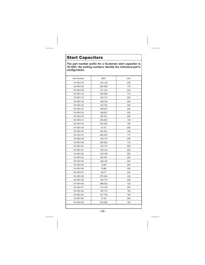### Start Capacitors

**The part number prefix for a Scotsman start capacitor is 18-1901, the ending numbers identify the individual part's configuration.**

| Part Number | MFD       | <b>VAC</b> |
|-------------|-----------|------------|
| 18-1901-03  | 124-149   | 220        |
| 18-1901-04  | 324-389   | 110        |
| 18-1901-09  | 161-193   | 220        |
| 18-1901-12  | 540-648   | 110        |
| 18-1901-15  | 145-174   | 220        |
| 18-1901-20  | 108-130   | 330        |
| 18-1901-23  | 130-156   | 330        |
| 18-1901-27  | 189-227   | 330        |
| 18-1901-33  | 189-227   | 220        |
| 18-1901-40  | 88-109    | 250        |
| 18-1901-41  | 378-455   | 135        |
| 18-1901-42  | 270-324   | 160        |
| 18-1901-43  | 61-72     | 250        |
| 18-1901-45  | 88-106    | 330        |
| 18-1901-47  | 282-340   | 110        |
| 18-1901-48  | 145-174   | 250        |
| 18-1901-49  | 243-292   | 110        |
| 18-1901-50  | 145-174   | 250        |
| 18-1901-51  | 108-130   | 250        |
| 18-1901-52  | 130-156   | 250        |
| 18-1901-53  | 88-106    | 220        |
| 18-1901-54  | 108-130   | 220        |
| 18-1901-55  | 72-88     | 250        |
| 18-1901-56  | 72-88     | 330        |
| 18-1901-57  | 64-77     | 330        |
| 18-1901-58  | 270-324   | 330        |
| 18-1901-59  | 145-174   | 330        |
| 18-1901-60  | 288-352   | 125        |
| 18-1901-61  | 113-138   | 220        |
| 18-1901-62  | 145-175   | 165        |
| 18-1901-63  | 161-193   | 165        |
| 18-1901-64  | $21 - 25$ | 330        |
| 18-1901-65  | 243-292   | 165        |
|             |           |            |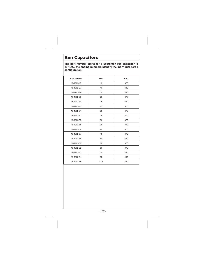### Run Capacitors

**The part number prefix for a Scotsman run capacitor is 18-1902, the ending numbers identify the individual part's configuration.**

| <b>Part Number</b> | <b>MFD</b> | <b>VAC</b> |
|--------------------|------------|------------|
| 18-1902-17         | 10         | 370        |
| 18-1902-27         | 40         | 440        |
| 18-1902-28         | 30         | 440        |
| 18-1902-29         | 20         | 370        |
| 18-1902-30         | 15         | 440        |
| 18-1902-45         | 25         | 370        |
| 18-1902-51         | 35         | 370        |
| 18-1902-52         | 15         | 370        |
| 18-1902-53         | 30         | 370        |
| 18-1902-55         | 35         | 370        |
| 18-1902-56         | 40         | 370        |
| 18-1902-57         | 45         | 370        |
| 18-1902-58         | 50         | 440        |
| 18-1902-59         | 60         | 370        |
| 18-1902-62         | 80         | 370        |
| 18-1902-63         | 30         | 440        |
| 18-1902-64         | 35         | 440        |
| 18-1902-65         | 17.5       | 440        |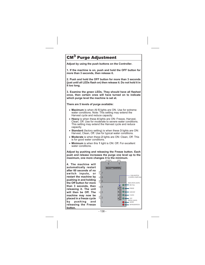# **Purge Adjustment**

**Adjust by using the push buttons on the Controller.**

**1. If the machine is on, push and hold the OFF button for more than 3 seconds, then release it.**

**2. Push and hold the OFF button for more than 3 seconds (just until all LEDs flash on) then release it. Do not hold it in it too long.**

**3. Examine the green LEDs. They should have all flashed once, then certain ones will have turned on to indicate which purge level the machine is set at.**

**There are 5 levels of purge available:**

- **Maximum** is when All **5** lights are ON. Use for extreme water conditions. Note: This setting may extend the Harvest cycle and reduce capacity.
- **Heavy** is when these **4** lights are ON: Freeze, Harvest, Clean, Off. Use for moderate to severe water conditions. This setting may extend the Harvest cycle and reduce capacity.
- **Standard** (factory setting) is when these **3** lights are ON: Harvest, Clean, Off. Use for typical water conditions.
- **Moderate** is when these **2** lights are ON: Clean, Off. This is for good water conditions.
- **Minimum** is when this **1** light is ON: Off. For excellent water conditions.

**Adjust by pushing and releasing the Freeze button. Each push and release increases the purge one level up to the maximum, one more changes it to the minimum.**

**4. The machine will automatically restart after 60 seconds of no switch inputs, or restart the machine by pushing in and holding the Off button for more than 3 seconds, then releasing it. The unit will then be Off. The machine may now be placed in a freeze cycle by pushing and releasing the Freeze button.**

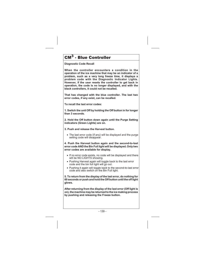# CM<sup>3</sup> - Blue Controller

**Diagnostic Code Recall**

**When the controller encounters a condition in the operation of the ice machine that may be an indicator of a problem, such as a very long freeze time, it displays a problem code with the Diagnostic Indicator Lights. However, if the user resets the controller to get back in operation, the code is no longer displayed, and with the black controllers, it could not be recalled.**

**That has changed with the blue controller. The last two error codes, if any exist, can be recalled.**

**To recall the last error codes:**

**1. Switch the unit Off by holding the Off button in for longer than 3 seconds.**

**2. Hold the Off button down again until the Purge Setting indicators (Green Lights) are on.**

**3. Push and release the Harvest button.**

- The last error code (if any) will be displayed and the purge setting code will disappear.

**4. Push the Harvest button again and the second-to-last error code AND the Bin Full light will be displayed. Only two error codes are available for display.**

- If no error code exists, no code will be displayed and there will be NO LIGHTS showing.
- Pushing Harvest again will toggle back to the last error code and the bin full light will go out.
- Pushing it again will toggle back to the second-to-last error code and also switch on the Bin Full light.

**5. To return from the display of the last error, do nothing for 60 seconds or push and hold the Off button until the off light glows.**

**After returning from the display of the last error (Off light is on), the machine may be returned to the ice making process by pushing and releasing the Freeze button.**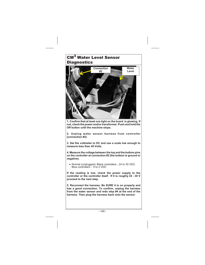# CM<sup>3</sup> Water Level Sensor **Diagnostics**



**1. Confirm that at least one light on the board is glowing. If not, check the power and/or transformer. Push and hold the Off button until the machine stops.**

**2. Unplug water sensor harness from controller (connection #2).**

**3. Set the voltmeter to DC and use a scale low enough to measure less than 40 Volts.**

**4. Measure the voltage between the top and the bottom pins on the controller at connection #2 (the bottom is ground or negative).**

- Normal (unplugged): Black controllers - 24 to 30 VDC. Blue controllers - .5 to 2 VDC

**If the reading is low, check the power supply to the controller or the controller itself. If it is roughly 24 - 30 V proceed to the next step.**

**5. Reconnect the harness. Be SURE it is on properly and has a good connection. To confirm, unplug the harness from the water sensor and redo step #4 at the end of the harness. Then plug the harness back onto the sensor.**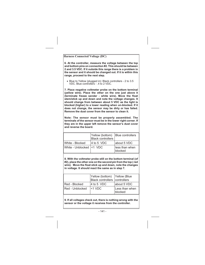**Harness Connected Voltage (DC)**

**6. At the controller, measure the voltage between the top and bottom pins on connection #2. This should be between 2 and 3.5 VDC. If it outside this range there is a problem in the sensor and it should be changed out. If it is within this range, proceed to the next step.**

- Blue to Yellow (plugged in): Black controllers - 2 to 3.5 VDC. Blue controllers - .4 to 2 VDC.

**7. Place negative voltmeter probe on the bottom terminal (yellow wire). Place the other on the one just above it (terminate freeze sender - white wire). Move the float stem/stick up and down and note the voltage changes. It should change from between about 5 VDC as the light is blocked (higher) to a lower reading when un-blocked. If it does not change, the sensor may be dirty or has failed. Remove the dust cover from the sensor to clean it.**

**Note: The sensor must be properly assembled. The terminals of the sensor must be in the lower right corner. If they are in the upper left remove the sensor's dust cover and reverse the board.**

|                          | Yellow (bottom) Blue controllers<br>Black controllers |                           |
|--------------------------|-------------------------------------------------------|---------------------------|
| White - Blocked          | 4 to 5 VDC                                            | about 5 VDC               |
| White - Unblocked <1 VDC |                                                       | less than when<br>blocked |

**8. With the voltmeter probe still on the bottom terminal (of #2), place the other one on the second pin from the top ( red wire). Move the float stick up and down, note the changes in voltage. It should react the same as in step 7.**

|                 | Yellow (bottom) Yellow (Blue<br>Black controllers controllers |                           |
|-----------------|---------------------------------------------------------------|---------------------------|
| Red - Blocked   | 4 to 5 VDC                                                    | about 5 VDC               |
| Red - Unblocked | $<$ 1 VDC                                                     | Less than when<br>blocked |

**9. If all voltages check out, there is nothing wrong with the sensor or the voltage it receives from the controller.**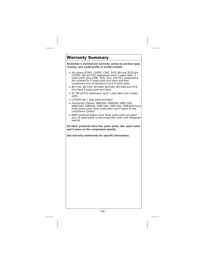### Warranty Summary

**Scotsman's commercial warranty varies by product type, country, and model prefix or model number.**

- All cubers (CS60, CSE60, CME, SCE) BH and SLB bins, CD200, HD and SLD dispensers have 3 years labor, 3 years parts, plus CME, SCE, SLE, and SLC evaporators are covered for 5 years parts and labor and their condensers and compressors have 5 years parts.
- BH1100, BH1300, BH1600, BH1366, BH1666 and HTB bins have 5 years parts and labor.
- ID, RS and IS dispensers have 1 year labor and 2 years parts.
- CSW45 has 1 year parts and labor.
- AutoSentry Flakers, NME654, NME954, NME1254, NME1854, FME804, FME1204, FME1504, FME2404 have three years parts, three years labor and 5 years on the compressor (parts).
- MAR industrial flakers have three years parts and labor plus 10 years parts on the evaporator drum and refrigerant seal kit

**All other products have two years parts, two years labor and 5 years on the compressor (parts).**

**See warranty statements for specific information.**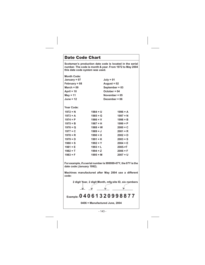### Date Code Chart

**1981 = E**

**Scotsman's production date code is located in the serial number. The code is month & year. From 1972 to May 2004 this date code system was used.**

| <b>Month Code:</b> |                 |                  |
|--------------------|-----------------|------------------|
| January = 07       |                 | $July = 01$      |
| February = 08      |                 | August = $02$    |
| March = $09$       |                 | September = $03$ |
| April = $10$       | $October = 04$  |                  |
| $May = 11$         | November = $05$ |                  |
| <b>June = 12</b>   | December = $06$ |                  |
| Year Code:         |                 |                  |
| $1972 = N$         | $1984 = U$      | $1996 = A$       |
| $1973 = A$         | $1985 = G$      | $1997 = N$       |
| $1974 = P$         | $1986 = V$      | $1998 = B$       |
| $1975 = B$         | $1987 = H$      | $1999 = P$       |
| $1976 = Q$         | $1988 = W$      | $2000 = C$       |
| $1977 = C$         | $1989 = J$      | $2001 = R$       |
| $1978 = R$         | $1990 = X$      | $2002 = D$       |
| $1979 = D$         | $1991 = K$      | $2003 = S$       |
| $1980 = S$         | $1992 = Y$      | $2004 = E$       |

**1982 = T 1983 = F 1994 = Z 1995 = M 2006 = F 2007 = U**

**2005-=T**

**1993 = L**

**For example, if a serial number is 999999-07Y, the 07Y is the date code (January 1992).**

**Machines manufactured after May 2004 use a different code:**

**2 digit Year, 2 digit Month, mfg site ID, six numbers**

$$
\text{Example:}\ 0\ 4\ 0\ 6\ 1\ 3\ 2\ 0\ 9\ 9\ 8\ 8\ 7\ 7
$$

**0406 = Manufactured June, 2004**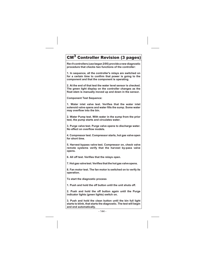# $\overline{\mathsf{CM}}^3$  Controller Revision (3 pages)

**Rev 9 controllers (use began 2/05) provide a new diagnostic procedure that checks two functions of the controller:**

**1. In sequence, all the controller's relays are switched on for a certain time to confirm that power is going to the component and that the component is operating.**

**2. At the end of that test the water level sensor is checked. The green light display on the controller changes as the float stem is manually moved up and down in the sensor.**

**Component Test Sequence:**

**1. Water inlet valve test. Verifies that the water inlet solenoid valve opens and water fills the sump. Some water may overflow into the bin.**

**2. Water Pump test. With water in the sump from the prior test, the pump starts and circulates water.**

**3. Purge valve test. Purge valve opens to discharge water. No effect on overflow models.**

**4. Compressor test. Compressor starts, hot gas valve open for short time.**

**5. Harvest bypass valve test. Compressor on, check valve remote systems verify that the harvest by-pass valve opens.**

**6. All off test. Verifies that the relays open.**

**7. Hot gas valvetest. Verifies that the hot gas valveopens.**

**8. Fan motor test. The fan motor is switched on to verify its operation.**

**To start the diagnostic process**

**1. Push and hold the off button until the unit shuts off.**

**2. Push and hold the off button again until the Purge indicator lights (green lights) switch on.**

**3. Push and hold the clean button until the bin full light starts to blink, that starts the diagnostic. The test will begin and end automatically.**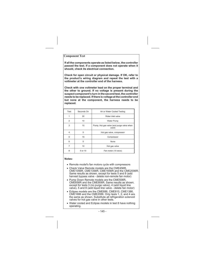### **Component Test**

**If all the components operate as listed below, the controller passed the test. If a component does not operate when it should, check its electrical connection.**

**Check for open circuit or physical damage. If OK, refer to the product's wiring diagram and repeat the test with a voltmeter at the controller end of the harness.**

**Check with one voltmeter lead on the proper terminal and the other to ground. If no voltage is present during the suspect component's turn in the second test, the controller needs to be replaced. If there is voltage at the controller end but none at the component, the harness needs to be replaced.**

| Test           | Seconds On | Air or Water Cooled Testing                        |
|----------------|------------|----------------------------------------------------|
|                | 30         | Water inlet valve                                  |
| $\overline{2}$ | 10         | <b>Water Pump</b>                                  |
| 3              | 10         | Pump, Hot gas valve (and purge valve when<br>used) |
| 4              | 5          | Hot gas valve, compressor                          |
| 5              | 15         | Compressor                                         |
| 6              | 5          | None                                               |
| 7              | 10         | Hot gas valve                                      |
| 8              | 5 or 10    | Fan motor (10 secs)                                |

### **Notes:**

- Remote model's fan motors cycle with compressors
- Check Valve Remote models are the CME456R, CME1056R, CME1356R, CME1656R and the CME2006R. Same results as shown, except for tests 5 and 8 (add harvest bypass valve - delete non-remote fan motor)
- Pump Down Remote models are the CME506R, CME656R and the CME806R. Same results as shown, except for tests 3 (no purge valve), 4 (add liquid line valve), 5 and 8 (add liquid line valve - delete fan motor)
- Eclipse models are the CME686, CME810, CME1386, CME1686 and the CME2086. Only tests 1, 2, and 4 are the same as shown. Substitute all refrigeration solenoid valves for hot gas valve in other tests.
- Water cooled and Eclipse models in test 8 have nothing operating.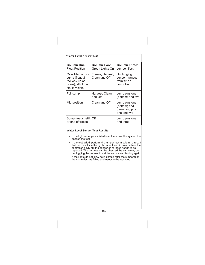| <b>Water Level Sensor Test</b>                                                                 |                                   |                                                                 |  |  |
|------------------------------------------------------------------------------------------------|-----------------------------------|-----------------------------------------------------------------|--|--|
| <b>Column One:</b><br><b>Float Position</b>                                                    | Column Two:<br>Green Lights On    | <b>Column Three:</b><br>Jumper Test                             |  |  |
| Over filled or dry<br>sump (float all<br>the way up or<br>down), all of the<br>slot is visible | Freeze, Harvest,<br>Clean and Off | Unplugging<br>sensor harness<br>from $#2$ on<br>controller.     |  |  |
| Full sump                                                                                      | Harvest, Clean<br>and Off         | Jump pins one<br>(bottom) and two                               |  |  |
| Mid position                                                                                   | Clean and Off                     | Jump pins one<br>(bottom) and<br>three, and pins<br>one and two |  |  |
| Sump needs refill<br>or end of freeze                                                          | Off                               | Jump pins one<br>and three                                      |  |  |

### **Water Level Sensor Test Results:**

- If the lights change as listed in column two, the system has passed the test.
- If the test failed, perform the jumper test in column three. If that test results in the lights on as listed in column two, the controller is OK but the sensor or harness needs to be replaced. The harness can be checked the same way by unplugging the connection at the sensor and testing again.
- If the lights do not glow as indicated after the jumper test, the controller has failed and needs to be replaced.